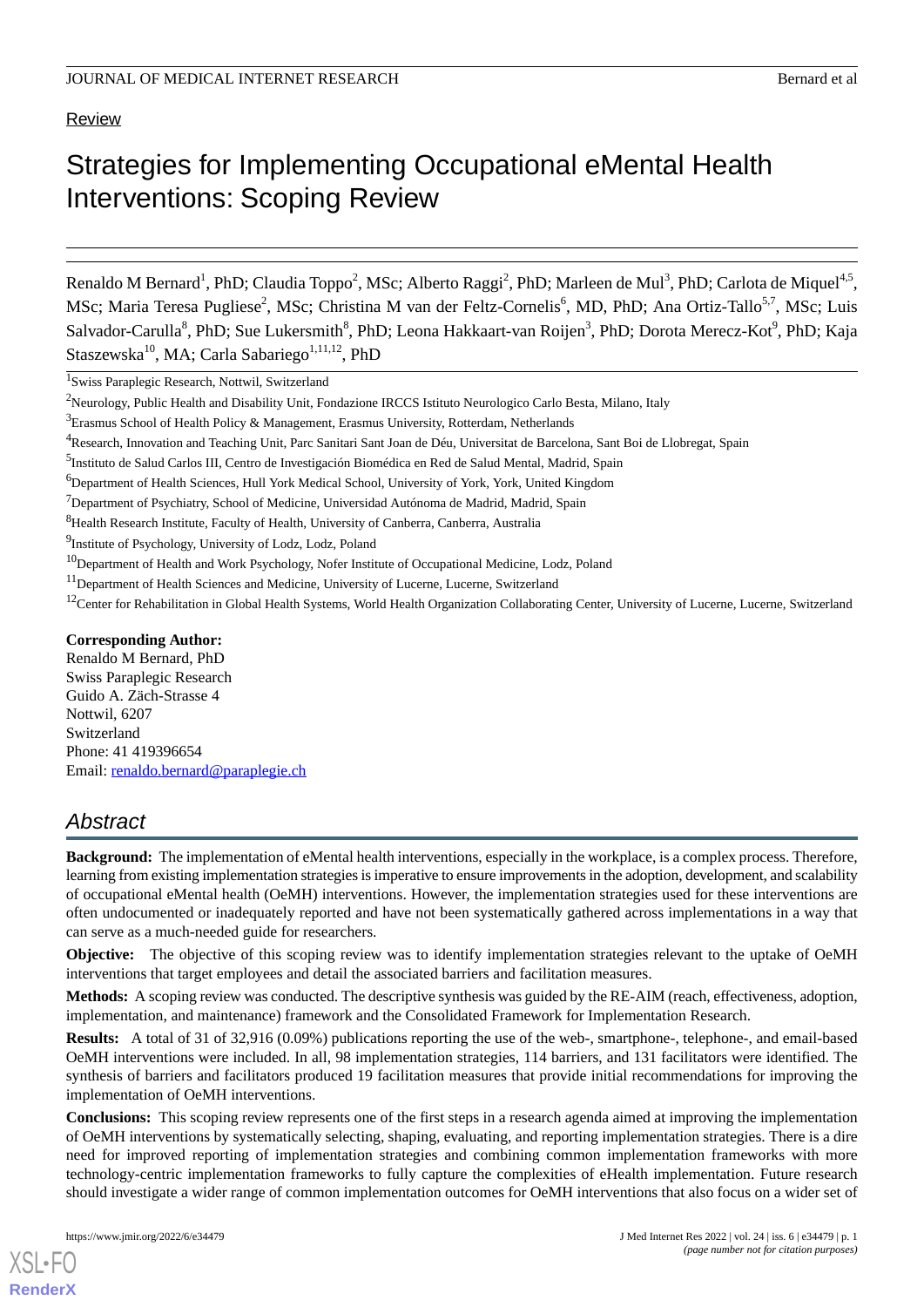# Review

# Strategies for Implementing Occupational eMental Health Interventions: Scoping Review

Renaldo M Bernard<sup>1</sup>, PhD; Claudia Toppo<sup>2</sup>, MSc; Alberto Raggi<sup>2</sup>, PhD; Marleen de Mul<sup>3</sup>, PhD; Carlota de Miquel<sup>4,5</sup>, MSc; Maria Teresa Pugliese<sup>2</sup>, MSc; Christina M van der Feltz-Cornelis<sup>6</sup>, MD, PhD; Ana Ortiz-Tallo<sup>5,7</sup>, MSc; Luis Salvador-Carulla<sup>8</sup>, PhD; Sue Lukersmith<sup>8</sup>, PhD; Leona Hakkaart-van Roijen<sup>3</sup>, PhD; Dorota Merecz-Kot<sup>9</sup>, PhD; Kaja Staszewska<sup>10</sup>, MA; Carla Sabariego<sup>1,11,12</sup>, PhD

<sup>1</sup>Swiss Paraplegic Research, Nottwil, Switzerland

#### **Corresponding Author:**

Renaldo M Bernard, PhD Swiss Paraplegic Research Guido A. Zäch-Strasse 4 Nottwil, 6207 Switzerland Phone: 41 419396654 Email: [renaldo.bernard@paraplegie.ch](mailto:renaldo.bernard@paraplegie.ch)

# *Abstract*

**Background:** The implementation of eMental health interventions, especially in the workplace, is a complex process. Therefore, learning from existing implementation strategies is imperative to ensure improvements in the adoption, development, and scalability of occupational eMental health (OeMH) interventions. However, the implementation strategies used for these interventions are often undocumented or inadequately reported and have not been systematically gathered across implementations in a way that can serve as a much-needed guide for researchers.

**Objective:** The objective of this scoping review was to identify implementation strategies relevant to the uptake of OeMH interventions that target employees and detail the associated barriers and facilitation measures.

**Methods:** A scoping review was conducted. The descriptive synthesis was guided by the RE-AIM (reach, effectiveness, adoption, implementation, and maintenance) framework and the Consolidated Framework for Implementation Research.

**Results:** A total of 31 of 32,916 (0.09%) publications reporting the use of the web-, smartphone-, telephone-, and email-based OeMH interventions were included. In all, 98 implementation strategies, 114 barriers, and 131 facilitators were identified. The synthesis of barriers and facilitators produced 19 facilitation measures that provide initial recommendations for improving the implementation of OeMH interventions.

**Conclusions:** This scoping review represents one of the first steps in a research agenda aimed at improving the implementation of OeMH interventions by systematically selecting, shaping, evaluating, and reporting implementation strategies. There is a dire need for improved reporting of implementation strategies and combining common implementation frameworks with more technology-centric implementation frameworks to fully capture the complexities of eHealth implementation. Future research should investigate a wider range of common implementation outcomes for OeMH interventions that also focus on a wider set of

<sup>&</sup>lt;sup>2</sup>Neurology, Public Health and Disability Unit, Fondazione IRCCS Istituto Neurologico Carlo Besta, Milano, Italy

 $3E_{\text{Examples}}$  School of Health Policy & Management, Erasmus University, Rotterdam, Netherlands

<sup>4</sup>Research, Innovation and Teaching Unit, Parc Sanitari Sant Joan de Déu, Universitat de Barcelona, Sant Boi de Llobregat, Spain

<sup>&</sup>lt;sup>5</sup>Instituto de Salud Carlos III, Centro de Investigación Biomédica en Red de Salud Mental, Madrid, Spain

<sup>6</sup>Department of Health Sciences, Hull York Medical School, University of York, York, United Kingdom

 $7$ Department of Psychiatry, School of Medicine, Universidad Autónoma de Madrid, Madrid, Spain

<sup>&</sup>lt;sup>8</sup>Health Research Institute, Faculty of Health, University of Canberra, Canberra, Australia

<sup>&</sup>lt;sup>9</sup>Institute of Psychology, University of Lodz, Lodz, Poland

<sup>&</sup>lt;sup>10</sup>Department of Health and Work Psychology, Nofer Institute of Occupational Medicine, Lodz, Poland

<sup>&</sup>lt;sup>11</sup>Department of Health Sciences and Medicine, University of Lucerne, Lucerne, Switzerland

<sup>&</sup>lt;sup>12</sup>Center for Rehabilitation in Global Health Systems, World Health Organization Collaborating Center, University of Lucerne, Lucerne, Switzerland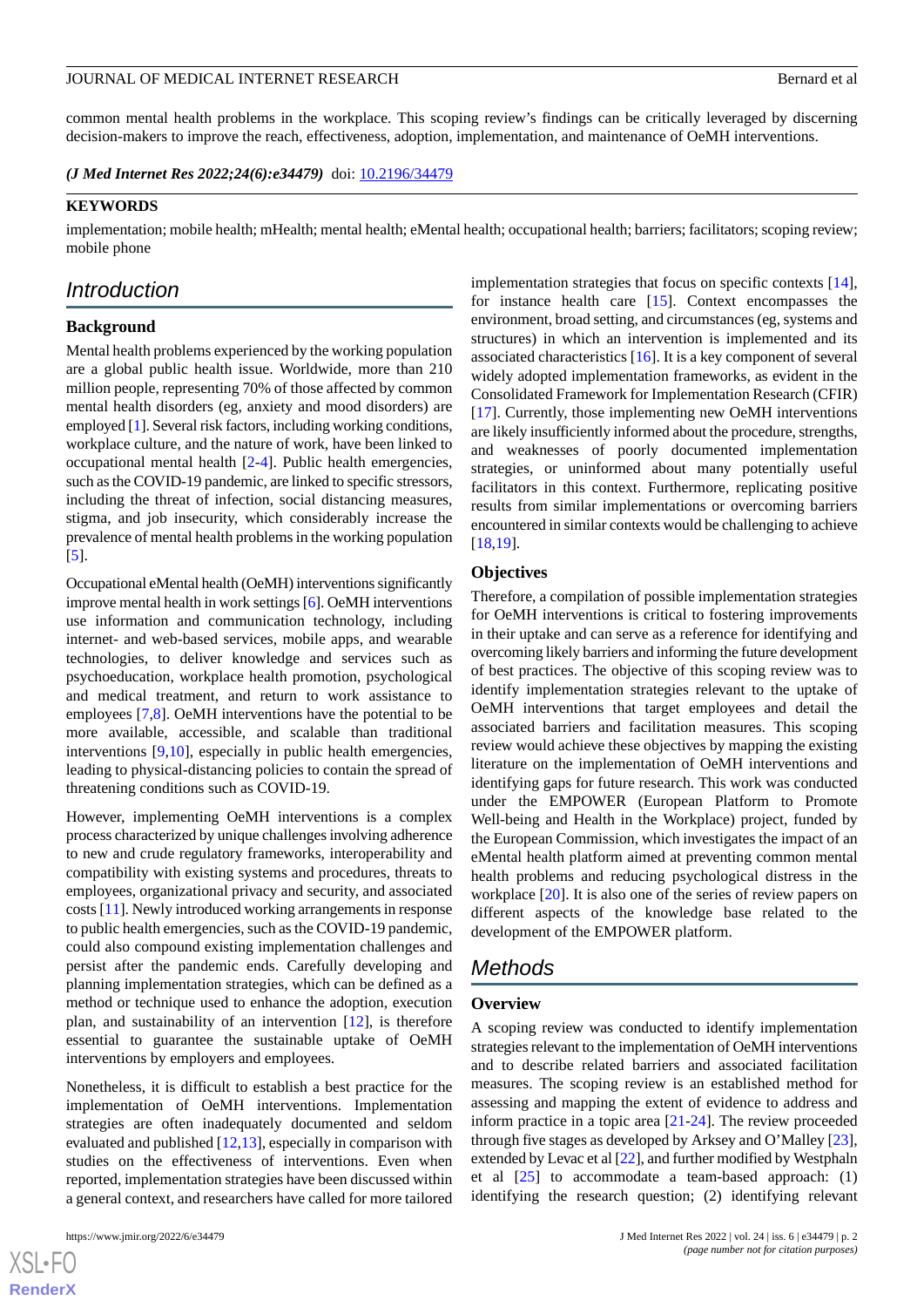common mental health problems in the workplace. This scoping review's findings can be critically leveraged by discerning decision-makers to improve the reach, effectiveness, adoption, implementation, and maintenance of OeMH interventions.

*(J Med Internet Res 2022;24(6):e34479)* doi:  $10.2196/34479$ 

#### **KEYWORDS**

implementation; mobile health; mHealth; mental health; eMental health; occupational health; barriers; facilitators; scoping review; mobile phone

# *Introduction*

#### **Background**

Mental health problems experienced by the working population are a global public health issue. Worldwide, more than 210 million people, representing 70% of those affected by common mental health disorders (eg, anxiety and mood disorders) are employed [\[1\]](#page-19-0). Several risk factors, including working conditions, workplace culture, and the nature of work, have been linked to occupational mental health [\[2](#page-19-1)-[4\]](#page-19-2). Public health emergencies, such as the COVID-19 pandemic, are linked to specific stressors, including the threat of infection, social distancing measures, stigma, and job insecurity, which considerably increase the prevalence of mental health problems in the working population [[5\]](#page-19-3).

Occupational eMental health (OeMH) interventions significantly improve mental health in work settings [\[6](#page-19-4)]. OeMH interventions use information and communication technology, including internet- and web-based services, mobile apps, and wearable technologies, to deliver knowledge and services such as psychoeducation, workplace health promotion, psychological and medical treatment, and return to work assistance to employees [\[7](#page-19-5),[8\]](#page-19-6). OeMH interventions have the potential to be more available, accessible, and scalable than traditional interventions [\[9](#page-19-7),[10\]](#page-19-8), especially in public health emergencies, leading to physical-distancing policies to contain the spread of threatening conditions such as COVID-19.

However, implementing OeMH interventions is a complex process characterized by unique challenges involving adherence to new and crude regulatory frameworks, interoperability and compatibility with existing systems and procedures, threats to employees, organizational privacy and security, and associated costs [[11](#page-19-9)]. Newly introduced working arrangements in response to public health emergencies, such as the COVID-19 pandemic, could also compound existing implementation challenges and persist after the pandemic ends. Carefully developing and planning implementation strategies, which can be defined as a method or technique used to enhance the adoption, execution plan, and sustainability of an intervention [[12\]](#page-19-10), is therefore essential to guarantee the sustainable uptake of OeMH interventions by employers and employees.

Nonetheless, it is difficult to establish a best practice for the implementation of OeMH interventions. Implementation strategies are often inadequately documented and seldom evaluated and published [\[12](#page-19-10),[13\]](#page-20-0), especially in comparison with studies on the effectiveness of interventions. Even when reported, implementation strategies have been discussed within a general context, and researchers have called for more tailored

 $XS$  $\cdot$ FC **[RenderX](http://www.renderx.com/)**

implementation strategies that focus on specific contexts [[14\]](#page-20-1), for instance health care [\[15](#page-20-2)]. Context encompasses the environment, broad setting, and circumstances (eg, systems and structures) in which an intervention is implemented and its associated characteristics [[16\]](#page-20-3). It is a key component of several widely adopted implementation frameworks, as evident in the Consolidated Framework for Implementation Research (CFIR) [[17\]](#page-20-4). Currently, those implementing new OeMH interventions are likely insufficiently informed about the procedure, strengths, and weaknesses of poorly documented implementation strategies, or uninformed about many potentially useful facilitators in this context. Furthermore, replicating positive results from similar implementations or overcoming barriers encountered in similar contexts would be challenging to achieve [[18,](#page-20-5)[19\]](#page-20-6).

#### **Objectives**

Therefore, a compilation of possible implementation strategies for OeMH interventions is critical to fostering improvements in their uptake and can serve as a reference for identifying and overcoming likely barriers and informing the future development of best practices. The objective of this scoping review was to identify implementation strategies relevant to the uptake of OeMH interventions that target employees and detail the associated barriers and facilitation measures. This scoping review would achieve these objectives by mapping the existing literature on the implementation of OeMH interventions and identifying gaps for future research. This work was conducted under the EMPOWER (European Platform to Promote Well-being and Health in the Workplace) project, funded by the European Commission, which investigates the impact of an eMental health platform aimed at preventing common mental health problems and reducing psychological distress in the workplace [\[20](#page-20-7)]. It is also one of the series of review papers on different aspects of the knowledge base related to the development of the EMPOWER platform.

# *Methods*

#### **Overview**

A scoping review was conducted to identify implementation strategies relevant to the implementation of OeMH interventions and to describe related barriers and associated facilitation measures. The scoping review is an established method for assessing and mapping the extent of evidence to address and inform practice in a topic area [[21-](#page-20-8)[24](#page-20-9)]. The review proceeded through five stages as developed by Arksey and O'Malley [[23\]](#page-20-10), extended by Levac et al [[22\]](#page-20-11), and further modified by Westphaln et al  $[25]$  $[25]$  to accommodate a team-based approach:  $(1)$ identifying the research question; (2) identifying relevant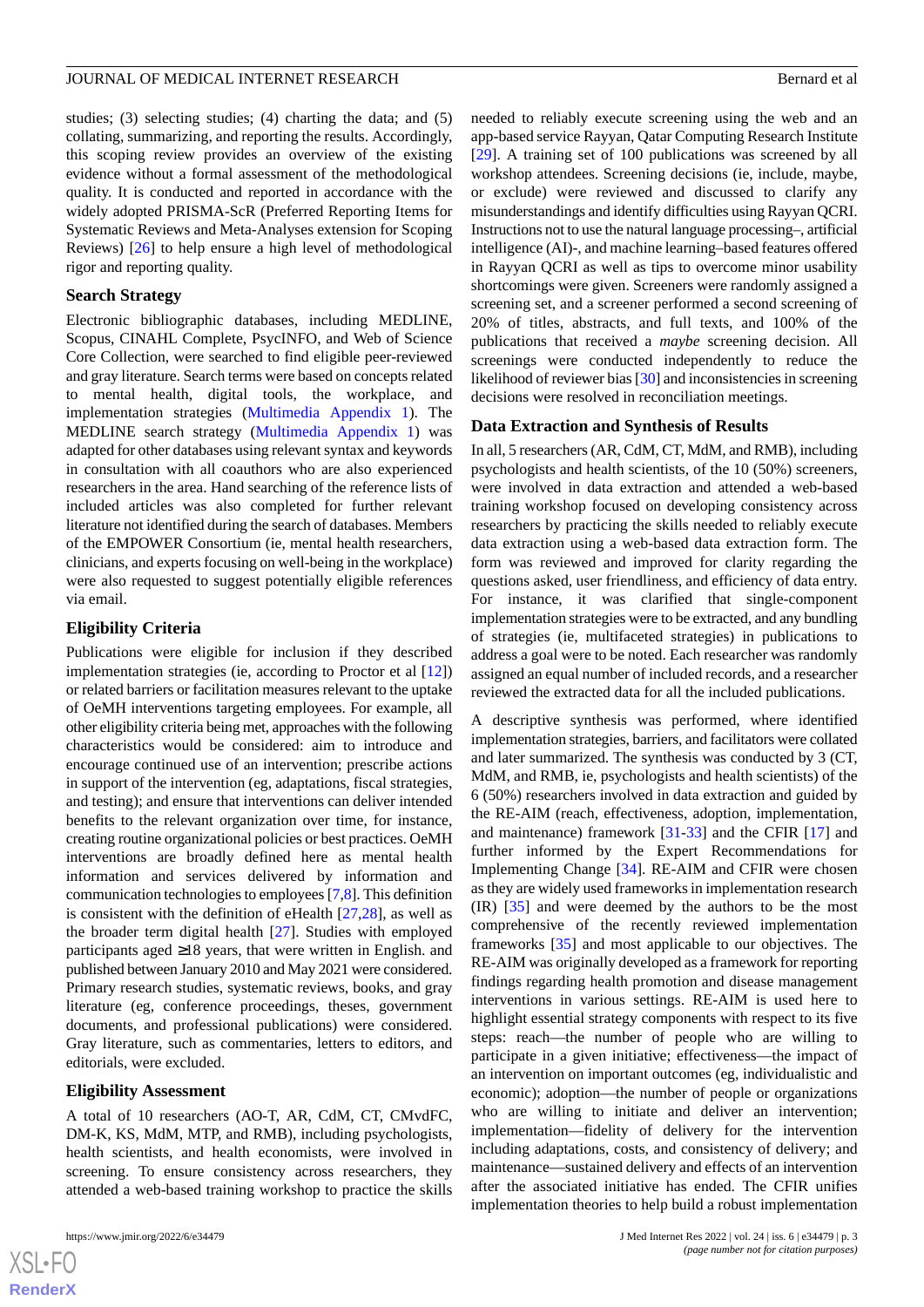#### JOURNAL OF MEDICAL INTERNET RESEARCH BERNAL AND THE SERIES OF A BERNARD BERNARD BERNARD BERNARD BERNARD BERNARD BERNARD BERNARD BERNARD BERNARD BERNARD BERNARD BERNARD BERNARD BERNARD BERNARD BERNARD BERNARD BERNARD BERNAR

studies; (3) selecting studies; (4) charting the data; and (5) collating, summarizing, and reporting the results. Accordingly, this scoping review provides an overview of the existing evidence without a formal assessment of the methodological quality. It is conducted and reported in accordance with the widely adopted PRISMA-ScR (Preferred Reporting Items for Systematic Reviews and Meta-Analyses extension for Scoping Reviews) [[26\]](#page-20-13) to help ensure a high level of methodological rigor and reporting quality.

# **Search Strategy**

Electronic bibliographic databases, including MEDLINE, Scopus, CINAHL Complete, PsycINFO, and Web of Science Core Collection, were searched to find eligible peer-reviewed and gray literature. Search terms were based on concepts related to mental health, digital tools, the workplace, and implementation strategies [\(Multimedia Appendix 1\)](#page-19-11). The MEDLINE search strategy ([Multimedia Appendix 1](#page-19-11)) was adapted for other databases using relevant syntax and keywords in consultation with all coauthors who are also experienced researchers in the area. Hand searching of the reference lists of included articles was also completed for further relevant literature not identified during the search of databases. Members of the EMPOWER Consortium (ie, mental health researchers, clinicians, and experts focusing on well-being in the workplace) were also requested to suggest potentially eligible references via email.

# **Eligibility Criteria**

Publications were eligible for inclusion if they described implementation strategies (ie, according to Proctor et al [[12\]](#page-19-10)) or related barriers or facilitation measures relevant to the uptake of OeMH interventions targeting employees. For example, all other eligibility criteria being met, approaches with the following characteristics would be considered: aim to introduce and encourage continued use of an intervention; prescribe actions in support of the intervention (eg, adaptations, fiscal strategies, and testing); and ensure that interventions can deliver intended benefits to the relevant organization over time, for instance, creating routine organizational policies or best practices. OeMH interventions are broadly defined here as mental health information and services delivered by information and communication technologies to employees [\[7](#page-19-5),[8](#page-19-6)]. This definition is consistent with the definition of eHealth  $[27,28]$  $[27,28]$  $[27,28]$  $[27,28]$ , as well as the broader term digital health [\[27](#page-20-14)]. Studies with employed participants aged ≥18 years, that were written in English. and published between January 2010 and May 2021 were considered. Primary research studies, systematic reviews, books, and gray literature (eg, conference proceedings, theses, government documents, and professional publications) were considered. Gray literature, such as commentaries, letters to editors, and editorials, were excluded.

#### **Eligibility Assessment**

A total of 10 researchers (AO-T, AR, CdM, CT, CMvdFC, DM-K, KS, MdM, MTP, and RMB), including psychologists, health scientists, and health economists, were involved in screening. To ensure consistency across researchers, they attended a web-based training workshop to practice the skills needed to reliably execute screening using the web and an app-based service Rayyan, Qatar Computing Research Institute [[29\]](#page-20-16). A training set of 100 publications was screened by all workshop attendees. Screening decisions (ie, include, maybe, or exclude) were reviewed and discussed to clarify any misunderstandings and identify difficulties using Rayyan QCRI. Instructions not to use the natural language processing–, artificial intelligence (AI)-, and machine learning–based features offered in Rayyan QCRI as well as tips to overcome minor usability shortcomings were given. Screeners were randomly assigned a screening set, and a screener performed a second screening of 20% of titles, abstracts, and full texts, and 100% of the publications that received a *maybe* screening decision. All screenings were conducted independently to reduce the likelihood of reviewer bias [\[30](#page-20-17)] and inconsistencies in screening decisions were resolved in reconciliation meetings.

# **Data Extraction and Synthesis of Results**

In all, 5 researchers (AR, CdM, CT, MdM, and RMB), including psychologists and health scientists, of the 10 (50%) screeners, were involved in data extraction and attended a web-based training workshop focused on developing consistency across researchers by practicing the skills needed to reliably execute data extraction using a web-based data extraction form. The form was reviewed and improved for clarity regarding the questions asked, user friendliness, and efficiency of data entry. For instance, it was clarified that single-component implementation strategies were to be extracted, and any bundling of strategies (ie, multifaceted strategies) in publications to address a goal were to be noted. Each researcher was randomly assigned an equal number of included records, and a researcher reviewed the extracted data for all the included publications.

A descriptive synthesis was performed, where identified implementation strategies, barriers, and facilitators were collated and later summarized. The synthesis was conducted by 3 (CT, MdM, and RMB, ie, psychologists and health scientists) of the 6 (50%) researchers involved in data extraction and guided by the RE-AIM (reach, effectiveness, adoption, implementation, and maintenance) framework [\[31](#page-20-18)[-33](#page-20-19)] and the CFIR [[17\]](#page-20-4) and further informed by the Expert Recommendations for Implementing Change [\[34](#page-20-20)]. RE-AIM and CFIR were chosen as they are widely used frameworks in implementation research (IR) [\[35](#page-21-0)] and were deemed by the authors to be the most comprehensive of the recently reviewed implementation frameworks [\[35](#page-21-0)] and most applicable to our objectives. The RE-AIM was originally developed as a framework for reporting findings regarding health promotion and disease management interventions in various settings. RE-AIM is used here to highlight essential strategy components with respect to its five steps: reach—the number of people who are willing to participate in a given initiative; effectiveness—the impact of an intervention on important outcomes (eg, individualistic and economic); adoption—the number of people or organizations who are willing to initiate and deliver an intervention; implementation—fidelity of delivery for the intervention including adaptations, costs, and consistency of delivery; and maintenance—sustained delivery and effects of an intervention after the associated initiative has ended. The CFIR unifies implementation theories to help build a robust implementation

```
XSJ \cdot FRenderX
```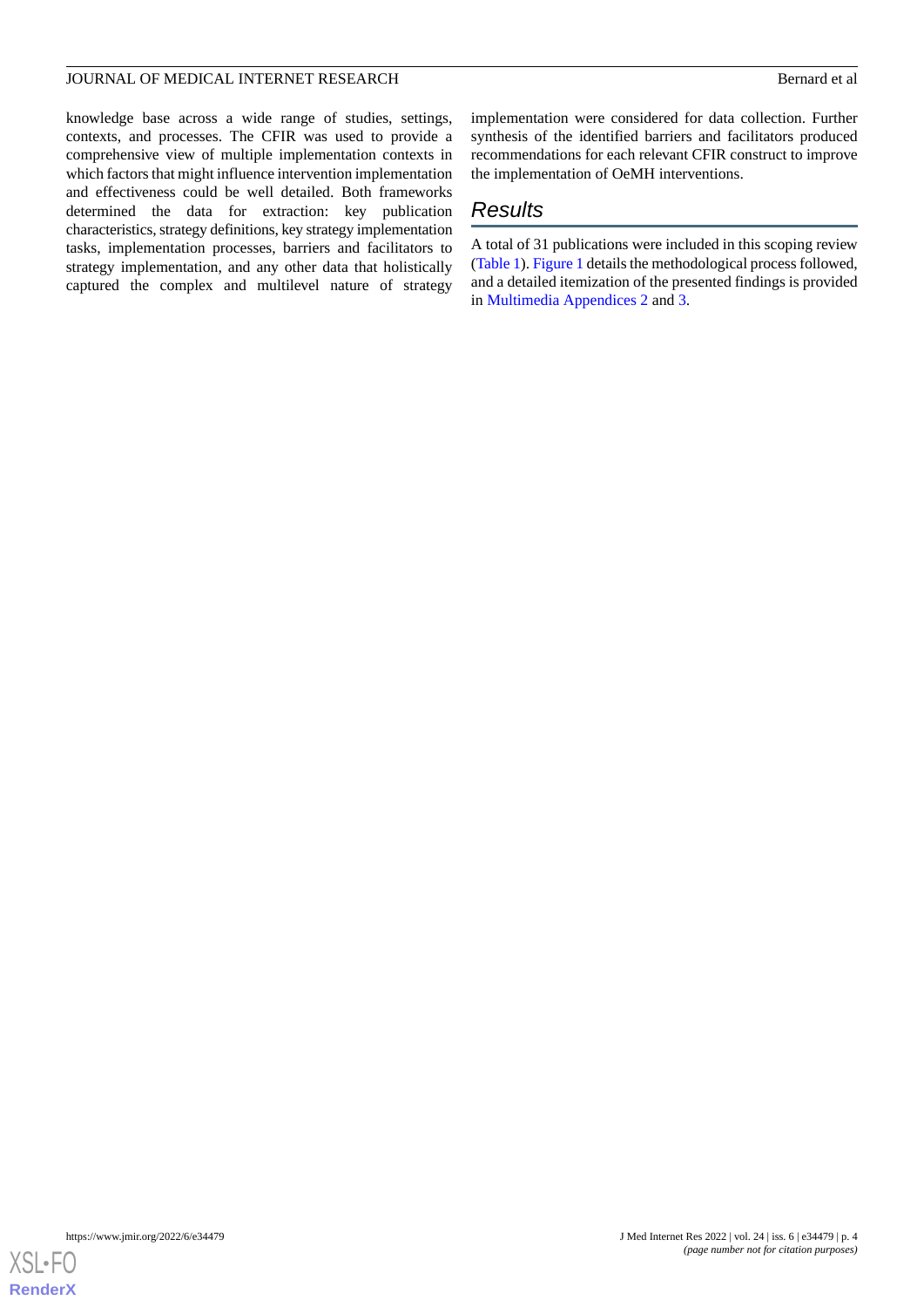knowledge base across a wide range of studies, settings, contexts, and processes. The CFIR was used to provide a comprehensive view of multiple implementation contexts in which factors that might influence intervention implementation and effectiveness could be well detailed. Both frameworks determined the data for extraction: key publication characteristics, strategy definitions, key strategy implementation tasks, implementation processes, barriers and facilitators to strategy implementation, and any other data that holistically captured the complex and multilevel nature of strategy

implementation were considered for data collection. Further synthesis of the identified barriers and facilitators produced recommendations for each relevant CFIR construct to improve the implementation of OeMH interventions.

# *Results*

A total of 31 publications were included in this scoping review ([Table 1\)](#page-4-0). [Figure 1](#page-6-0) details the methodological process followed, and a detailed itemization of the presented findings is provided in [Multimedia Appendices 2](#page-19-12) and [3](#page-19-13).

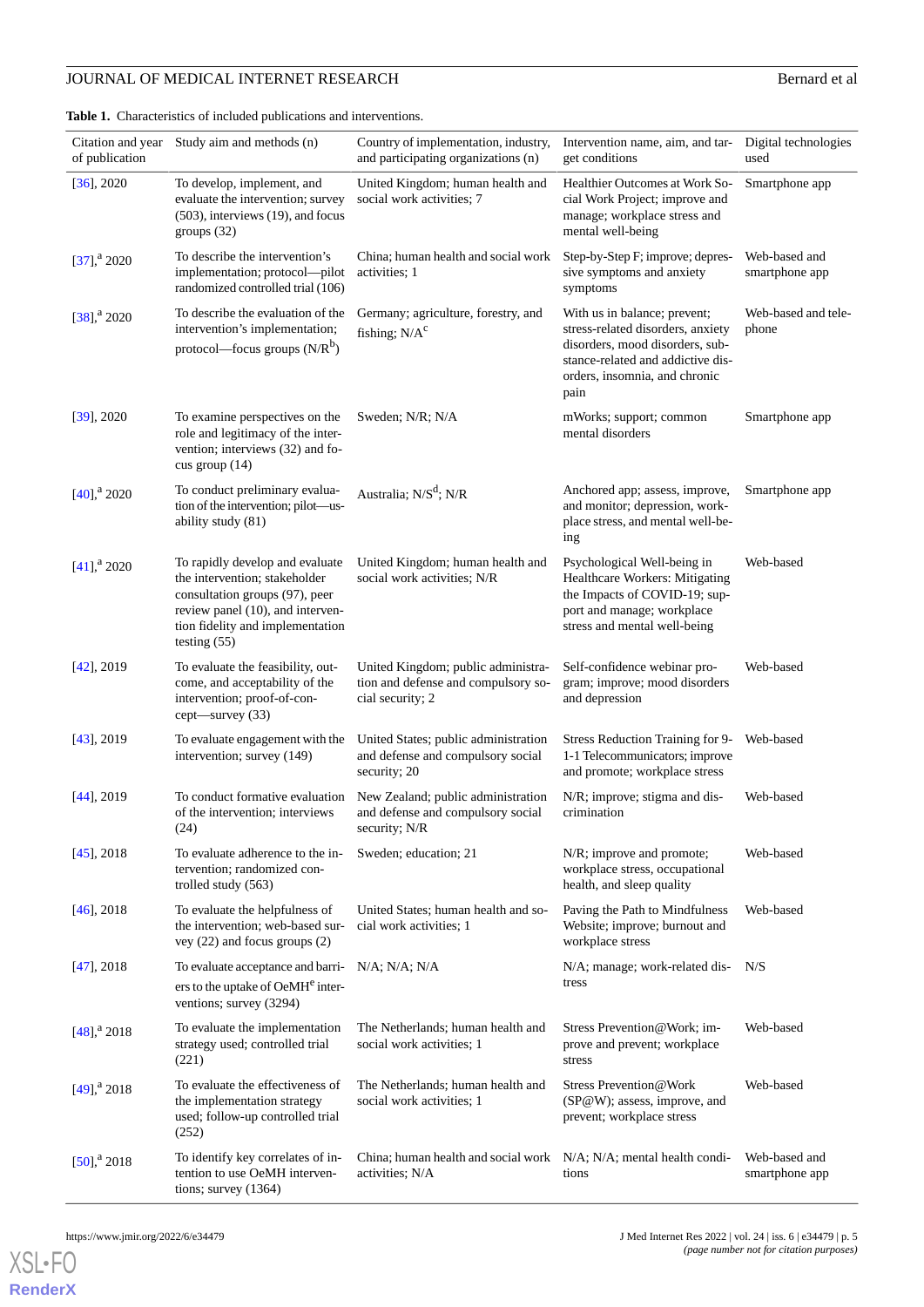# **JOURNAL OF MEDICAL INTERNET RESEARCH** Bernard et al

<span id="page-4-0"></span>**Table 1.** Characteristics of included publications and interventions.

| of publication             | Citation and year Study aim and methods (n)                                                                                                                                                  | Country of implementation, industry,<br>and participating organizations (n)                   | Intervention name, aim, and tar-<br>get conditions                                                                                                                                 | Digital technologies<br>used    |
|----------------------------|----------------------------------------------------------------------------------------------------------------------------------------------------------------------------------------------|-----------------------------------------------------------------------------------------------|------------------------------------------------------------------------------------------------------------------------------------------------------------------------------------|---------------------------------|
| $[36]$ , 2020              | To develop, implement, and<br>evaluate the intervention; survey<br>(503), interviews (19), and focus<br>groups $(32)$                                                                        | United Kingdom; human health and<br>social work activities; 7                                 | Healthier Outcomes at Work So-<br>cial Work Project; improve and<br>manage; workplace stress and<br>mental well-being                                                              | Smartphone app                  |
| $[37]$ , <sup>a</sup> 2020 | To describe the intervention's<br>implementation; protocol-pilot<br>randomized controlled trial (106)                                                                                        | China; human health and social work<br>activities; 1                                          | Step-by-Step F; improve; depres-<br>sive symptoms and anxiety<br>symptoms                                                                                                          | Web-based and<br>smartphone app |
| $[38]$ , <sup>a</sup> 2020 | To describe the evaluation of the<br>intervention's implementation;<br>protocol—focus groups $(N/R^b)$                                                                                       | Germany; agriculture, forestry, and<br>fishing; $N/Ac$                                        | With us in balance; prevent;<br>stress-related disorders, anxiety<br>disorders, mood disorders, sub-<br>stance-related and addictive dis-<br>orders, insomnia, and chronic<br>pain | Web-based and tele-<br>phone    |
| $[39]$ , 2020              | To examine perspectives on the<br>role and legitimacy of the inter-<br>vention; interviews (32) and fo-<br>cus group $(14)$                                                                  | Sweden; N/R; N/A                                                                              | mWorks; support; common<br>mental disorders                                                                                                                                        | Smartphone app                  |
| $[40]$ , <sup>a</sup> 2020 | To conduct preliminary evalua-<br>tion of the intervention; pilot—us-<br>ability study (81)                                                                                                  | Australia; N/S <sup>d</sup> ; N/R                                                             | Anchored app; assess, improve,<br>and monitor; depression, work-<br>place stress, and mental well-be-<br>ing                                                                       | Smartphone app                  |
| $[41]$ , <sup>a</sup> 2020 | To rapidly develop and evaluate<br>the intervention; stakeholder<br>consultation groups (97), peer<br>review panel (10), and interven-<br>tion fidelity and implementation<br>testing $(55)$ | United Kingdom; human health and<br>social work activities; N/R                               | Psychological Well-being in<br>Healthcare Workers: Mitigating<br>the Impacts of COVID-19; sup-<br>port and manage; workplace<br>stress and mental well-being                       | Web-based                       |
| $[42]$ , 2019              | To evaluate the feasibility, out-<br>come, and acceptability of the<br>intervention; proof-of-con-<br>cept—survey (33)                                                                       | United Kingdom; public administra-<br>tion and defense and compulsory so-<br>cial security; 2 | Self-confidence webinar pro-<br>gram; improve; mood disorders<br>and depression                                                                                                    | Web-based                       |
| $[43]$ , 2019              | To evaluate engagement with the<br>intervention; survey (149)                                                                                                                                | United States; public administration<br>and defense and compulsory social<br>security; 20     | Stress Reduction Training for 9-<br>1-1 Telecommunicators; improve<br>and promote; workplace stress                                                                                | Web-based                       |
| $[44]$ , 2019              | To conduct formative evaluation<br>of the intervention; interviews<br>(24)                                                                                                                   | New Zealand; public administration<br>and defense and compulsory social<br>security; N/R      | N/R; improve; stigma and dis-<br>crimination                                                                                                                                       | Web-based                       |
| $[45]$ , 2018              | To evaluate adherence to the in-<br>tervention; randomized con-<br>trolled study $(563)$                                                                                                     | Sweden; education; 21                                                                         | N/R; improve and promote;<br>workplace stress, occupational<br>health, and sleep quality                                                                                           | Web-based                       |
| $[46]$ , 2018              | To evaluate the helpfulness of<br>the intervention; web-based sur-<br>vey $(22)$ and focus groups $(2)$                                                                                      | United States; human health and so-<br>cial work activities; 1                                | Paving the Path to Mindfulness<br>Website; improve; burnout and<br>workplace stress                                                                                                | Web-based                       |
| $[47]$ , 2018              | To evaluate acceptance and barri-<br>ers to the uptake of OeMH <sup>e</sup> inter-<br>ventions; survey (3294)                                                                                | $N/A$ ; $N/A$ ; $N/A$                                                                         | N/A; manage; work-related dis-<br>tress                                                                                                                                            | N/S                             |
| $[48]$ , $^{a}$ 2018       | To evaluate the implementation<br>strategy used; controlled trial<br>(221)                                                                                                                   | The Netherlands; human health and<br>social work activities; 1                                | Stress Prevention@Work; im-<br>prove and prevent; workplace<br>stress                                                                                                              | Web-based                       |
| $[49]$ , <sup>a</sup> 2018 | To evaluate the effectiveness of<br>the implementation strategy<br>used; follow-up controlled trial<br>(252)                                                                                 | The Netherlands; human health and<br>social work activities; 1                                | Stress Prevention@Work<br>(SP@W); assess, improve, and<br>prevent; workplace stress                                                                                                | Web-based                       |
| $[50]$ , <sup>a</sup> 2018 | To identify key correlates of in-<br>tention to use OeMH interven-<br>tions; survey $(1364)$                                                                                                 | China; human health and social work<br>activities; N/A                                        | $N/A$ ; $N/A$ ; mental health condi-<br>tions                                                                                                                                      | Web-based and<br>smartphone app |

[XSL](http://www.w3.org/Style/XSL)•FO **[RenderX](http://www.renderx.com/)**

https://www.jmir.org/2022/6/e34479 J Med Internet Res 2022 | vol. 24 | iss. 6 | e34479 | p. 5 *(page number not for citation purposes)*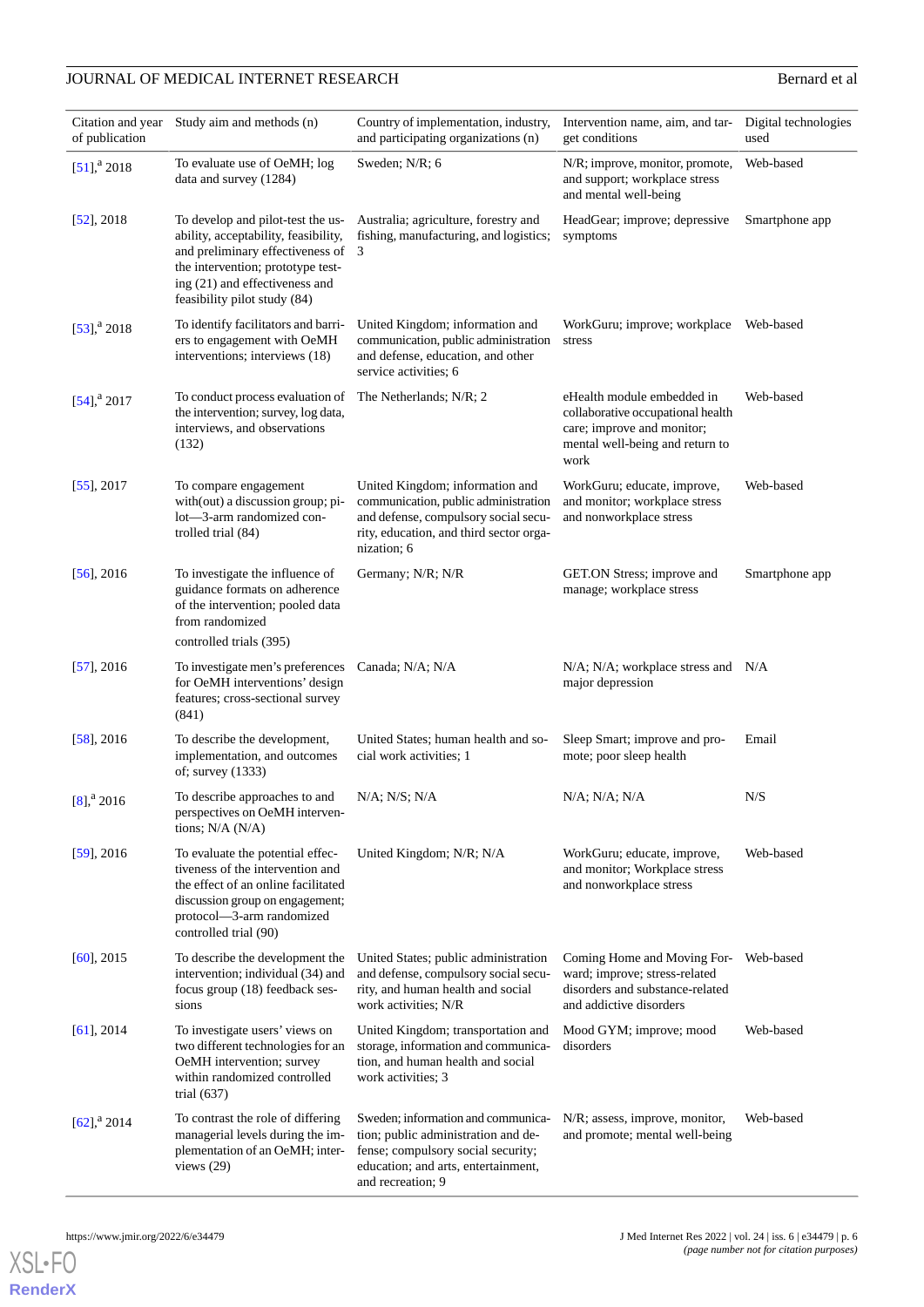# **JOURNAL OF MEDICAL INTERNET RESEARCH** Bernard et al

| Citation and year          | Study aim and methods (n)                                                                                                                                                                                            | Country of implementation, industry,                                                                                                                                        | Intervention name, aim, and tar-                                                                                                         | Digital technologies |
|----------------------------|----------------------------------------------------------------------------------------------------------------------------------------------------------------------------------------------------------------------|-----------------------------------------------------------------------------------------------------------------------------------------------------------------------------|------------------------------------------------------------------------------------------------------------------------------------------|----------------------|
| of publication             |                                                                                                                                                                                                                      | and participating organizations (n)                                                                                                                                         | get conditions                                                                                                                           | used                 |
| $[51]$ , <sup>a</sup> 2018 | To evaluate use of OeMH; log<br>data and survey (1284)                                                                                                                                                               | Sweden; N/R; 6                                                                                                                                                              | N/R; improve, monitor, promote,<br>and support; workplace stress<br>and mental well-being                                                | Web-based            |
| $[52]$ , 2018              | To develop and pilot-test the us-<br>ability, acceptability, feasibility,<br>and preliminary effectiveness of<br>the intervention; prototype test-<br>ing (21) and effectiveness and<br>feasibility pilot study (84) | Australia; agriculture, forestry and<br>fishing, manufacturing, and logistics;<br>3                                                                                         | HeadGear; improve; depressive<br>symptoms                                                                                                | Smartphone app       |
| $[53]$ , <sup>a</sup> 2018 | To identify facilitators and barri-<br>ers to engagement with OeMH<br>interventions; interviews (18)                                                                                                                 | United Kingdom; information and<br>communication, public administration<br>and defense, education, and other<br>service activities; 6                                       | WorkGuru; improve; workplace Web-based<br>stress                                                                                         |                      |
| $[54]$ , <sup>a</sup> 2017 | To conduct process evaluation of The Netherlands; N/R; 2<br>the intervention; survey, log data,<br>interviews, and observations<br>(132)                                                                             |                                                                                                                                                                             | eHealth module embedded in<br>collaborative occupational health<br>care; improve and monitor;<br>mental well-being and return to<br>work | Web-based            |
| $[55]$ , 2017              | To compare engagement<br>with(out) a discussion group; pi-<br>lot—3-arm randomized con-<br>trolled trial (84)                                                                                                        | United Kingdom; information and<br>communication, public administration<br>and defense, compulsory social secu-<br>rity, education, and third sector orga-<br>nization; 6   | WorkGuru; educate, improve,<br>and monitor; workplace stress<br>and nonworkplace stress                                                  | Web-based            |
| $[56]$ , 2016              | To investigate the influence of<br>guidance formats on adherence<br>of the intervention; pooled data<br>from randomized<br>controlled trials (395)                                                                   | Germany; N/R; N/R                                                                                                                                                           | GET.ON Stress; improve and<br>manage; workplace stress                                                                                   | Smartphone app       |
| $[57]$ , 2016              | To investigate men's preferences<br>for OeMH interventions' design<br>features; cross-sectional survey<br>(841)                                                                                                      | Canada; N/A; N/A                                                                                                                                                            | $N/A$ ; $N/A$ ; workplace stress and $N/A$<br>major depression                                                                           |                      |
| $[58]$ , 2016              | To describe the development,<br>implementation, and outcomes<br>of; survey (1333)                                                                                                                                    | United States; human health and so-<br>cial work activities; 1                                                                                                              | Sleep Smart; improve and pro-<br>mote; poor sleep health                                                                                 | Email                |
| $[8]$ , <sup>a</sup> 2016  | To describe approaches to and<br>perspectives on OeMH interven-<br>tions; $N/A (N/A)$                                                                                                                                | N/A; N/S; N/A                                                                                                                                                               | $N/A$ ; $N/A$ ; $N/A$                                                                                                                    | N/S                  |
| $[59]$ , 2016              | To evaluate the potential effec-<br>tiveness of the intervention and<br>the effect of an online facilitated<br>discussion group on engagement;<br>protocol-3-arm randomized<br>controlled trial (90)                 | United Kingdom; N/R; N/A                                                                                                                                                    | WorkGuru; educate, improve,<br>and monitor; Workplace stress<br>and nonworkplace stress                                                  | Web-based            |
| $[60]$ , 2015              | To describe the development the<br>intervention; individual (34) and<br>focus group (18) feedback ses-<br>sions                                                                                                      | United States; public administration<br>and defense, compulsory social secu-<br>rity, and human health and social<br>work activities; N/R                                   | Coming Home and Moving For-<br>ward; improve; stress-related<br>disorders and substance-related<br>and addictive disorders               | Web-based            |
| $[61]$ , 2014              | To investigate users' views on<br>two different technologies for an<br>OeMH intervention; survey<br>within randomized controlled<br>trial $(637)$                                                                    | United Kingdom; transportation and<br>storage, information and communica-<br>tion, and human health and social<br>work activities; 3                                        | Mood GYM; improve; mood<br>disorders                                                                                                     | Web-based            |
| $[62]$ , <sup>a</sup> 2014 | To contrast the role of differing<br>managerial levels during the im-<br>plementation of an OeMH; inter-<br>views $(29)$                                                                                             | Sweden; information and communica-<br>tion; public administration and de-<br>fense; compulsory social security;<br>education; and arts, entertainment,<br>and recreation; 9 | N/R; assess, improve, monitor,<br>and promote; mental well-being                                                                         | Web-based            |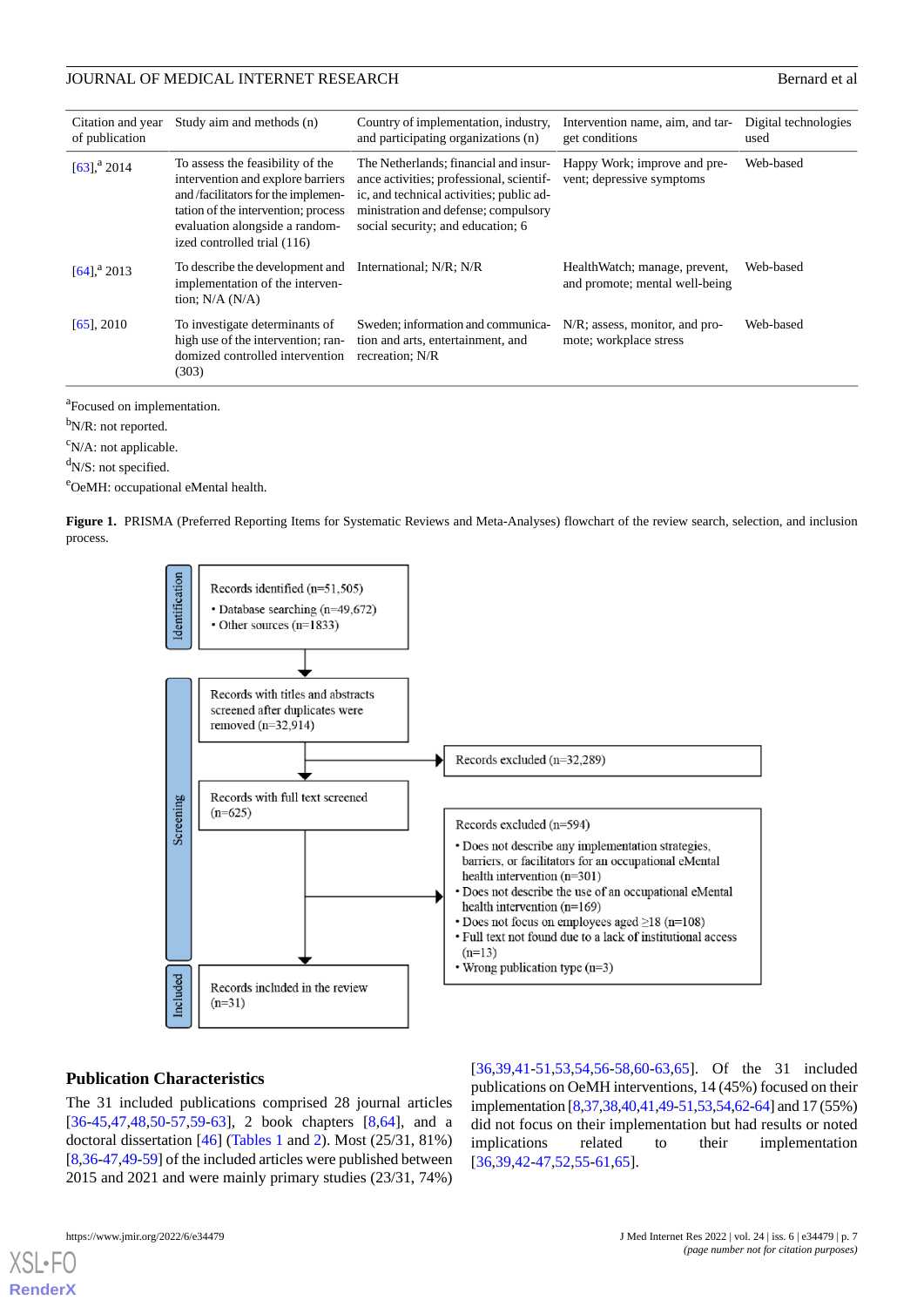| Citation and year<br>of publication | Study aim and methods (n)                                                                                                                                                                                            | Country of implementation, industry,<br>and participating organizations (n)                                                                                                                                | Intervention name, aim, and tar-<br>get conditions              | Digital technologies<br>used |
|-------------------------------------|----------------------------------------------------------------------------------------------------------------------------------------------------------------------------------------------------------------------|------------------------------------------------------------------------------------------------------------------------------------------------------------------------------------------------------------|-----------------------------------------------------------------|------------------------------|
| $[63]$ , <sup>a</sup> 2014          | To assess the feasibility of the<br>intervention and explore barriers<br>and /facilitators for the implemen-<br>tation of the intervention; process<br>evaluation alongside a random-<br>ized controlled trial (116) | The Netherlands; financial and insur-<br>ance activities; professional, scientif-<br>ic, and technical activities; public ad-<br>ministration and defense; compulsory<br>social security; and education; 6 | Happy Work; improve and pre-<br>vent; depressive symptoms       | Web-based                    |
| $[64]$ , <sup>a</sup> 2013          | To describe the development and International; N/R; N/R<br>implementation of the interven-<br>tion; $N/A$ $(N/A)$                                                                                                    |                                                                                                                                                                                                            | HealthWatch; manage, prevent,<br>and promote; mental well-being | Web-based                    |
| $[65]$ , 2010                       | To investigate determinants of<br>high use of the intervention; ran-<br>domized controlled intervention<br>(303)                                                                                                     | Sweden; information and communica-<br>tion and arts, entertainment, and<br>recreation; N/R                                                                                                                 | N/R; assess, monitor, and pro-<br>mote; workplace stress        | Web-based                    |

<sup>a</sup>Focused on implementation.

b<sub>N/R</sub>: not reported.

 $\rm^c$ N/A: not applicable.

<span id="page-6-0"></span> $d$ N/S: not specified.

<sup>e</sup>OeMH: occupational eMental health.

**Figure 1.** PRISMA (Preferred Reporting Items for Systematic Reviews and Meta-Analyses) flowchart of the review search, selection, and inclusion process.



#### **Publication Characteristics**

The 31 included publications comprised 28 journal articles [[36](#page-21-1)[-45](#page-21-10),[47,](#page-21-12)[48](#page-21-13),[50-](#page-21-15)[57](#page-22-4)[,59](#page-22-6)-[63\]](#page-22-10), 2 book chapters [\[8](#page-19-6),[64\]](#page-22-11), and a doctoral dissertation [[46\]](#page-21-11) [\(Tables 1](#page-4-0) and [2](#page-7-0)). Most (25/31, 81%) [[8,](#page-19-6)[36](#page-21-1)[-47](#page-21-12),[49](#page-21-14)-[59\]](#page-22-6) of the included articles were published between 2015 and 2021 and were mainly primary studies (23/31, 74%)

[[36,](#page-21-1)[39,](#page-21-4)[41](#page-21-6)[-51](#page-21-16),[53](#page-22-0)[,54](#page-22-1),[56-](#page-22-3)[58](#page-22-5),[60-](#page-22-7)[63](#page-22-10)[,65](#page-22-12)]. Of the 31 included publications on OeMH interventions, 14 (45%) focused on their implementation [\[8](#page-19-6)[,37](#page-21-2)[,38](#page-21-3)[,40](#page-21-5)[,41](#page-21-6),[49](#page-21-14)[-51](#page-21-16),[53](#page-22-0),[54](#page-22-1),[62](#page-22-9)[-64](#page-22-11)] and 17 (55%) did not focus on their implementation but had results or noted implications related to their implementation [[36,](#page-21-1)[39,](#page-21-4)[42](#page-21-7)[-47](#page-21-12),[52](#page-21-17)[,55](#page-22-2)-[61,](#page-22-8)[65](#page-22-12)].

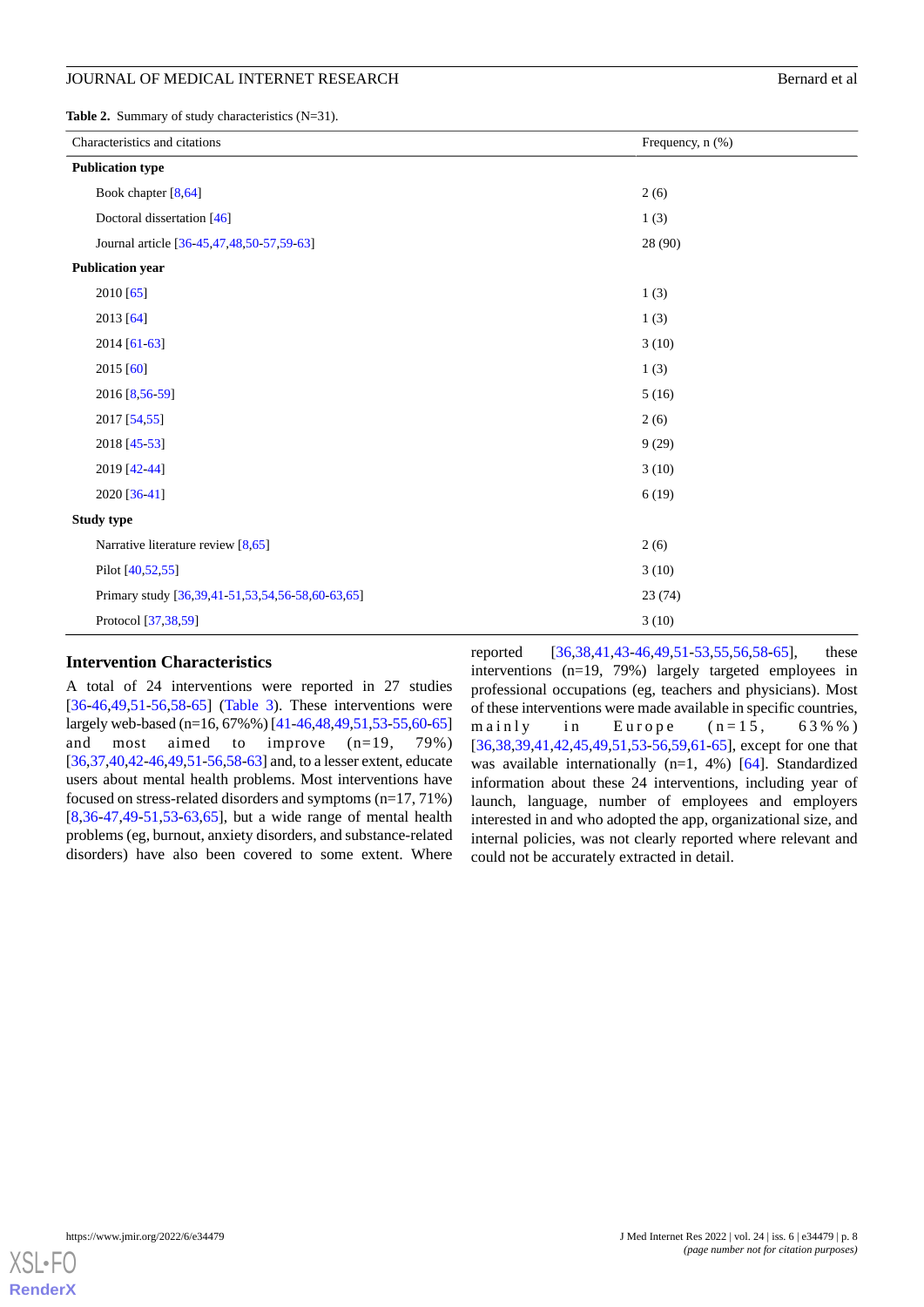<span id="page-7-0"></span>**Table 2.** Summary of study characteristics (N=31).

| Characteristics and citations |                                                  | Frequency, n (%) |
|-------------------------------|--------------------------------------------------|------------------|
|                               | <b>Publication type</b>                          |                  |
|                               | Book chapter [8,64]                              | 2(6)             |
|                               | Doctoral dissertation [46]                       | 1(3)             |
|                               | Journal article [36-45,47,48,50-57,59-63]        | 28 (90)          |
|                               | <b>Publication year</b>                          |                  |
|                               | 2010 [65]                                        | 1(3)             |
|                               | 2013 [64]                                        | 1(3)             |
|                               | 2014 [61-63]                                     | 3(10)            |
|                               | 2015 [60]                                        | 1(3)             |
|                               | 2016 [8,56-59]                                   | 5(16)            |
|                               | 2017 [54,55]                                     | 2(6)             |
|                               | 2018 [45-53]                                     | 9(29)            |
|                               | 2019 [42-44]                                     | 3(10)            |
|                               | 2020 [36-41]                                     | 6(19)            |
| Study type                    |                                                  |                  |
|                               | Narrative literature review $[8,65]$             | 2(6)             |
|                               | Pilot [40,52,55]                                 | 3(10)            |
|                               | Primary study [36,39,41-51,53,54,56-58,60-63,65] | 23(74)           |
|                               | Protocol [37,38,59]                              | 3(10)            |

# **Intervention Characteristics**

A total of 24 interventions were reported in 27 studies [[36](#page-21-1)[-46](#page-21-11),[49,](#page-21-14)[51](#page-21-16)-[56,](#page-22-3)[58](#page-22-5)[-65](#page-22-12)] ([Table 3](#page-8-0)). These interventions were largely web-based (n=16, 67%%) [\[41-](#page-21-6)[46](#page-21-11)[,48](#page-21-13),[49](#page-21-14),[51,](#page-21-16)[53](#page-22-0)[-55](#page-22-2)[,60](#page-22-7)[-65](#page-22-12)] and most aimed to improve (n=19, 79%) [[36,](#page-21-1)[37](#page-21-2)[,40](#page-21-5),[42-](#page-21-7)[46](#page-21-11)[,49](#page-21-14)[,51](#page-21-16)-[56,](#page-22-3)[58](#page-22-5)[-63](#page-22-10)] and, to a lesser extent, educate users about mental health problems. Most interventions have focused on stress-related disorders and symptoms (n=17, 71%) [[8](#page-19-6)[,36](#page-21-1)-[47,](#page-21-12)[49](#page-21-14)[-51](#page-21-16)[,53](#page-22-0)[-63](#page-22-10),[65\]](#page-22-12), but a wide range of mental health problems (eg, burnout, anxiety disorders, and substance-related disorders) have also been covered to some extent. Where

reported [\[36](#page-21-1),[38](#page-21-3)[,41](#page-21-6),[43](#page-21-8)[-46](#page-21-11),[49,](#page-21-14)[51](#page-21-16)-[53,](#page-22-0)[55](#page-22-2)[,56](#page-22-3),[58](#page-22-5)[-65](#page-22-12)], these interventions (n=19, 79%) largely targeted employees in professional occupations (eg, teachers and physicians). Most of these interventions were made available in specific countries, mainly in Europe  $(n=15, 63\% \%)$ [[36,](#page-21-1)[38,](#page-21-3)[39](#page-21-4)[,41](#page-21-6),[42,](#page-21-7)[45,](#page-21-10)[49](#page-21-14)[,51](#page-21-16),[53](#page-22-0)[-56](#page-22-3),[59](#page-22-6)[,61](#page-22-8)-[65\]](#page-22-12), except for one that was available internationally (n=1, 4%) [[64\]](#page-22-11). Standardized information about these 24 interventions, including year of launch, language, number of employees and employers interested in and who adopted the app, organizational size, and internal policies, was not clearly reported where relevant and could not be accurately extracted in detail.

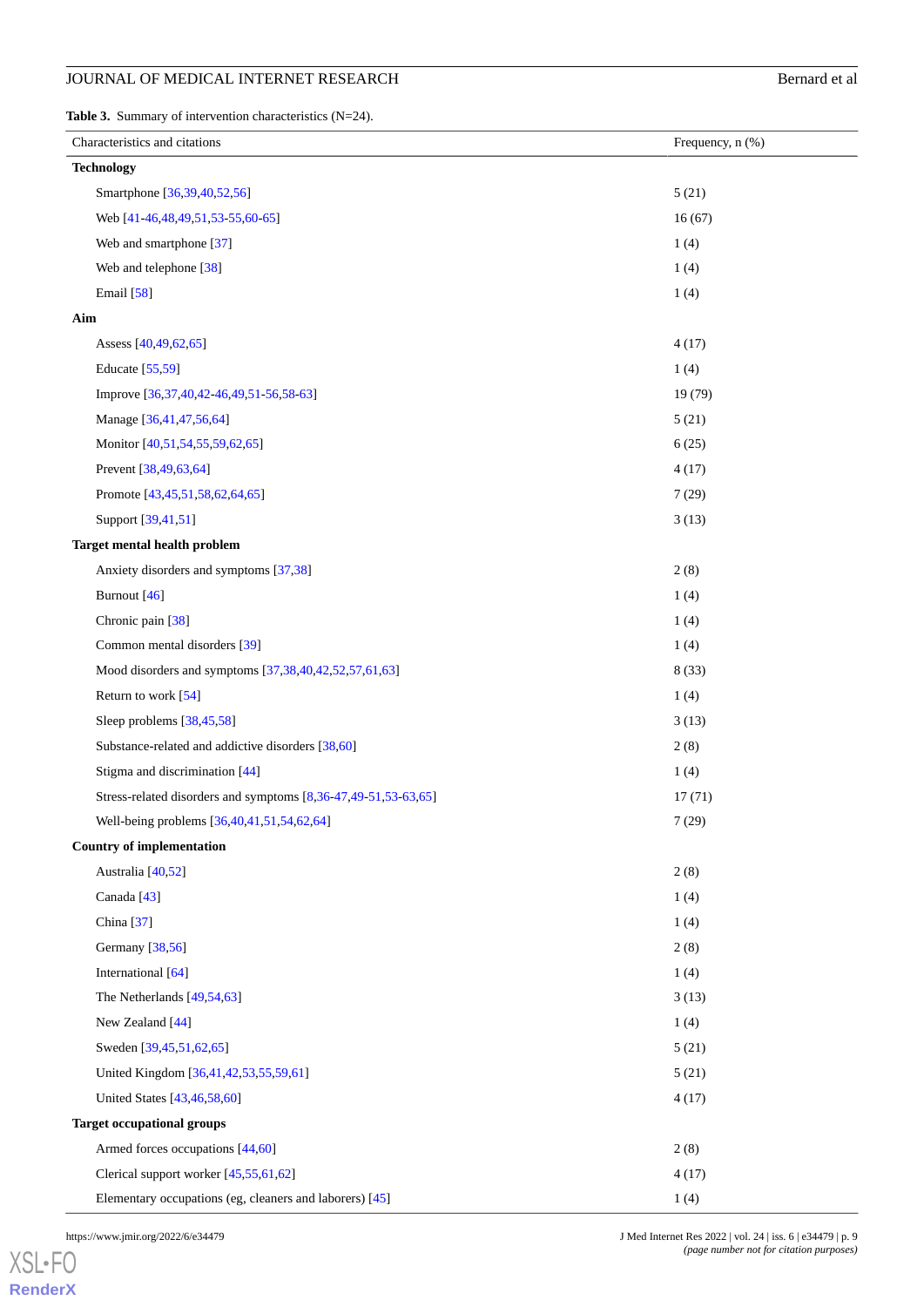# **JOURNAL OF MEDICAL INTERNET RESEARCH** Bernard et al

<span id="page-8-0"></span>**Table 3.** Summary of intervention characteristics (N=24).

| Characteristics and citations                                  | Frequency, n (%) |
|----------------------------------------------------------------|------------------|
| <b>Technology</b>                                              |                  |
| Smartphone [36,39,40,52,56]                                    | 5(21)            |
| Web [41-46,48,49,51,53-55,60-65]                               | 16(67)           |
| Web and smartphone [37]                                        | 1(4)             |
| Web and telephone [38]                                         | 1(4)             |
| <b>Email</b> [58]                                              | 1(4)             |
| Aim                                                            |                  |
| Assess [40,49,62,65]                                           | 4(17)            |
| Educate [55,59]                                                | 1(4)             |
| Improve [36,37,40,42-46,49,51-56,58-63]                        | 19 (79)          |
| Manage [36,41,47,56,64]                                        | 5(21)            |
| Monitor [40,51,54,55,59,62,65]                                 | 6(25)            |
| Prevent [38,49,63,64]                                          | 4(17)            |
| Promote [43,45,51,58,62,64,65]                                 | 7(29)            |
| Support [39,41,51]                                             | 3(13)            |
| <b>Target mental health problem</b>                            |                  |
| Anxiety disorders and symptoms [37,38]                         | 2(8)             |
| Burnout [46]                                                   | 1(4)             |
| Chronic pain [38]                                              | 1(4)             |
| Common mental disorders [39]                                   | 1(4)             |
| Mood disorders and symptoms [37,38,40,42,52,57,61,63]          | 8(33)            |
| Return to work $[54]$                                          | 1(4)             |
| Sleep problems [38,45,58]                                      | 3(13)            |
| Substance-related and addictive disorders [38,60]              | 2(8)             |
| Stigma and discrimination [44]                                 | 1(4)             |
| Stress-related disorders and symptoms [8,36-47,49-51,53-63,65] | 17(71)           |
| Well-being problems [36,40,41,51,54,62,64]                     | 7(29)            |
| <b>Country of implementation</b>                               |                  |
| Australia [40,52]                                              | 2(8)             |
| Canada <sup>[43]</sup>                                         | 1(4)             |
| China [37]                                                     | 1(4)             |
| Germany [38,56]                                                | 2(8)             |
| International [64]                                             | 1(4)             |
| The Netherlands $[49,54,63]$                                   | 3(13)            |
| New Zealand [44]                                               | 1(4)             |
| Sweden [39,45,51,62,65]                                        | 5(21)            |
| United Kingdom [36,41,42,53,55,59,61]                          | 5(21)            |
| United States [43,46,58,60]                                    | 4(17)            |
| <b>Target occupational groups</b>                              |                  |
| Armed forces occupations [44,60]                               | 2(8)             |
| Clerical support worker [45,55,61,62]                          | 4(17)            |
| Elementary occupations (eg, cleaners and laborers) [45]        | 1(4)             |

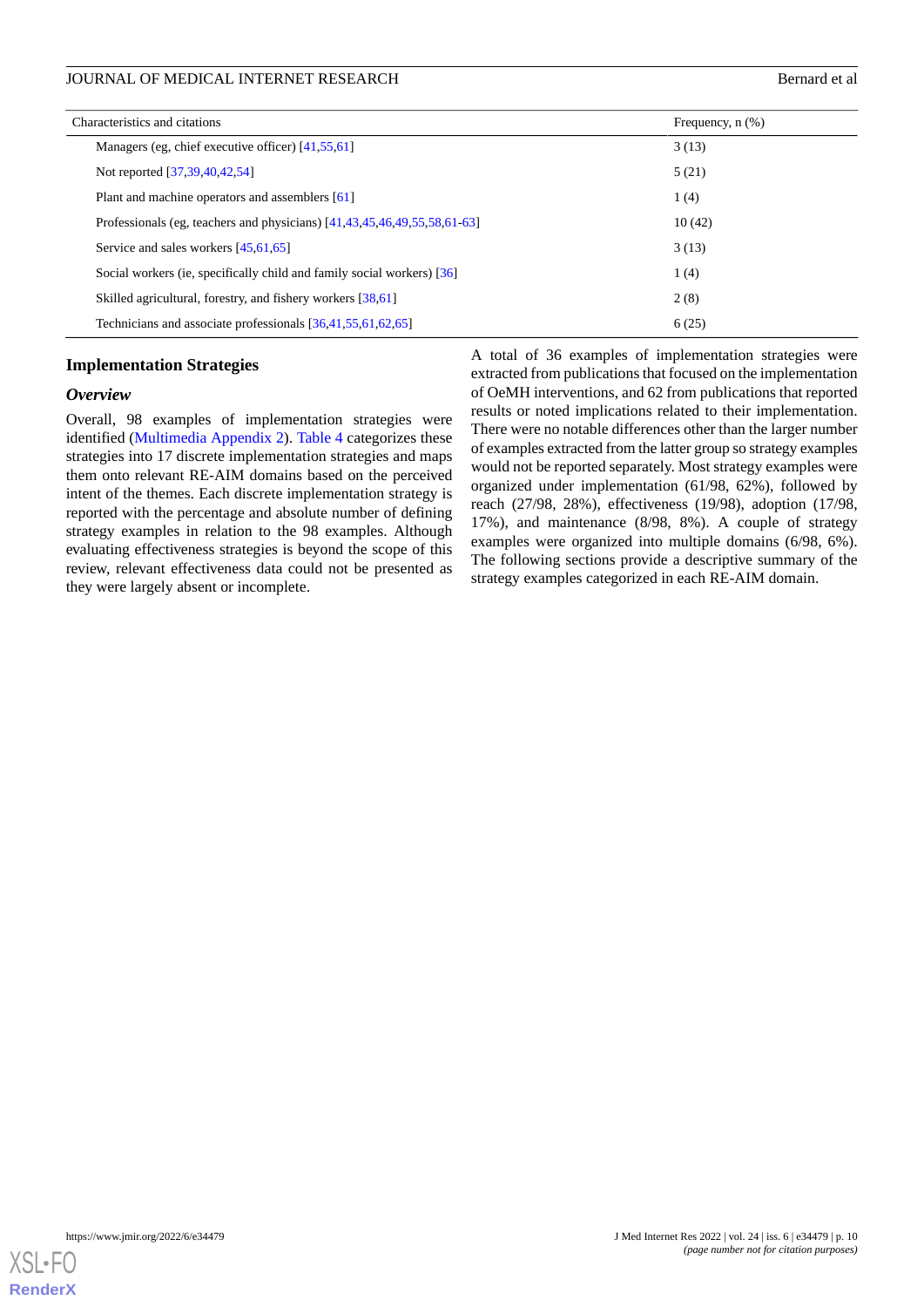| Characteristics and citations<br>Frequency, $n$ $(\%)$                             |        |
|------------------------------------------------------------------------------------|--------|
| Managers (eg, chief executive officer) [41,55,61]                                  | 3(13)  |
| Not reported [37,39,40,42,54]                                                      | 5(21)  |
| Plant and machine operators and assemblers [61]                                    | 1(4)   |
| Professionals (eg. teachers and physicians) $[41, 43, 45, 46, 49, 55, 58, 61, 63]$ | 10(42) |
| Service and sales workers [45,61,65]                                               | 3(13)  |
| Social workers (ie, specifically child and family social workers) [36]             | 1(4)   |
| Skilled agricultural, forestry, and fishery workers [38,61]                        | 2(8)   |
| Technicians and associate professionals [36,41,55,61,62,65]                        | 6(25)  |

# **Implementation Strategies**

#### *Overview*

Overall, 98 examples of implementation strategies were identified ([Multimedia Appendix 2\)](#page-19-12). [Table 4](#page-10-0) categorizes these strategies into 17 discrete implementation strategies and maps them onto relevant RE-AIM domains based on the perceived intent of the themes. Each discrete implementation strategy is reported with the percentage and absolute number of defining strategy examples in relation to the 98 examples. Although evaluating effectiveness strategies is beyond the scope of this review, relevant effectiveness data could not be presented as they were largely absent or incomplete.

A total of 36 examples of implementation strategies were extracted from publications that focused on the implementation of OeMH interventions, and 62 from publications that reported results or noted implications related to their implementation. There were no notable differences other than the larger number of examples extracted from the latter group so strategy examples would not be reported separately. Most strategy examples were organized under implementation (61/98, 62%), followed by reach (27/98, 28%), effectiveness (19/98), adoption (17/98, 17%), and maintenance (8/98, 8%). A couple of strategy examples were organized into multiple domains (6/98, 6%). The following sections provide a descriptive summary of the strategy examples categorized in each RE-AIM domain.

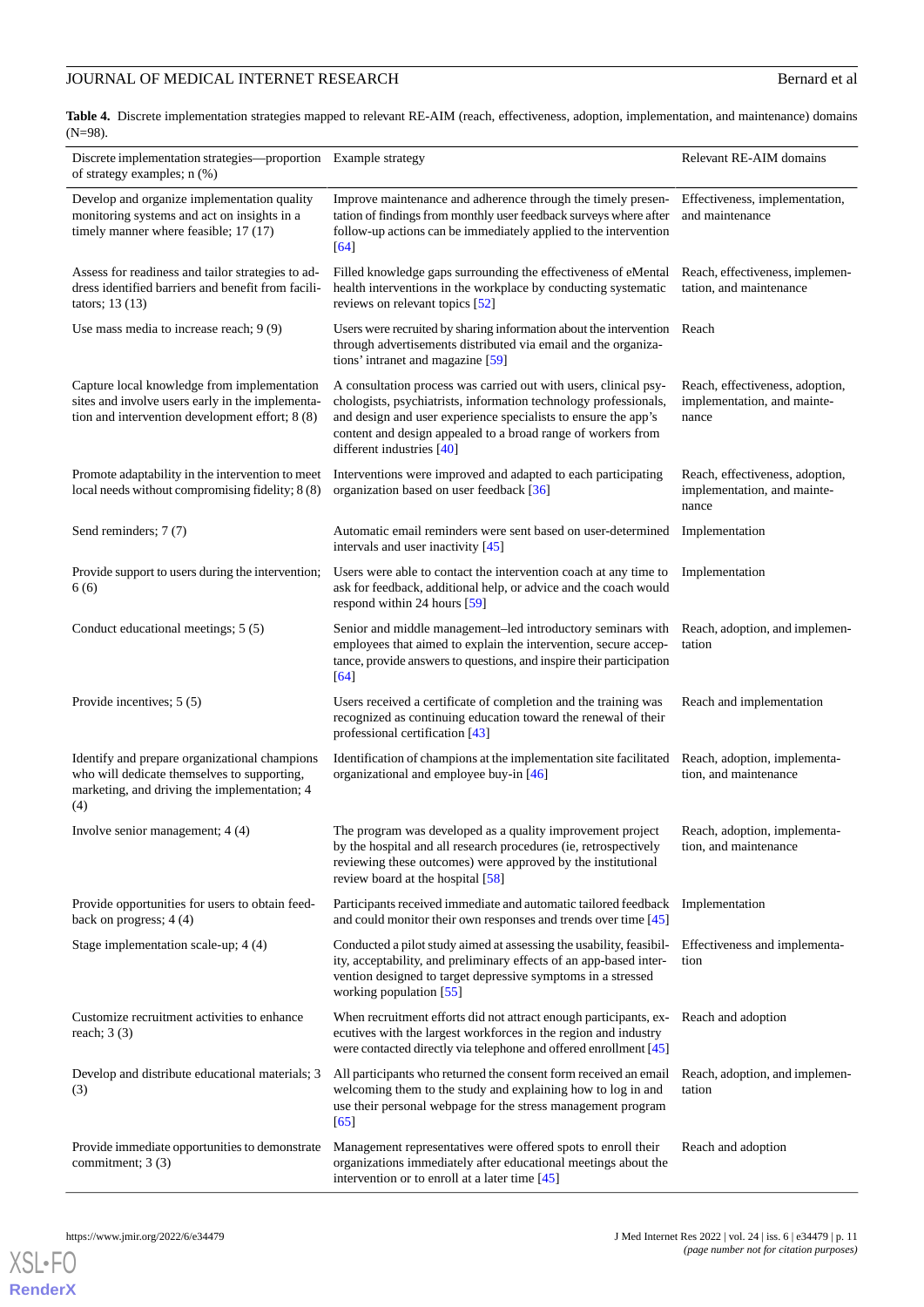# JOURNAL OF MEDICAL INTERNET RESEARCH Bernard et al.

<span id="page-10-0"></span>**Table 4.** Discrete implementation strategies mapped to relevant RE-AIM (reach, effectiveness, adoption, implementation, and maintenance) domains (N=98).

| Discrete implementation strategies-proportion<br>of strategy examples; n (%)                                                                        | Example strategy                                                                                                                                                                                                                                                                                    | Relevant RE-AIM domains                                                 |
|-----------------------------------------------------------------------------------------------------------------------------------------------------|-----------------------------------------------------------------------------------------------------------------------------------------------------------------------------------------------------------------------------------------------------------------------------------------------------|-------------------------------------------------------------------------|
| Develop and organize implementation quality<br>monitoring systems and act on insights in a<br>timely manner where feasible; 17 (17)                 | Improve maintenance and adherence through the timely presen-<br>tation of findings from monthly user feedback surveys where after<br>follow-up actions can be immediately applied to the intervention<br>$[64]$                                                                                     | Effectiveness, implementation,<br>and maintenance                       |
| Assess for readiness and tailor strategies to ad-<br>dress identified barriers and benefit from facili-<br>tators; $13(13)$                         | Filled knowledge gaps surrounding the effectiveness of eMental<br>health interventions in the workplace by conducting systematic<br>reviews on relevant topics [52]                                                                                                                                 | Reach, effectiveness, implemen-<br>tation, and maintenance              |
| Use mass media to increase reach; $9(9)$                                                                                                            | Users were recruited by sharing information about the intervention<br>through advertisements distributed via email and the organiza-<br>tions' intranet and magazine [59]                                                                                                                           | Reach                                                                   |
| Capture local knowledge from implementation<br>sites and involve users early in the implementa-<br>tion and intervention development effort; 8 (8)  | A consultation process was carried out with users, clinical psy-<br>chologists, psychiatrists, information technology professionals,<br>and design and user experience specialists to ensure the app's<br>content and design appealed to a broad range of workers from<br>different industries [40] | Reach, effectiveness, adoption,<br>implementation, and mainte-<br>nance |
| Promote adaptability in the intervention to meet<br>local needs without compromising fidelity; 8 (8)                                                | Interventions were improved and adapted to each participating<br>organization based on user feedback [36]                                                                                                                                                                                           | Reach, effectiveness, adoption,<br>implementation, and mainte-<br>nance |
| Send reminders; 7 (7)                                                                                                                               | Automatic email reminders were sent based on user-determined<br>intervals and user inactivity [45]                                                                                                                                                                                                  | Implementation                                                          |
| Provide support to users during the intervention;<br>6(6)                                                                                           | Users were able to contact the intervention coach at any time to<br>ask for feedback, additional help, or advice and the coach would<br>respond within 24 hours [59]                                                                                                                                | Implementation                                                          |
| Conduct educational meetings; 5 (5)                                                                                                                 | Senior and middle management-led introductory seminars with<br>employees that aimed to explain the intervention, secure accep-<br>tance, provide answers to questions, and inspire their participation<br>[64]                                                                                      | Reach, adoption, and implemen-<br>tation                                |
| Provide incentives; 5 (5)                                                                                                                           | Users received a certificate of completion and the training was<br>recognized as continuing education toward the renewal of their<br>professional certification [43]                                                                                                                                | Reach and implementation                                                |
| Identify and prepare organizational champions<br>who will dedicate themselves to supporting,<br>marketing, and driving the implementation; 4<br>(4) | Identification of champions at the implementation site facilitated<br>organizational and employee buy-in [46]                                                                                                                                                                                       | Reach, adoption, implementa-<br>tion, and maintenance                   |
| Involve senior management; 4 (4)                                                                                                                    | The program was developed as a quality improvement project<br>by the hospital and all research procedures (ie, retrospectively<br>reviewing these outcomes) were approved by the institutional<br>review board at the hospital [58]                                                                 | Reach, adoption, implementa-<br>tion, and maintenance                   |
| Provide opportunities for users to obtain feed-<br>back on progress; $4(4)$                                                                         | Participants received immediate and automatic tailored feedback<br>and could monitor their own responses and trends over time [45]                                                                                                                                                                  | Implementation                                                          |
| Stage implementation scale-up; 4 (4)                                                                                                                | Conducted a pilot study aimed at assessing the usability, feasibil-<br>ity, acceptability, and preliminary effects of an app-based inter-<br>vention designed to target depressive symptoms in a stressed<br>working population [55]                                                                | Effectiveness and implementa-<br>tion                                   |
| Customize recruitment activities to enhance<br>reach; $3(3)$                                                                                        | When recruitment efforts did not attract enough participants, ex-<br>ecutives with the largest workforces in the region and industry<br>were contacted directly via telephone and offered enrollment [45]                                                                                           | Reach and adoption                                                      |
| Develop and distribute educational materials; 3<br>(3)                                                                                              | All participants who returned the consent form received an email<br>welcoming them to the study and explaining how to log in and<br>use their personal webpage for the stress management program<br>[65]                                                                                            | Reach, adoption, and implemen-<br>tation                                |
| Provide immediate opportunities to demonstrate<br>commitment; 3 (3)                                                                                 | Management representatives were offered spots to enroll their<br>organizations immediately after educational meetings about the<br>intervention or to enroll at a later time [45]                                                                                                                   | Reach and adoption                                                      |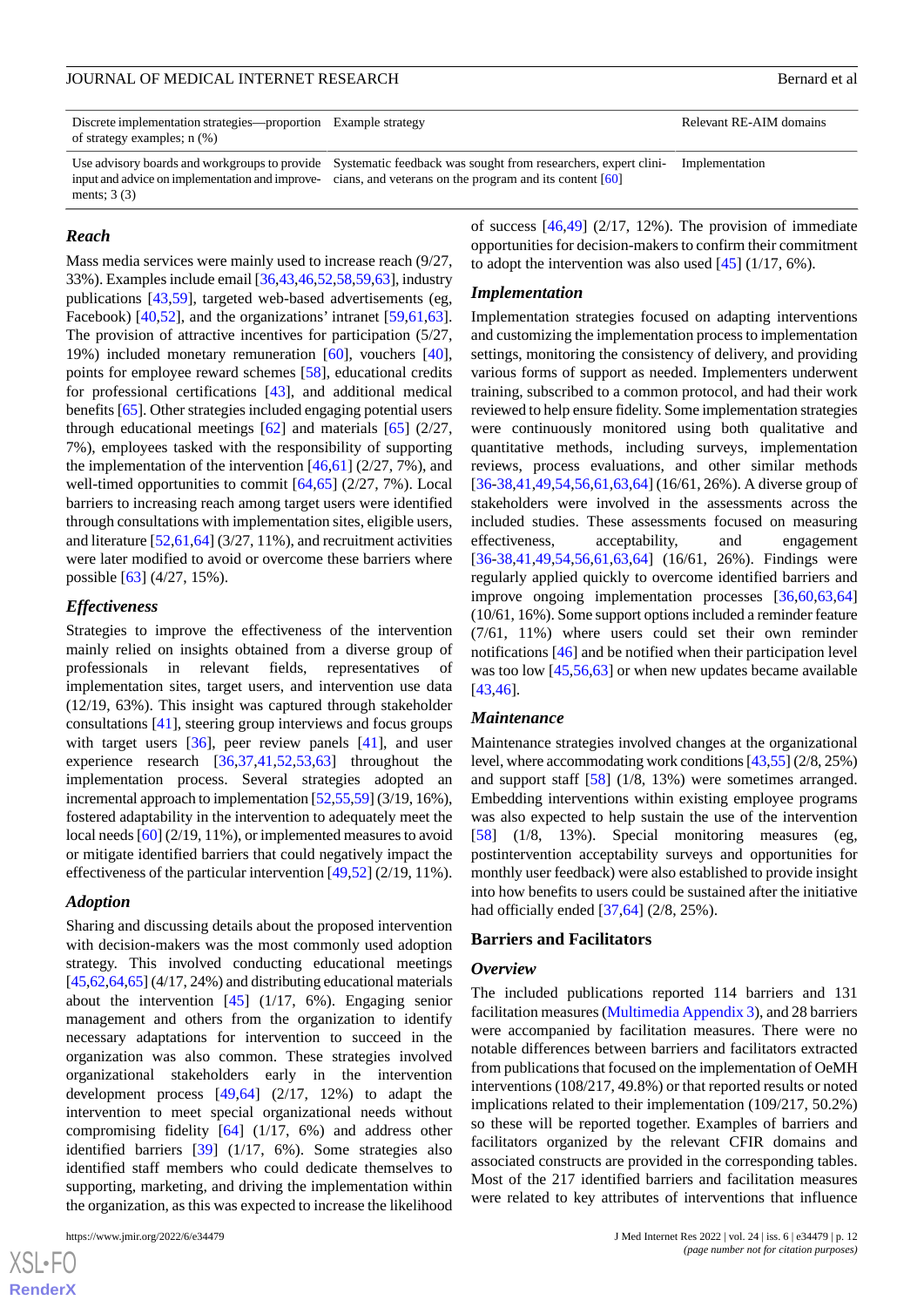Discrete implementation strategies—proportion Example strategy Relevant RE-AIM domains of strategy examples; n (%)

Use advisory boards and workgroups to provide Systematic feedback was sought from researchers, expert clini- Implementation input and advice on implementation and improve- cians, and veterans on the program and its content [[60](#page-22-7)]

#### *Reach*

ments; 3 (3)

Mass media services were mainly used to increase reach (9/27, 33%). Examples include email [[36,](#page-21-1)[43](#page-21-8)[,46](#page-21-11),[52](#page-21-17)[,58](#page-22-5)[,59](#page-22-6),[63\]](#page-22-10), industry publications [\[43](#page-21-8)[,59](#page-22-6)], targeted web-based advertisements (eg, Facebook) [[40](#page-21-5)[,52](#page-21-17)], and the organizations' intranet [[59](#page-22-6)[,61](#page-22-8),[63\]](#page-22-10). The provision of attractive incentives for participation (5/27, 19%) included monetary remuneration [[60\]](#page-22-7), vouchers [[40\]](#page-21-5), points for employee reward schemes [\[58](#page-22-5)], educational credits for professional certifications [\[43](#page-21-8)], and additional medical benefits [[65\]](#page-22-12). Other strategies included engaging potential users through educational meetings  $[62]$  $[62]$  and materials  $[65]$  $[65]$  (2/27, 7%), employees tasked with the responsibility of supporting the implementation of the intervention  $[46,61]$  $[46,61]$  $[46,61]$  (2/27, 7%), and well-timed opportunities to commit  $[64,65]$  $[64,65]$  $[64,65]$  $[64,65]$  (2/27, 7%). Local barriers to increasing reach among target users were identified through consultations with implementation sites, eligible users, and literature [\[52](#page-21-17)[,61](#page-22-8),[64\]](#page-22-11) (3/27, 11%), and recruitment activities were later modified to avoid or overcome these barriers where possible [\[63](#page-22-10)] (4/27, 15%).

# *Effectiveness*

Strategies to improve the effectiveness of the intervention mainly relied on insights obtained from a diverse group of professionals in relevant fields, representatives of implementation sites, target users, and intervention use data (12/19, 63%). This insight was captured through stakeholder consultations [\[41](#page-21-6)], steering group interviews and focus groups with target users [\[36](#page-21-1)], peer review panels [[41\]](#page-21-6), and user experience research [\[36](#page-21-1),[37,](#page-21-2)[41](#page-21-6)[,52](#page-21-17)[,53](#page-22-0),[63\]](#page-22-10) throughout the implementation process. Several strategies adopted an incremental approach to implementation [[52,](#page-21-17)[55](#page-22-2)[,59\]](#page-22-6) (3/19, 16%), fostered adaptability in the intervention to adequately meet the local needs [[60](#page-22-7)] (2/19, 11%), or implemented measures to avoid or mitigate identified barriers that could negatively impact the effectiveness of the particular intervention [\[49](#page-21-14),[52\]](#page-21-17) (2/19, 11%).

#### *Adoption*

Sharing and discussing details about the proposed intervention with decision-makers was the most commonly used adoption strategy. This involved conducting educational meetings  $[45,62,64,65]$  $[45,62,64,65]$  $[45,62,64,65]$  $[45,62,64,65]$  $[45,62,64,65]$  $[45,62,64,65]$  (4/17, 24%) and distributing educational materials about the intervention [[45\]](#page-21-10) (1/17, 6%). Engaging senior management and others from the organization to identify necessary adaptations for intervention to succeed in the organization was also common. These strategies involved organizational stakeholders early in the intervention development process [[49](#page-21-14)[,64](#page-22-11)] (2/17, 12%) to adapt the intervention to meet special organizational needs without compromising fidelity [[64\]](#page-22-11) (1/17, 6%) and address other identified barriers [\[39](#page-21-4)] (1/17, 6%). Some strategies also identified staff members who could dedicate themselves to supporting, marketing, and driving the implementation within the organization, as this was expected to increase the likelihood

of success  $[46,49]$  $[46,49]$  $[46,49]$  $[46,49]$  (2/17, 12%). The provision of immediate opportunities for decision-makers to confirm their commitment to adopt the intervention was also used  $[45]$  $[45]$  (1/17, 6%).

#### *Implementation*

Implementation strategies focused on adapting interventions and customizing the implementation process to implementation settings, monitoring the consistency of delivery, and providing various forms of support as needed. Implementers underwent training, subscribed to a common protocol, and had their work reviewed to help ensure fidelity. Some implementation strategies were continuously monitored using both qualitative and quantitative methods, including surveys, implementation reviews, process evaluations, and other similar methods [[36](#page-21-1)[-38](#page-21-3),[41](#page-21-6)[,49](#page-21-14),[54](#page-22-1)[,56](#page-22-3),[61](#page-22-8)[,63](#page-22-10),[64\]](#page-22-11) (16/61, 26%). A diverse group of stakeholders were involved in the assessments across the included studies. These assessments focused on measuring effectiveness, acceptability, and engagement [[36](#page-21-1)[-38](#page-21-3),[41](#page-21-6)[,49](#page-21-14),[54](#page-22-1)[,56](#page-22-3),[61](#page-22-8)[,63](#page-22-10),[64\]](#page-22-11) (16/61, 26%). Findings were regularly applied quickly to overcome identified barriers and improve ongoing implementation processes [[36](#page-21-1)[,60](#page-22-7),[63](#page-22-10)[,64](#page-22-11)] (10/61, 16%). Some support options included a reminder feature (7/61, 11%) where users could set their own reminder notifications [\[46](#page-21-11)] and be notified when their participation level was too low [\[45](#page-21-10),[56,](#page-22-3)[63](#page-22-10)] or when new updates became available [[43,](#page-21-8)[46\]](#page-21-11).

#### *Maintenance*

Maintenance strategies involved changes at the organizational level, where accommodating work conditions [\[43](#page-21-8),[55](#page-22-2)] (2/8, 25%) and support staff [\[58](#page-22-5)] (1/8, 13%) were sometimes arranged. Embedding interventions within existing employee programs was also expected to help sustain the use of the intervention [[58\]](#page-22-5) (1/8, 13%). Special monitoring measures (eg, postintervention acceptability surveys and opportunities for monthly user feedback) were also established to provide insight into how benefits to users could be sustained after the initiative had officially ended [[37,](#page-21-2)[64\]](#page-22-11) (2/8, 25%).

#### **Barriers and Facilitators**

#### *Overview*

The included publications reported 114 barriers and 131 facilitation measures [\(Multimedia Appendix 3](#page-19-13)), and 28 barriers were accompanied by facilitation measures. There were no notable differences between barriers and facilitators extracted from publications that focused on the implementation of OeMH interventions (108/217, 49.8%) or that reported results or noted implications related to their implementation (109/217, 50.2%) so these will be reported together. Examples of barriers and facilitators organized by the relevant CFIR domains and associated constructs are provided in the corresponding tables. Most of the 217 identified barriers and facilitation measures were related to key attributes of interventions that influence

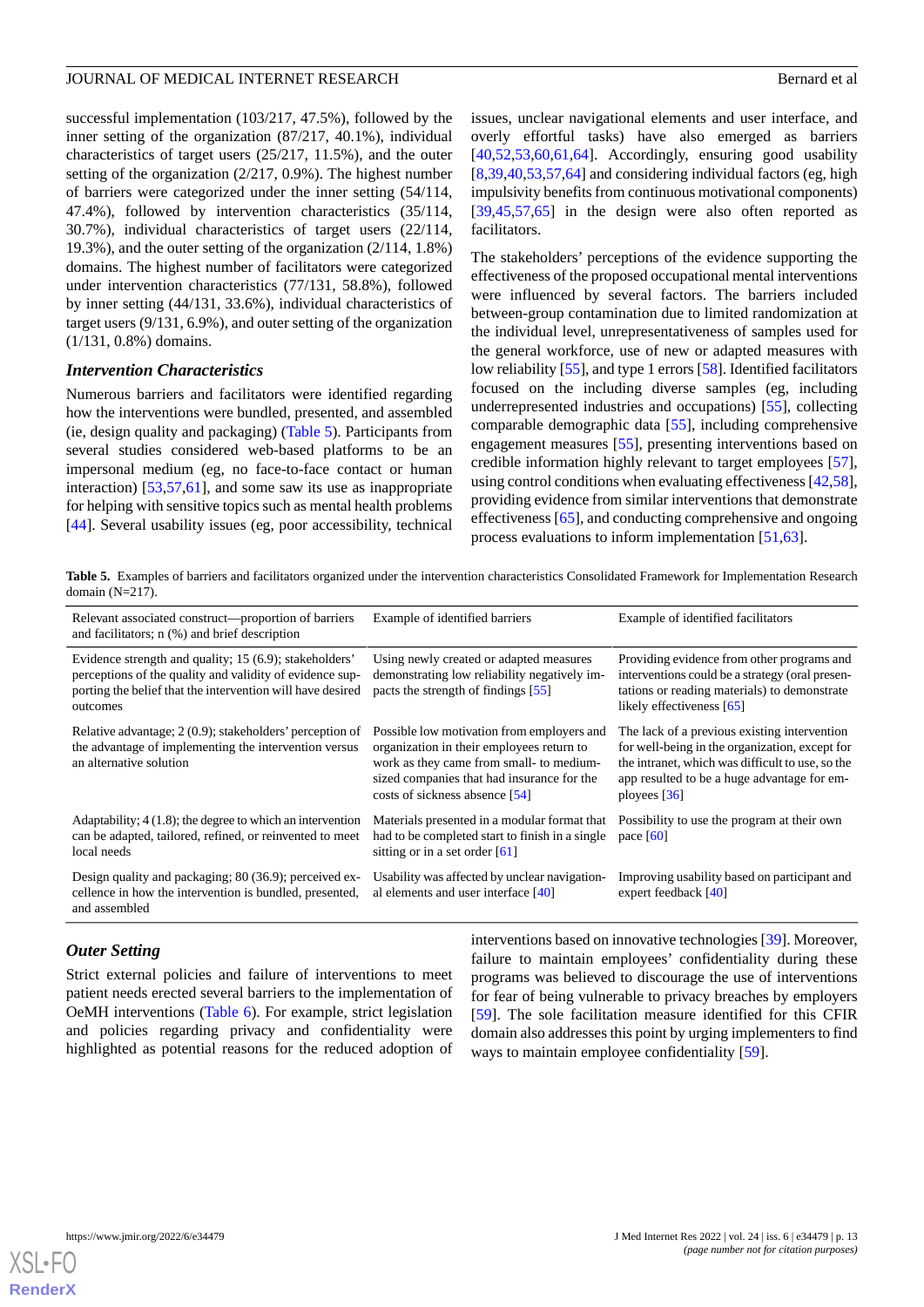successful implementation (103/217, 47.5%), followed by the inner setting of the organization (87/217, 40.1%), individual characteristics of target users (25/217, 11.5%), and the outer setting of the organization (2/217, 0.9%). The highest number of barriers were categorized under the inner setting (54/114, 47.4%), followed by intervention characteristics (35/114, 30.7%), individual characteristics of target users (22/114, 19.3%), and the outer setting of the organization (2/114, 1.8%) domains. The highest number of facilitators were categorized under intervention characteristics (77/131, 58.8%), followed by inner setting (44/131, 33.6%), individual characteristics of target users (9/131, 6.9%), and outer setting of the organization (1/131, 0.8%) domains.

#### *Intervention Characteristics*

Numerous barriers and facilitators were identified regarding how the interventions were bundled, presented, and assembled (ie, design quality and packaging) ([Table 5](#page-12-0)). Participants from several studies considered web-based platforms to be an impersonal medium (eg, no face-to-face contact or human interaction) [[53](#page-22-0)[,57](#page-22-4),[61\]](#page-22-8), and some saw its use as inappropriate for helping with sensitive topics such as mental health problems [[44\]](#page-21-9). Several usability issues (eg, poor accessibility, technical

issues, unclear navigational elements and user interface, and overly effortful tasks) have also emerged as barriers  $[40,52,53,60,61,64]$  $[40,52,53,60,61,64]$  $[40,52,53,60,61,64]$  $[40,52,53,60,61,64]$  $[40,52,53,60,61,64]$  $[40,52,53,60,61,64]$  $[40,52,53,60,61,64]$  $[40,52,53,60,61,64]$ . Accordingly, ensuring good usability [[8](#page-19-6)[,39](#page-21-4),[40,](#page-21-5)[53,](#page-22-0)[57](#page-22-4)[,64](#page-22-11)] and considering individual factors (eg, high impulsivity benefits from continuous motivational components) [[39,](#page-21-4)[45,](#page-21-10)[57](#page-22-4)[,65](#page-22-12)] in the design were also often reported as facilitators.

The stakeholders' perceptions of the evidence supporting the effectiveness of the proposed occupational mental interventions were influenced by several factors. The barriers included between-group contamination due to limited randomization at the individual level, unrepresentativeness of samples used for the general workforce, use of new or adapted measures with low reliability [\[55\]](#page-22-2), and type 1 errors [\[58](#page-22-5)]. Identified facilitators focused on the including diverse samples (eg, including underrepresented industries and occupations) [\[55](#page-22-2)], collecting comparable demographic data [\[55](#page-22-2)], including comprehensive engagement measures [\[55](#page-22-2)], presenting interventions based on credible information highly relevant to target employees [[57\]](#page-22-4), using control conditions when evaluating effectiveness [\[42](#page-21-7),[58\]](#page-22-5), providing evidence from similar interventions that demonstrate effectiveness [\[65](#page-22-12)], and conducting comprehensive and ongoing process evaluations to inform implementation [\[51](#page-21-16),[63\]](#page-22-10).

<span id="page-12-0"></span>**Table 5.** Examples of barriers and facilitators organized under the intervention characteristics Consolidated Framework for Implementation Research domain (N=217).

| Relevant associated construct—proportion of barriers<br>and facilitators; $n$ $%$ and brief description                                                                                      | Example of identified barriers                                                                                                                                                                                      | Example of identified facilitators                                                                                                                                                                                  |
|----------------------------------------------------------------------------------------------------------------------------------------------------------------------------------------------|---------------------------------------------------------------------------------------------------------------------------------------------------------------------------------------------------------------------|---------------------------------------------------------------------------------------------------------------------------------------------------------------------------------------------------------------------|
| Evidence strength and quality; 15 (6.9); stakeholders'<br>perceptions of the quality and validity of evidence sup-<br>porting the belief that the intervention will have desired<br>outcomes | Using newly created or adapted measures<br>demonstrating low reliability negatively im-<br>pacts the strength of findings [55]                                                                                      | Providing evidence from other programs and<br>interventions could be a strategy (oral presen-<br>tations or reading materials) to demonstrate<br>likely effectiveness [65]                                          |
| Relative advantage; 2 (0.9); stakeholders' perception of<br>the advantage of implementing the intervention versus<br>an alternative solution                                                 | Possible low motivation from employers and<br>organization in their employees return to<br>work as they came from small- to medium-<br>sized companies that had insurance for the<br>costs of sickness absence [54] | The lack of a previous existing intervention<br>for well-being in the organization, except for<br>the intranet, which was difficult to use, so the<br>app resulted to be a huge advantage for em-<br>ployees $[36]$ |
| Adaptability; $4(1.8)$ ; the degree to which an intervention<br>can be adapted, tailored, refined, or reinvented to meet<br>local needs                                                      | Materials presented in a modular format that<br>had to be completed start to finish in a single<br>sitting or in a set order $[61]$                                                                                 | Possibility to use the program at their own<br>pace $[60]$                                                                                                                                                          |
| Design quality and packaging; 80 (36.9); perceived ex-<br>cellence in how the intervention is bundled, presented,<br>and assembled                                                           | Usability was affected by unclear navigation-<br>al elements and user interface $[40]$                                                                                                                              | Improving usability based on participant and<br>expert feedback [40]                                                                                                                                                |

#### *Outer Setting*

Strict external policies and failure of interventions to meet patient needs erected several barriers to the implementation of OeMH interventions ([Table 6\)](#page-13-0). For example, strict legislation and policies regarding privacy and confidentiality were highlighted as potential reasons for the reduced adoption of interventions based on innovative technologies [[39\]](#page-21-4). Moreover, failure to maintain employees' confidentiality during these programs was believed to discourage the use of interventions for fear of being vulnerable to privacy breaches by employers [[59\]](#page-22-6). The sole facilitation measure identified for this CFIR domain also addresses this point by urging implementers to find ways to maintain employee confidentiality [[59\]](#page-22-6).

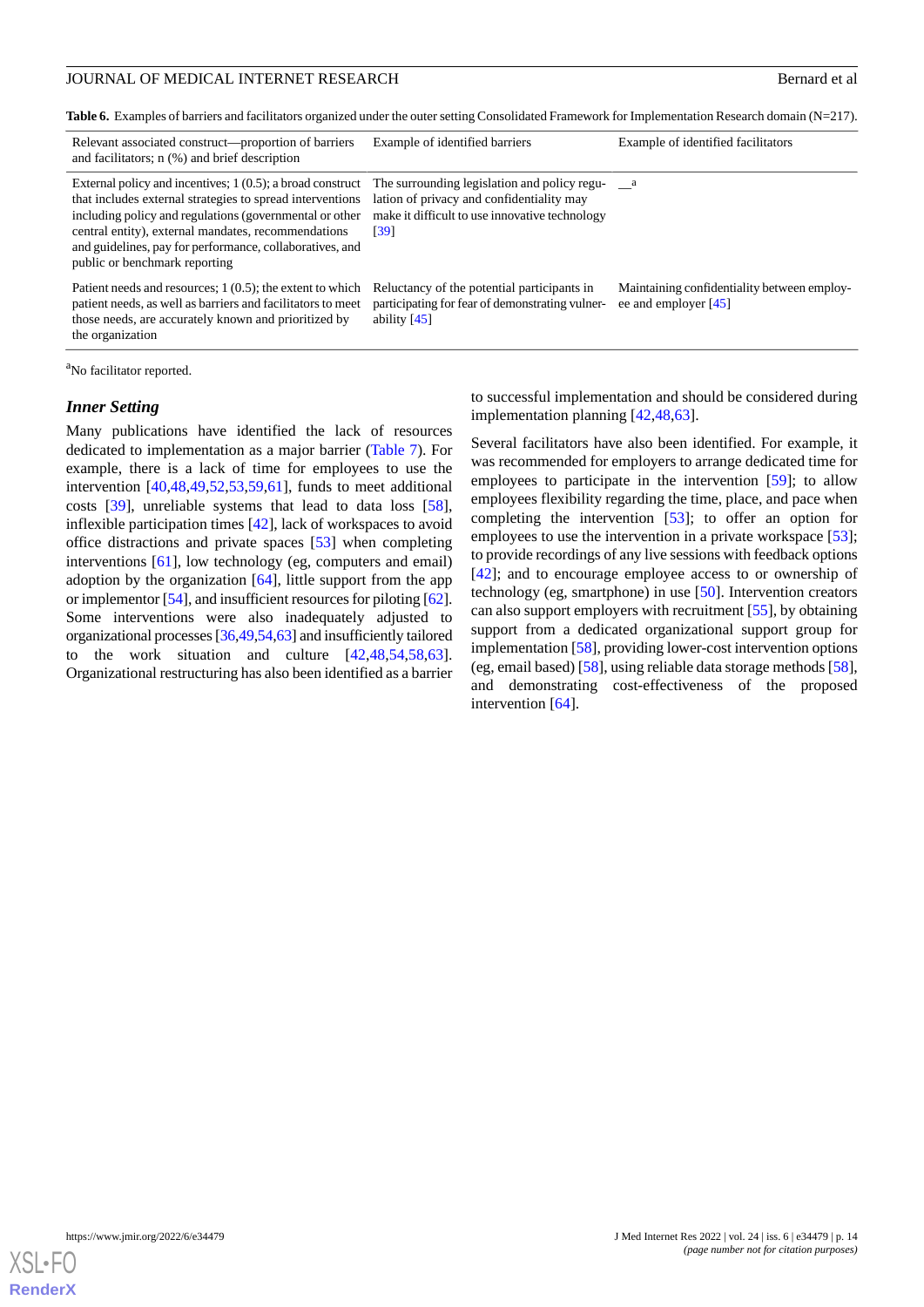<span id="page-13-0"></span>**Table 6.** Examples of barriers and facilitators organized under the outer setting Consolidated Framework for Implementation Research domain (N=217).

| Relevant associated construct—proportion of barriers<br>and facilitators; n (%) and brief description                                                                                                                                                                                                                                    | Example of identified barriers                                                                                                                      | Example of identified facilitators                                  |
|------------------------------------------------------------------------------------------------------------------------------------------------------------------------------------------------------------------------------------------------------------------------------------------------------------------------------------------|-----------------------------------------------------------------------------------------------------------------------------------------------------|---------------------------------------------------------------------|
| External policy and incentives; $1(0.5)$ ; a broad construct<br>that includes external strategies to spread interventions<br>including policy and regulations (governmental or other<br>central entity), external mandates, recommendations<br>and guidelines, pay for performance, collaboratives, and<br>public or benchmark reporting | The surrounding legislation and policy regu-<br>lation of privacy and confidentiality may<br>make it difficult to use innovative technology<br>[39] | a a                                                                 |
| Patient needs and resources; $1(0.5)$ ; the extent to which<br>patient needs, as well as barriers and facilitators to meet<br>those needs, are accurately known and prioritized by<br>the organization                                                                                                                                   | Reluctancy of the potential participants in<br>participating for fear of demonstrating vulner-<br>ability $[45]$                                    | Maintaining confidentiality between employ-<br>ee and employer [45] |

<sup>a</sup>No facilitator reported.

#### *Inner Setting*

Many publications have identified the lack of resources dedicated to implementation as a major barrier ([Table 7\)](#page-14-0). For example, there is a lack of time for employees to use the intervention  $[40,48,49,52,53,59,61]$  $[40,48,49,52,53,59,61]$  $[40,48,49,52,53,59,61]$  $[40,48,49,52,53,59,61]$  $[40,48,49,52,53,59,61]$  $[40,48,49,52,53,59,61]$  $[40,48,49,52,53,59,61]$  $[40,48,49,52,53,59,61]$  $[40,48,49,52,53,59,61]$  $[40,48,49,52,53,59,61]$ , funds to meet additional costs [\[39](#page-21-4)], unreliable systems that lead to data loss [[58\]](#page-22-5), inflexible participation times [\[42](#page-21-7)], lack of workspaces to avoid office distractions and private spaces [\[53](#page-22-0)] when completing interventions [\[61](#page-22-8)], low technology (eg, computers and email) adoption by the organization  $[64]$  $[64]$ , little support from the app or implementor [\[54\]](#page-22-1), and insufficient resources for piloting [\[62\]](#page-22-9). Some interventions were also inadequately adjusted to organizational processes [\[36,](#page-21-1)[49](#page-21-14)[,54](#page-22-1)[,63\]](#page-22-10) and insufficiently tailored to the work situation and culture [[42](#page-21-7)[,48](#page-21-13),[54](#page-22-1)[,58](#page-22-5),[63\]](#page-22-10). Organizational restructuring has also been identified as a barrier to successful implementation and should be considered during implementation planning [[42,](#page-21-7)[48](#page-21-13),[63\]](#page-22-10).

Several facilitators have also been identified. For example, it was recommended for employers to arrange dedicated time for employees to participate in the intervention [\[59](#page-22-6)]; to allow employees flexibility regarding the time, place, and pace when completing the intervention [\[53](#page-22-0)]; to offer an option for employees to use the intervention in a private workspace [[53\]](#page-22-0); to provide recordings of any live sessions with feedback options [[42\]](#page-21-7); and to encourage employee access to or ownership of technology (eg, smartphone) in use [\[50](#page-21-15)]. Intervention creators can also support employers with recruitment [[55\]](#page-22-2), by obtaining support from a dedicated organizational support group for implementation [[58\]](#page-22-5), providing lower-cost intervention options (eg, email based) [[58\]](#page-22-5), using reliable data storage methods [\[58\]](#page-22-5), and demonstrating cost-effectiveness of the proposed intervention [[64\]](#page-22-11).

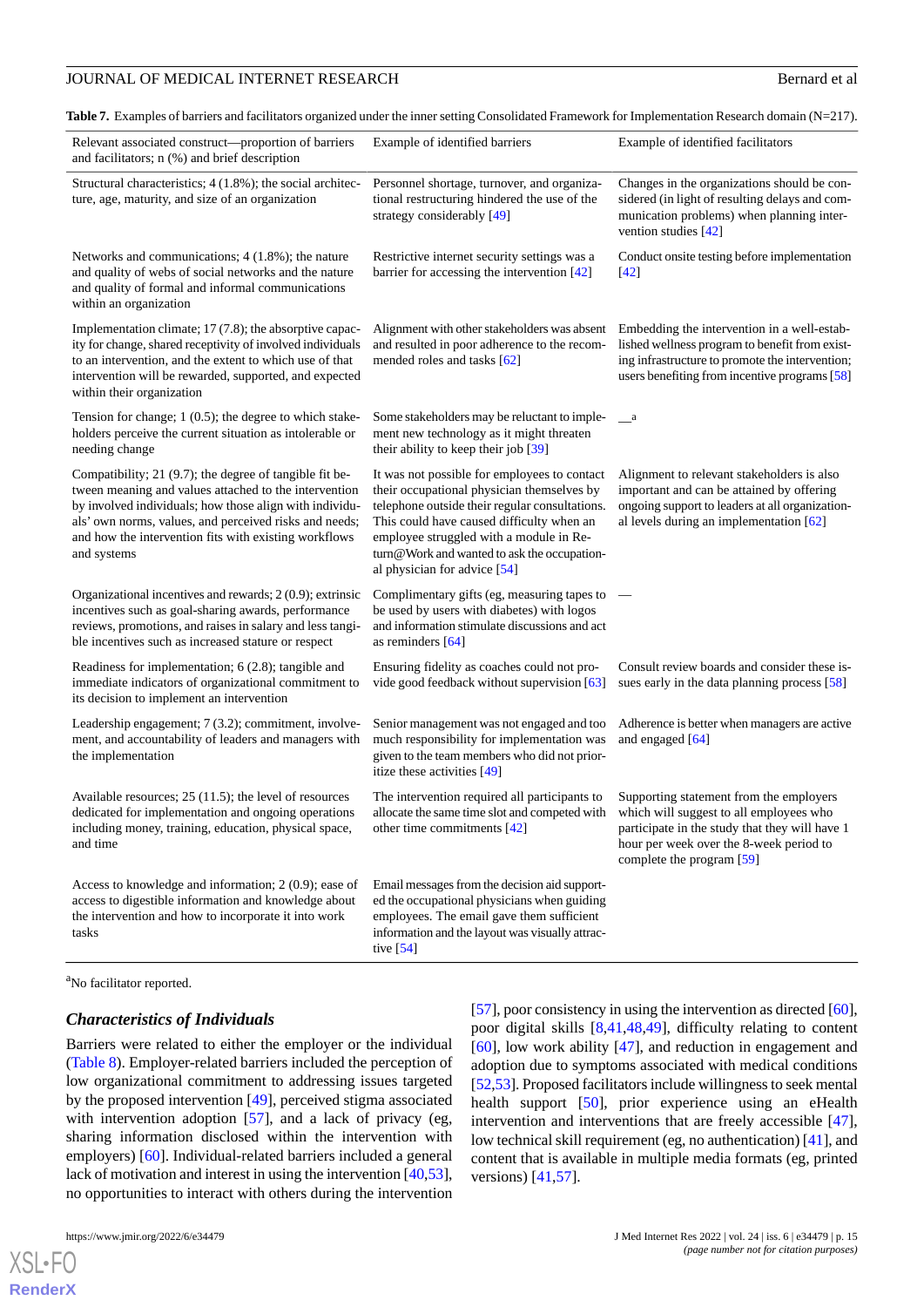<span id="page-14-0"></span>**Table 7.** Examples of barriers and facilitators organized under the inner setting Consolidated Framework for Implementation Research domain (N=217).

| Relevant associated construct—proportion of barriers<br>and facilitators; n (%) and brief description                                                                                                                                                                                                         | Example of identified barriers                                                                                                                                                                                                                                                                                      | Example of identified facilitators                                                                                                                                                                           |
|---------------------------------------------------------------------------------------------------------------------------------------------------------------------------------------------------------------------------------------------------------------------------------------------------------------|---------------------------------------------------------------------------------------------------------------------------------------------------------------------------------------------------------------------------------------------------------------------------------------------------------------------|--------------------------------------------------------------------------------------------------------------------------------------------------------------------------------------------------------------|
| Structural characteristics; 4 (1.8%); the social architec-<br>ture, age, maturity, and size of an organization                                                                                                                                                                                                | Personnel shortage, turnover, and organiza-<br>tional restructuring hindered the use of the<br>strategy considerably [49]                                                                                                                                                                                           | Changes in the organizations should be con-<br>sidered (in light of resulting delays and com-<br>munication problems) when planning inter-<br>vention studies $[42]$                                         |
| Networks and communications; $4(1.8\%)$ ; the nature<br>and quality of webs of social networks and the nature<br>and quality of formal and informal communications<br>within an organization                                                                                                                  | Restrictive internet security settings was a<br>barrier for accessing the intervention $[42]$                                                                                                                                                                                                                       | Conduct onsite testing before implementation<br>$[42]$                                                                                                                                                       |
| Implementation climate; 17 (7.8); the absorptive capac-<br>ity for change, shared receptivity of involved individuals<br>to an intervention, and the extent to which use of that<br>intervention will be rewarded, supported, and expected<br>within their organization                                       | Alignment with other stakeholders was absent<br>and resulted in poor adherence to the recom-<br>mended roles and tasks [62]                                                                                                                                                                                         | Embedding the intervention in a well-estab-<br>lished wellness program to benefit from exist-<br>ing infrastructure to promote the intervention;<br>users benefiting from incentive programs [58]            |
| Tension for change; $1(0.5)$ ; the degree to which stake-<br>holders perceive the current situation as intolerable or<br>needing change                                                                                                                                                                       | Some stakeholders may be reluctant to imple-<br>ment new technology as it might threaten<br>their ability to keep their job [39]                                                                                                                                                                                    | $\_\_a$                                                                                                                                                                                                      |
| Compatibility; 21 (9.7); the degree of tangible fit be-<br>tween meaning and values attached to the intervention<br>by involved individuals; how those align with individu-<br>als' own norms, values, and perceived risks and needs;<br>and how the intervention fits with existing workflows<br>and systems | It was not possible for employees to contact<br>their occupational physician themselves by<br>telephone outside their regular consultations.<br>This could have caused difficulty when an<br>employee struggled with a module in Re-<br>turn@Work and wanted to ask the occupation-<br>al physician for advice [54] | Alignment to relevant stakeholders is also<br>important and can be attained by offering<br>ongoing support to leaders at all organization-<br>al levels during an implementation [62]                        |
| Organizational incentives and rewards; 2 (0.9); extrinsic<br>incentives such as goal-sharing awards, performance<br>reviews, promotions, and raises in salary and less tangi-<br>ble incentives such as increased stature or respect                                                                          | Complimentary gifts (eg, measuring tapes to<br>be used by users with diabetes) with logos<br>and information stimulate discussions and act<br>as reminders $[64]$                                                                                                                                                   |                                                                                                                                                                                                              |
| Readiness for implementation; $6(2.8)$ ; tangible and<br>immediate indicators of organizational commitment to<br>its decision to implement an intervention                                                                                                                                                    | Ensuring fidelity as coaches could not pro-<br>vide good feedback without supervision [63]                                                                                                                                                                                                                          | Consult review boards and consider these is-<br>sues early in the data planning process [58]                                                                                                                 |
| Leadership engagement; 7 (3.2); commitment, involve-<br>ment, and accountability of leaders and managers with<br>the implementation                                                                                                                                                                           | Senior management was not engaged and too<br>much responsibility for implementation was<br>given to the team members who did not prior-<br>itize these activities [49]                                                                                                                                              | Adherence is better when managers are active<br>and engaged [64]                                                                                                                                             |
| Available resources; $25(11.5)$ ; the level of resources<br>dedicated for implementation and ongoing operations<br>including money, training, education, physical space,<br>and time                                                                                                                          | The intervention required all participants to<br>allocate the same time slot and competed with<br>other time commitments $[42]$                                                                                                                                                                                     | Supporting statement from the employers<br>which will suggest to all employees who<br>participate in the study that they will have 1<br>hour per week over the 8-week period to<br>complete the program [59] |
| Access to knowledge and information; 2 (0.9); ease of<br>access to digestible information and knowledge about<br>the intervention and how to incorporate it into work<br>tasks                                                                                                                                | Email messages from the decision aid support-<br>ed the occupational physicians when guiding<br>employees. The email gave them sufficient<br>information and the layout was visually attrac-<br>tive $[54]$                                                                                                         |                                                                                                                                                                                                              |

<sup>a</sup>No facilitator reported.

#### *Characteristics of Individuals*

Barriers were related to either the employer or the individual ([Table 8](#page-15-0)). Employer-related barriers included the perception of low organizational commitment to addressing issues targeted by the proposed intervention [\[49](#page-21-14)], perceived stigma associated with intervention adoption [\[57](#page-22-4)], and a lack of privacy (eg, sharing information disclosed within the intervention with employers) [\[60](#page-22-7)]. Individual-related barriers included a general lack of motivation and interest in using the intervention [[40,](#page-21-5)[53\]](#page-22-0), no opportunities to interact with others during the intervention

[XSL](http://www.w3.org/Style/XSL)•FO **[RenderX](http://www.renderx.com/)**

[[57\]](#page-22-4), poor consistency in using the intervention as directed [\[60\]](#page-22-7), poor digital skills [[8](#page-19-6)[,41](#page-21-6),[48](#page-21-13)[,49](#page-21-14)], difficulty relating to content [[60\]](#page-22-7), low work ability [\[47](#page-21-12)], and reduction in engagement and adoption due to symptoms associated with medical conditions [[52](#page-21-17)[,53](#page-22-0)]. Proposed facilitators include willingness to seek mental health support [[50\]](#page-21-15), prior experience using an eHealth intervention and interventions that are freely accessible [[47\]](#page-21-12), low technical skill requirement (eg, no authentication) [[41\]](#page-21-6), and content that is available in multiple media formats (eg, printed versions) [[41](#page-21-6)[,57](#page-22-4)].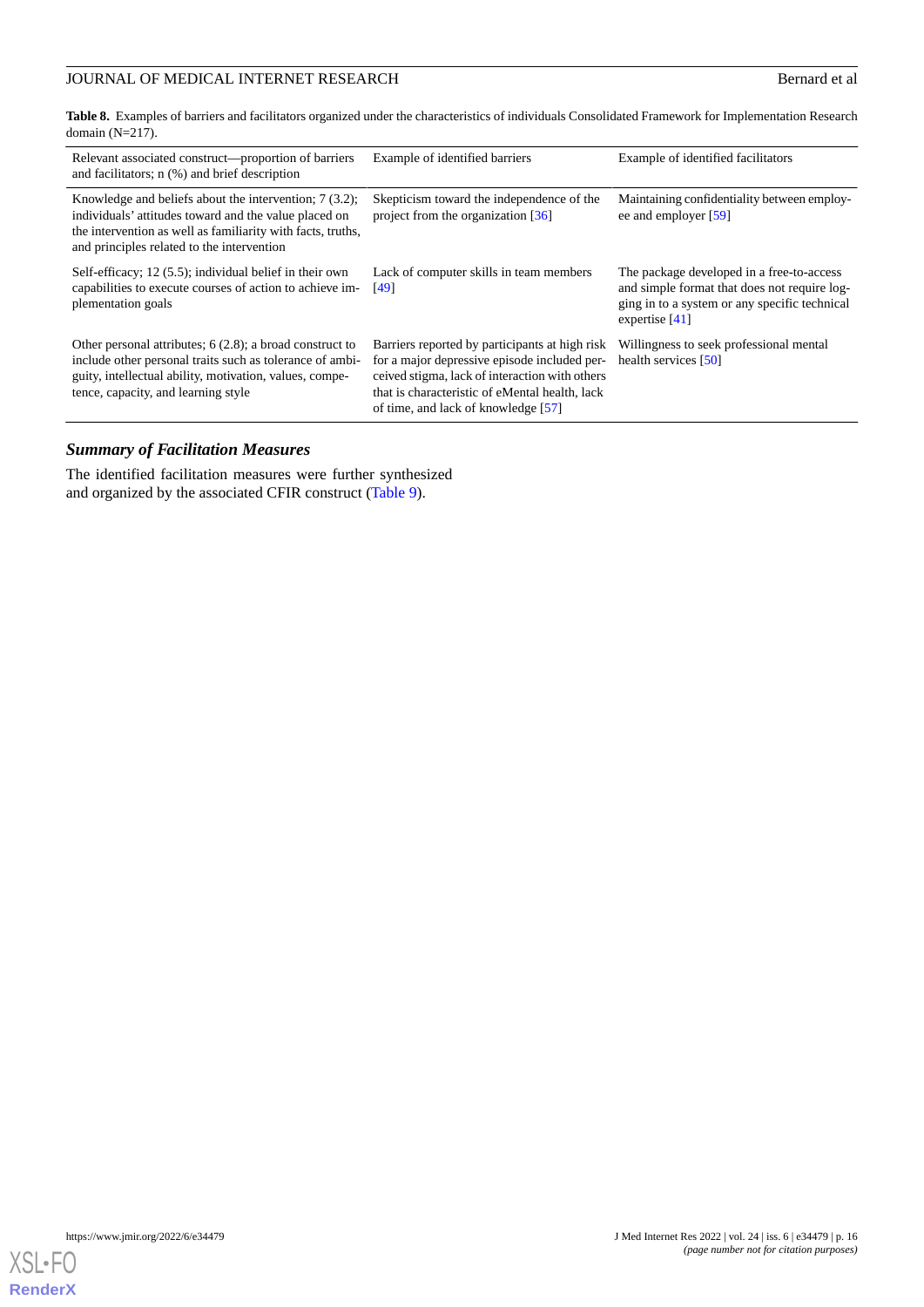# JOURNAL OF MEDICAL INTERNET RESEARCH Bernard et al.

<span id="page-15-0"></span>**Table 8.** Examples of barriers and facilitators organized under the characteristics of individuals Consolidated Framework for Implementation Research domain  $(N=217)$ .

| Relevant associated construct—proportion of barriers<br>and facilitators; n (%) and brief description                                                                                                                          | Example of identified barriers                                                                                                                                                                                                            | Example of identified facilitators                                                                                                                             |
|--------------------------------------------------------------------------------------------------------------------------------------------------------------------------------------------------------------------------------|-------------------------------------------------------------------------------------------------------------------------------------------------------------------------------------------------------------------------------------------|----------------------------------------------------------------------------------------------------------------------------------------------------------------|
| Knowledge and beliefs about the intervention; $7(3.2)$ ;<br>individuals' attitudes toward and the value placed on<br>the intervention as well as familiarity with facts, truths,<br>and principles related to the intervention | Skepticism toward the independence of the<br>project from the organization $\lceil 36 \rceil$                                                                                                                                             | Maintaining confidentiality between employ-<br>ee and employer [59]                                                                                            |
| Self-efficacy; 12 (5.5); individual belief in their own<br>capabilities to execute courses of action to achieve im-<br>plementation goals                                                                                      | Lack of computer skills in team members<br>[49]                                                                                                                                                                                           | The package developed in a free-to-access<br>and simple format that does not require log-<br>ging in to a system or any specific technical<br>expertise $[41]$ |
| Other personal attributes; $6(2.8)$ ; a broad construct to<br>include other personal traits such as tolerance of ambi-<br>guity, intellectual ability, motivation, values, compe-<br>tence, capacity, and learning style       | Barriers reported by participants at high risk<br>for a major depressive episode included per-<br>ceived stigma, lack of interaction with others<br>that is characteristic of eMental health, lack<br>of time, and lack of knowledge [57] | Willingness to seek professional mental<br>health services [50]                                                                                                |

# *Summary of Facilitation Measures*

The identified facilitation measures were further synthesized and organized by the associated CFIR construct [\(Table 9\)](#page-16-0).

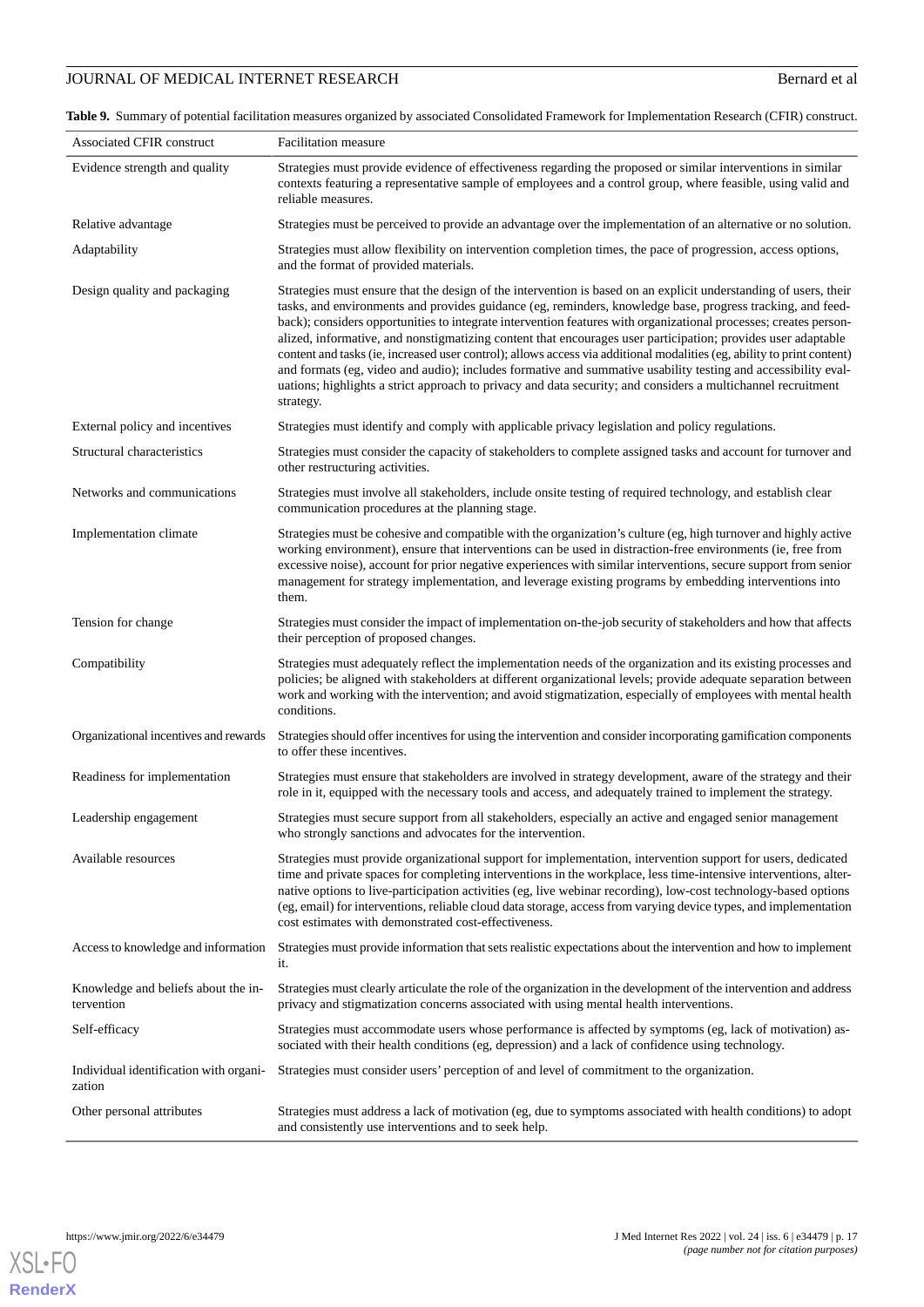# JOURNAL OF MEDICAL INTERNET RESEARCH Bernard et al.

<span id="page-16-0"></span>**Table 9.** Summary of potential facilitation measures organized by associated Consolidated Framework for Implementation Research (CFIR) construct.

| Associated CFIR construct                         | <b>Facilitation</b> measure                                                                                                                                                                                                                                                                                                                                                                                                                                                                                                                                                                                                                                                                                                                                                                                                                |
|---------------------------------------------------|--------------------------------------------------------------------------------------------------------------------------------------------------------------------------------------------------------------------------------------------------------------------------------------------------------------------------------------------------------------------------------------------------------------------------------------------------------------------------------------------------------------------------------------------------------------------------------------------------------------------------------------------------------------------------------------------------------------------------------------------------------------------------------------------------------------------------------------------|
| Evidence strength and quality                     | Strategies must provide evidence of effectiveness regarding the proposed or similar interventions in similar<br>contexts featuring a representative sample of employees and a control group, where feasible, using valid and<br>reliable measures.                                                                                                                                                                                                                                                                                                                                                                                                                                                                                                                                                                                         |
| Relative advantage                                | Strategies must be perceived to provide an advantage over the implementation of an alternative or no solution.                                                                                                                                                                                                                                                                                                                                                                                                                                                                                                                                                                                                                                                                                                                             |
| Adaptability                                      | Strategies must allow flexibility on intervention completion times, the pace of progression, access options,<br>and the format of provided materials.                                                                                                                                                                                                                                                                                                                                                                                                                                                                                                                                                                                                                                                                                      |
| Design quality and packaging                      | Strategies must ensure that the design of the intervention is based on an explicit understanding of users, their<br>tasks, and environments and provides guidance (eg, reminders, knowledge base, progress tracking, and feed-<br>back); considers opportunities to integrate intervention features with organizational processes; creates person-<br>alized, informative, and nonstigmatizing content that encourages user participation; provides user adaptable<br>content and tasks (ie, increased user control); allows access via additional modalities (eg, ability to print content)<br>and formats (eg, video and audio); includes formative and summative usability testing and accessibility eval-<br>uations; highlights a strict approach to privacy and data security; and considers a multichannel recruitment<br>strategy. |
| External policy and incentives                    | Strategies must identify and comply with applicable privacy legislation and policy regulations.                                                                                                                                                                                                                                                                                                                                                                                                                                                                                                                                                                                                                                                                                                                                            |
| Structural characteristics                        | Strategies must consider the capacity of stakeholders to complete assigned tasks and account for turnover and<br>other restructuring activities.                                                                                                                                                                                                                                                                                                                                                                                                                                                                                                                                                                                                                                                                                           |
| Networks and communications                       | Strategies must involve all stakeholders, include onsite testing of required technology, and establish clear<br>communication procedures at the planning stage.                                                                                                                                                                                                                                                                                                                                                                                                                                                                                                                                                                                                                                                                            |
| Implementation climate                            | Strategies must be cohesive and compatible with the organization's culture (eg, high turnover and highly active<br>working environment), ensure that interventions can be used in distraction-free environments (ie, free from<br>excessive noise), account for prior negative experiences with similar interventions, secure support from senior<br>management for strategy implementation, and leverage existing programs by embedding interventions into<br>them.                                                                                                                                                                                                                                                                                                                                                                       |
| Tension for change                                | Strategies must consider the impact of implementation on-the-job security of stakeholders and how that affects<br>their perception of proposed changes.                                                                                                                                                                                                                                                                                                                                                                                                                                                                                                                                                                                                                                                                                    |
| Compatibility                                     | Strategies must adequately reflect the implementation needs of the organization and its existing processes and<br>policies; be aligned with stakeholders at different organizational levels; provide adequate separation between<br>work and working with the intervention; and avoid stigmatization, especially of employees with mental health<br>conditions.                                                                                                                                                                                                                                                                                                                                                                                                                                                                            |
| Organizational incentives and rewards             | Strategies should offer incentives for using the intervention and consider incorporating gamification components<br>to offer these incentives.                                                                                                                                                                                                                                                                                                                                                                                                                                                                                                                                                                                                                                                                                             |
| Readiness for implementation                      | Strategies must ensure that stakeholders are involved in strategy development, aware of the strategy and their<br>role in it, equipped with the necessary tools and access, and adequately trained to implement the strategy.                                                                                                                                                                                                                                                                                                                                                                                                                                                                                                                                                                                                              |
| Leadership engagement                             | Strategies must secure support from all stakeholders, especially an active and engaged senior management<br>who strongly sanctions and advocates for the intervention.                                                                                                                                                                                                                                                                                                                                                                                                                                                                                                                                                                                                                                                                     |
| Available resources                               | Strategies must provide organizational support for implementation, intervention support for users, dedicated<br>time and private spaces for completing interventions in the workplace, less time-intensive interventions, alter-<br>native options to live-participation activities (eg, live webinar recording), low-cost technology-based options<br>(eg, email) for interventions, reliable cloud data storage, access from varying device types, and implementation<br>cost estimates with demonstrated cost-effectiveness.                                                                                                                                                                                                                                                                                                            |
| Access to knowledge and information               | Strategies must provide information that sets realistic expectations about the intervention and how to implement<br>it.                                                                                                                                                                                                                                                                                                                                                                                                                                                                                                                                                                                                                                                                                                                    |
| Knowledge and beliefs about the in-<br>tervention | Strategies must clearly articulate the role of the organization in the development of the intervention and address<br>privacy and stigmatization concerns associated with using mental health interventions.                                                                                                                                                                                                                                                                                                                                                                                                                                                                                                                                                                                                                               |
| Self-efficacy                                     | Strategies must accommodate users whose performance is affected by symptoms (eg, lack of motivation) as-<br>sociated with their health conditions (eg, depression) and a lack of confidence using technology.                                                                                                                                                                                                                                                                                                                                                                                                                                                                                                                                                                                                                              |
| Individual identification with organi-<br>zation  | Strategies must consider users' perception of and level of commitment to the organization.                                                                                                                                                                                                                                                                                                                                                                                                                                                                                                                                                                                                                                                                                                                                                 |
| Other personal attributes                         | Strategies must address a lack of motivation (eg, due to symptoms associated with health conditions) to adopt<br>and consistently use interventions and to seek help.                                                                                                                                                                                                                                                                                                                                                                                                                                                                                                                                                                                                                                                                      |

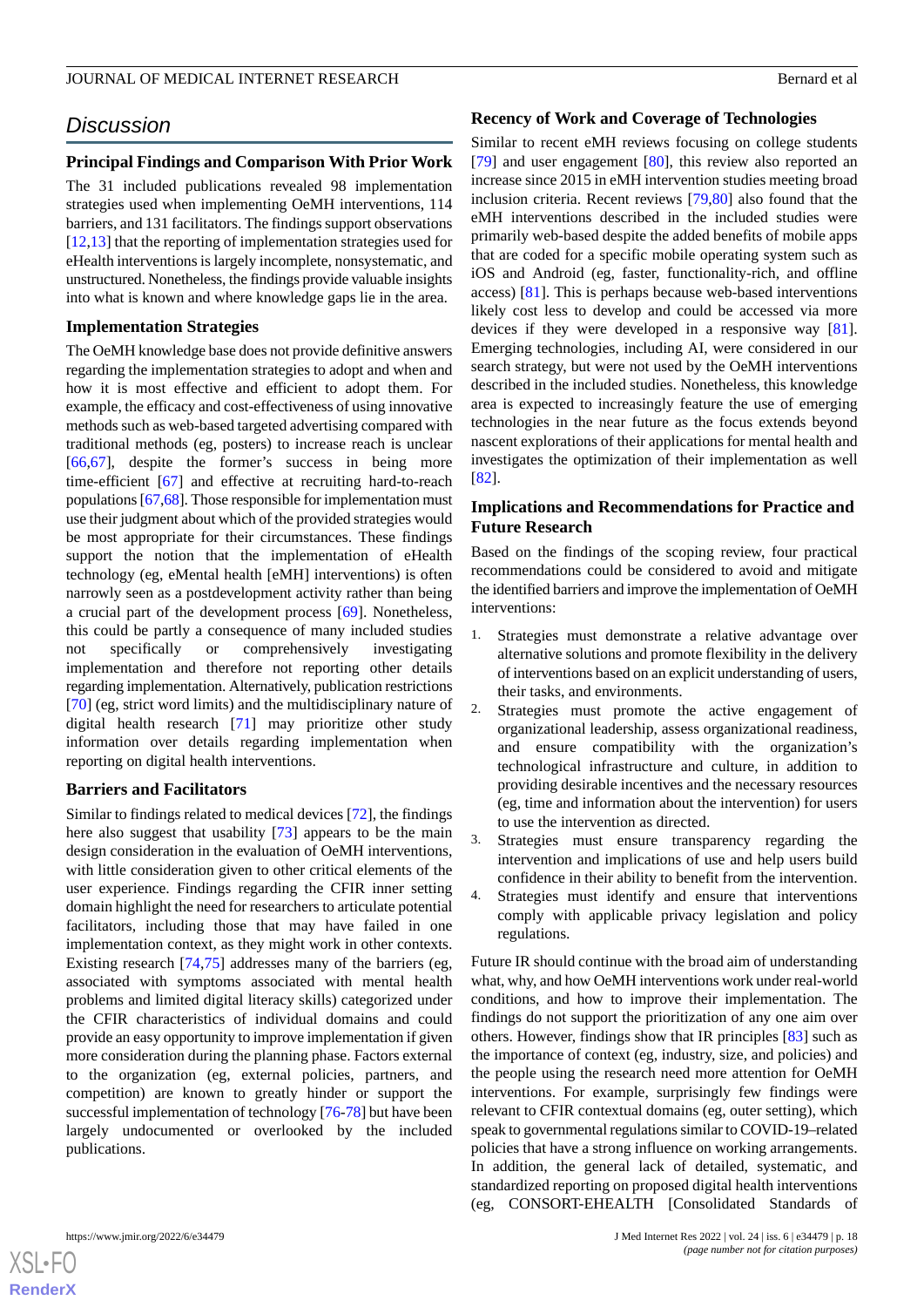# *Discussion*

# **Principal Findings and Comparison With Prior Work**

The 31 included publications revealed 98 implementation strategies used when implementing OeMH interventions, 114 barriers, and 131 facilitators. The findings support observations [[12](#page-19-10)[,13](#page-20-0)] that the reporting of implementation strategies used for eHealth interventions is largely incomplete, nonsystematic, and unstructured. Nonetheless, the findings provide valuable insights into what is known and where knowledge gaps lie in the area.

# **Implementation Strategies**

The OeMH knowledge base does not provide definitive answers regarding the implementation strategies to adopt and when and how it is most effective and efficient to adopt them. For example, the efficacy and cost-effectiveness of using innovative methods such as web-based targeted advertising compared with traditional methods (eg, posters) to increase reach is unclear [[66](#page-22-13)[,67](#page-22-14)], despite the former's success in being more time-efficient [[67\]](#page-22-14) and effective at recruiting hard-to-reach populations [\[67](#page-22-14),[68\]](#page-22-15). Those responsible for implementation must use their judgment about which of the provided strategies would be most appropriate for their circumstances. These findings support the notion that the implementation of eHealth technology (eg, eMental health [eMH] interventions) is often narrowly seen as a postdevelopment activity rather than being a crucial part of the development process [[69\]](#page-22-16). Nonetheless, this could be partly a consequence of many included studies not specifically or comprehensively investigating implementation and therefore not reporting other details regarding implementation. Alternatively, publication restrictions [[70\]](#page-22-17) (eg, strict word limits) and the multidisciplinary nature of digital health research [[71\]](#page-22-18) may prioritize other study information over details regarding implementation when reporting on digital health interventions.

# **Barriers and Facilitators**

Similar to findings related to medical devices [[72\]](#page-22-19), the findings here also suggest that usability [\[73](#page-23-0)] appears to be the main design consideration in the evaluation of OeMH interventions, with little consideration given to other critical elements of the user experience. Findings regarding the CFIR inner setting domain highlight the need for researchers to articulate potential facilitators, including those that may have failed in one implementation context, as they might work in other contexts. Existing research [\[74](#page-23-1),[75\]](#page-23-2) addresses many of the barriers (eg, associated with symptoms associated with mental health problems and limited digital literacy skills) categorized under the CFIR characteristics of individual domains and could provide an easy opportunity to improve implementation if given more consideration during the planning phase. Factors external to the organization (eg, external policies, partners, and competition) are known to greatly hinder or support the successful implementation of technology [[76](#page-23-3)-[78\]](#page-23-4) but have been largely undocumented or overlooked by the included publications.

#### **Recency of Work and Coverage of Technologies**

Similar to recent eMH reviews focusing on college students [[79\]](#page-23-5) and user engagement [\[80](#page-23-6)], this review also reported an increase since 2015 in eMH intervention studies meeting broad inclusion criteria. Recent reviews [\[79](#page-23-5)[,80](#page-23-6)] also found that the eMH interventions described in the included studies were primarily web-based despite the added benefits of mobile apps that are coded for a specific mobile operating system such as iOS and Android (eg, faster, functionality-rich, and offline access) [[81\]](#page-23-7). This is perhaps because web-based interventions likely cost less to develop and could be accessed via more devices if they were developed in a responsive way [[81\]](#page-23-7). Emerging technologies, including AI, were considered in our search strategy, but were not used by the OeMH interventions described in the included studies. Nonetheless, this knowledge area is expected to increasingly feature the use of emerging technologies in the near future as the focus extends beyond nascent explorations of their applications for mental health and investigates the optimization of their implementation as well [[82\]](#page-23-8).

# **Implications and Recommendations for Practice and Future Research**

Based on the findings of the scoping review, four practical recommendations could be considered to avoid and mitigate the identified barriers and improve the implementation of OeMH interventions:

- 1. Strategies must demonstrate a relative advantage over alternative solutions and promote flexibility in the delivery of interventions based on an explicit understanding of users, their tasks, and environments.
- 2. Strategies must promote the active engagement of organizational leadership, assess organizational readiness, and ensure compatibility with the organization's technological infrastructure and culture, in addition to providing desirable incentives and the necessary resources (eg, time and information about the intervention) for users to use the intervention as directed.
- 3. Strategies must ensure transparency regarding the intervention and implications of use and help users build confidence in their ability to benefit from the intervention.
- 4. Strategies must identify and ensure that interventions comply with applicable privacy legislation and policy regulations.

Future IR should continue with the broad aim of understanding what, why, and how OeMH interventions work under real-world conditions, and how to improve their implementation. The findings do not support the prioritization of any one aim over others. However, findings show that IR principles [[83\]](#page-23-9) such as the importance of context (eg, industry, size, and policies) and the people using the research need more attention for OeMH interventions. For example, surprisingly few findings were relevant to CFIR contextual domains (eg, outer setting), which speak to governmental regulations similar to COVID-19–related policies that have a strong influence on working arrangements. In addition, the general lack of detailed, systematic, and standardized reporting on proposed digital health interventions (eg, CONSORT-EHEALTH [Consolidated Standards of

 $XS$ -FO **[RenderX](http://www.renderx.com/)**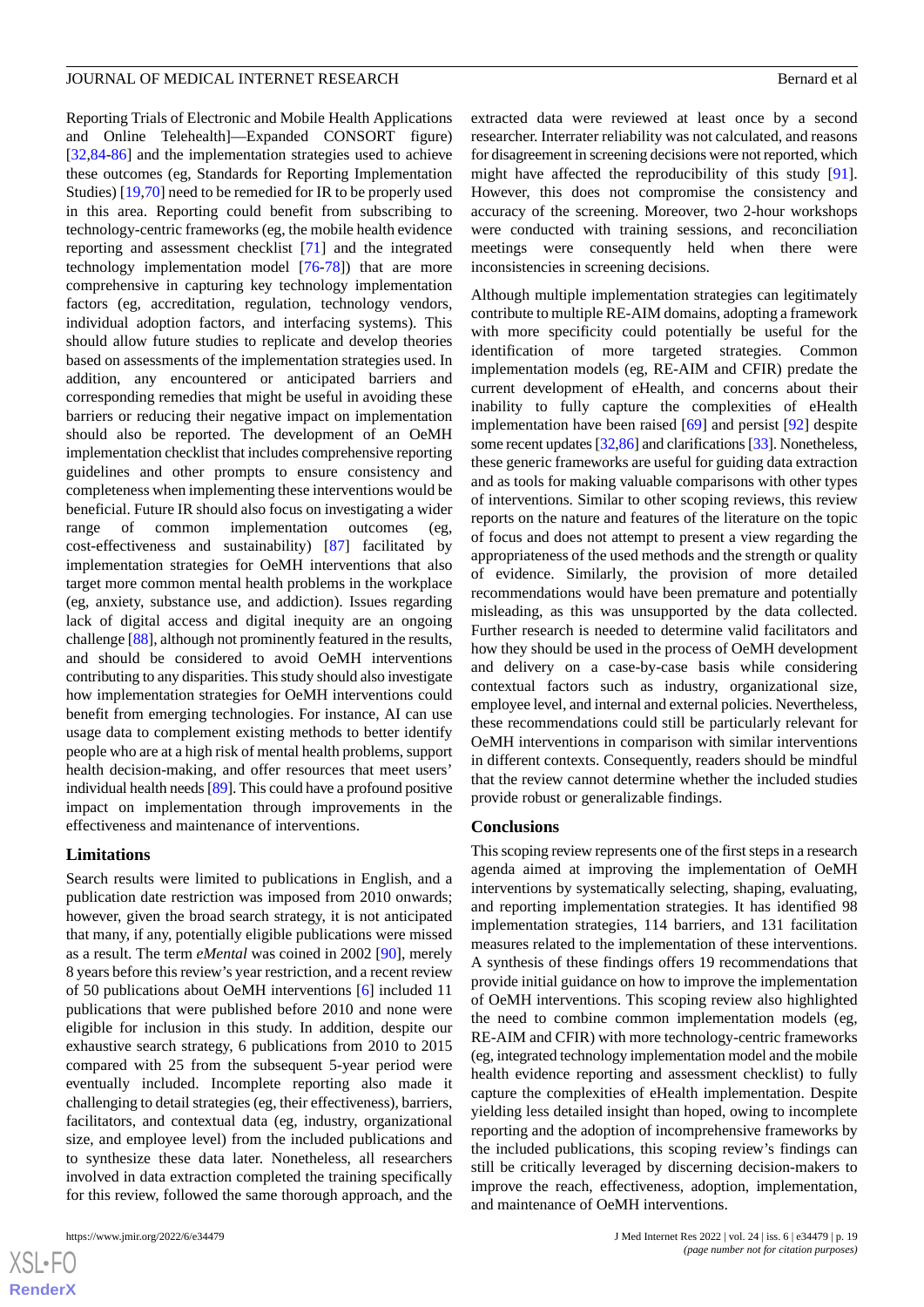Reporting Trials of Electronic and Mobile Health Applications and Online Telehealth]—Expanded CONSORT figure) [[32](#page-20-21)[,84](#page-23-10)-[86\]](#page-23-11) and the implementation strategies used to achieve these outcomes (eg, Standards for Reporting Implementation Studies) [[19,](#page-20-6)[70](#page-22-17)] need to be remedied for IR to be properly used in this area. Reporting could benefit from subscribing to technology-centric frameworks (eg, the mobile health evidence reporting and assessment checklist [[71\]](#page-22-18) and the integrated technology implementation model [[76](#page-23-3)[-78](#page-23-4)]) that are more comprehensive in capturing key technology implementation factors (eg, accreditation, regulation, technology vendors, individual adoption factors, and interfacing systems). This should allow future studies to replicate and develop theories based on assessments of the implementation strategies used. In addition, any encountered or anticipated barriers and corresponding remedies that might be useful in avoiding these barriers or reducing their negative impact on implementation should also be reported. The development of an OeMH implementation checklist that includes comprehensive reporting guidelines and other prompts to ensure consistency and completeness when implementing these interventions would be beneficial. Future IR should also focus on investigating a wider range of common implementation outcomes (eg, cost-effectiveness and sustainability) [\[87](#page-23-12)] facilitated by implementation strategies for OeMH interventions that also target more common mental health problems in the workplace (eg, anxiety, substance use, and addiction). Issues regarding lack of digital access and digital inequity are an ongoing challenge [[88\]](#page-23-13), although not prominently featured in the results, and should be considered to avoid OeMH interventions

contributing to any disparities. This study should also investigate how implementation strategies for OeMH interventions could benefit from emerging technologies. For instance, AI can use usage data to complement existing methods to better identify people who are at a high risk of mental health problems, support health decision-making, and offer resources that meet users' individual health needs [[89\]](#page-23-14). This could have a profound positive impact on implementation through improvements in the effectiveness and maintenance of interventions.

# **Limitations**

Search results were limited to publications in English, and a publication date restriction was imposed from 2010 onwards; however, given the broad search strategy, it is not anticipated that many, if any, potentially eligible publications were missed as a result. The term *eMental* was coined in 2002 [[90\]](#page-23-15), merely 8 years before this review's year restriction, and a recent review of 50 publications about OeMH interventions [[6\]](#page-19-4) included 11 publications that were published before 2010 and none were eligible for inclusion in this study. In addition, despite our exhaustive search strategy, 6 publications from 2010 to 2015 compared with 25 from the subsequent 5-year period were eventually included. Incomplete reporting also made it challenging to detail strategies (eg, their effectiveness), barriers, facilitators, and contextual data (eg, industry, organizational size, and employee level) from the included publications and to synthesize these data later. Nonetheless, all researchers involved in data extraction completed the training specifically for this review, followed the same thorough approach, and the

extracted data were reviewed at least once by a second researcher. Interrater reliability was not calculated, and reasons for disagreement in screening decisions were not reported, which might have affected the reproducibility of this study [[91\]](#page-23-16). However, this does not compromise the consistency and accuracy of the screening. Moreover, two 2-hour workshops were conducted with training sessions, and reconciliation meetings were consequently held when there were inconsistencies in screening decisions.

Although multiple implementation strategies can legitimately contribute to multiple RE-AIM domains, adopting a framework with more specificity could potentially be useful for the identification of more targeted strategies. Common implementation models (eg, RE-AIM and CFIR) predate the current development of eHealth, and concerns about their inability to fully capture the complexities of eHealth implementation have been raised [\[69](#page-22-16)] and persist [\[92](#page-23-17)] despite some recent updates [[32](#page-20-21)[,86\]](#page-23-11) and clarifications [\[33](#page-20-19)]. Nonetheless, these generic frameworks are useful for guiding data extraction and as tools for making valuable comparisons with other types of interventions. Similar to other scoping reviews, this review reports on the nature and features of the literature on the topic of focus and does not attempt to present a view regarding the appropriateness of the used methods and the strength or quality of evidence. Similarly, the provision of more detailed recommendations would have been premature and potentially misleading, as this was unsupported by the data collected. Further research is needed to determine valid facilitators and how they should be used in the process of OeMH development and delivery on a case-by-case basis while considering contextual factors such as industry, organizational size, employee level, and internal and external policies. Nevertheless, these recommendations could still be particularly relevant for OeMH interventions in comparison with similar interventions in different contexts. Consequently, readers should be mindful that the review cannot determine whether the included studies provide robust or generalizable findings.

#### **Conclusions**

This scoping review represents one of the first steps in a research agenda aimed at improving the implementation of OeMH interventions by systematically selecting, shaping, evaluating, and reporting implementation strategies. It has identified 98 implementation strategies, 114 barriers, and 131 facilitation measures related to the implementation of these interventions. A synthesis of these findings offers 19 recommendations that provide initial guidance on how to improve the implementation of OeMH interventions. This scoping review also highlighted the need to combine common implementation models (eg, RE-AIM and CFIR) with more technology-centric frameworks (eg, integrated technology implementation model and the mobile health evidence reporting and assessment checklist) to fully capture the complexities of eHealth implementation. Despite yielding less detailed insight than hoped, owing to incomplete reporting and the adoption of incomprehensive frameworks by the included publications, this scoping review's findings can still be critically leveraged by discerning decision-makers to improve the reach, effectiveness, adoption, implementation, and maintenance of OeMH interventions.

 $XS$ -FO **[RenderX](http://www.renderx.com/)**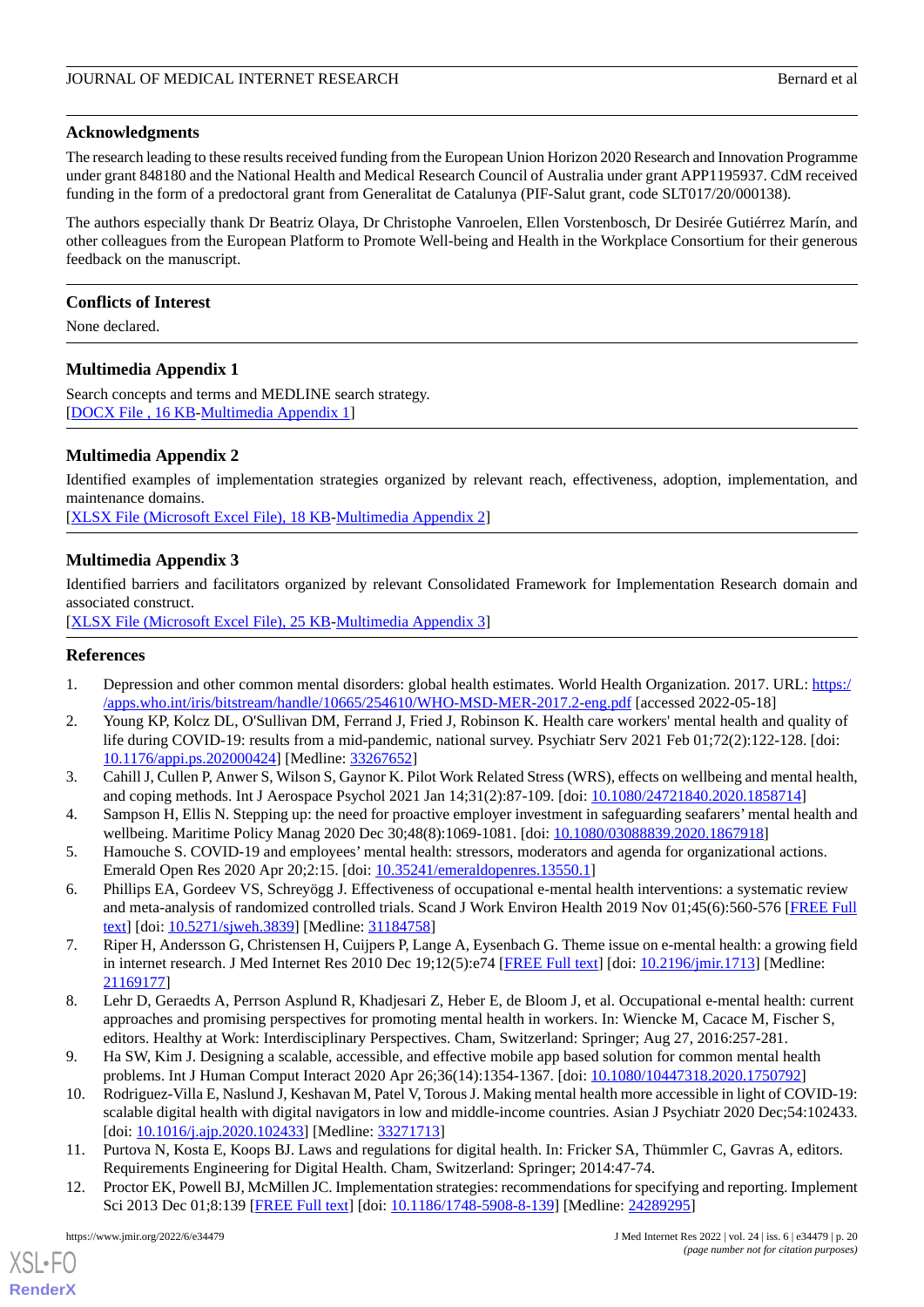#### **Acknowledgments**

The research leading to these results received funding from the European Union Horizon 2020 Research and Innovation Programme under grant 848180 and the National Health and Medical Research Council of Australia under grant APP1195937. CdM received funding in the form of a predoctoral grant from Generalitat de Catalunya (PIF-Salut grant, code SLT017/20/000138).

The authors especially thank Dr Beatriz Olaya, Dr Christophe Vanroelen, Ellen Vorstenbosch, Dr Desirée Gutiérrez Marín, and other colleagues from the European Platform to Promote Well-being and Health in the Workplace Consortium for their generous feedback on the manuscript.

#### **Conflicts of Interest**

<span id="page-19-11"></span>None declared.

# **Multimedia Appendix 1**

<span id="page-19-12"></span>Search concepts and terms and MEDLINE search strategy. [[DOCX File , 16 KB](https://jmir.org/api/download?alt_name=jmir_v24i6e34479_app1.docx&filename=bf904d2232f5a628afe43b517f3b147a.docx)-[Multimedia Appendix 1\]](https://jmir.org/api/download?alt_name=jmir_v24i6e34479_app1.docx&filename=bf904d2232f5a628afe43b517f3b147a.docx)

#### **Multimedia Appendix 2**

Identified examples of implementation strategies organized by relevant reach, effectiveness, adoption, implementation, and maintenance domains.

<span id="page-19-13"></span>[[XLSX File \(Microsoft Excel File\), 18 KB](https://jmir.org/api/download?alt_name=jmir_v24i6e34479_app2.xlsx&filename=127167fdd1daa08e5fff9867cd9a09aa.xlsx)-[Multimedia Appendix 2\]](https://jmir.org/api/download?alt_name=jmir_v24i6e34479_app2.xlsx&filename=127167fdd1daa08e5fff9867cd9a09aa.xlsx)

# **Multimedia Appendix 3**

Identified barriers and facilitators organized by relevant Consolidated Framework for Implementation Research domain and associated construct.

<span id="page-19-0"></span>[[XLSX File \(Microsoft Excel File\), 25 KB](https://jmir.org/api/download?alt_name=jmir_v24i6e34479_app3.xlsx&filename=10fef934a0a24eea79439211f70801d5.xlsx)-[Multimedia Appendix 3\]](https://jmir.org/api/download?alt_name=jmir_v24i6e34479_app3.xlsx&filename=10fef934a0a24eea79439211f70801d5.xlsx)

#### <span id="page-19-1"></span>**References**

- 1. Depression and other common mental disorders: global health estimates. World Health Organization. 2017. URL: [https:/](https://apps.who.int/iris/bitstream/handle/10665/254610/WHO-MSD-MER-2017.2-eng.pdf) [/apps.who.int/iris/bitstream/handle/10665/254610/WHO-MSD-MER-2017.2-eng.pdf](https://apps.who.int/iris/bitstream/handle/10665/254610/WHO-MSD-MER-2017.2-eng.pdf) [accessed 2022-05-18]
- <span id="page-19-2"></span>2. Young KP, Kolcz DL, O'Sullivan DM, Ferrand J, Fried J, Robinson K. Health care workers' mental health and quality of life during COVID-19: results from a mid-pandemic, national survey. Psychiatr Serv 2021 Feb 01:72(2):122-128. [doi: [10.1176/appi.ps.202000424\]](http://dx.doi.org/10.1176/appi.ps.202000424) [Medline: [33267652\]](http://www.ncbi.nlm.nih.gov/entrez/query.fcgi?cmd=Retrieve&db=PubMed&list_uids=33267652&dopt=Abstract)
- <span id="page-19-3"></span>3. Cahill J, Cullen P, Anwer S, Wilson S, Gaynor K. Pilot Work Related Stress (WRS), effects on wellbeing and mental health, and coping methods. Int J Aerospace Psychol 2021 Jan 14;31(2):87-109. [doi: [10.1080/24721840.2020.1858714](http://dx.doi.org/10.1080/24721840.2020.1858714)]
- <span id="page-19-4"></span>4. Sampson H, Ellis N. Stepping up: the need for proactive employer investment in safeguarding seafarers' mental health and wellbeing. Maritime Policy Manag 2020 Dec 30;48(8):1069-1081. [doi: [10.1080/03088839.2020.1867918](http://dx.doi.org/10.1080/03088839.2020.1867918)]
- <span id="page-19-5"></span>5. Hamouche S. COVID-19 and employees' mental health: stressors, moderators and agenda for organizational actions. Emerald Open Res 2020 Apr 20;2:15. [doi: [10.35241/emeraldopenres.13550.1\]](http://dx.doi.org/10.35241/emeraldopenres.13550.1)
- <span id="page-19-6"></span>6. Phillips EA, Gordeev VS, Schreyögg J. Effectiveness of occupational e-mental health interventions: a systematic review and meta-analysis of randomized controlled trials. Scand J Work Environ Health 2019 Nov 01;45(6):560-576 [\[FREE Full](https://www.sjweh.fi/article/3839) [text](https://www.sjweh.fi/article/3839)] [doi: [10.5271/sjweh.3839\]](http://dx.doi.org/10.5271/sjweh.3839) [Medline: [31184758\]](http://www.ncbi.nlm.nih.gov/entrez/query.fcgi?cmd=Retrieve&db=PubMed&list_uids=31184758&dopt=Abstract)
- <span id="page-19-7"></span>7. Riper H, Andersson G, Christensen H, Cuijpers P, Lange A, Eysenbach G. Theme issue on e-mental health: a growing field in internet research. J Med Internet Res 2010 Dec 19;12(5):e74 [\[FREE Full text\]](https://www.jmir.org/2010/5/e74/) [doi: [10.2196/jmir.1713\]](http://dx.doi.org/10.2196/jmir.1713) [Medline: [21169177](http://www.ncbi.nlm.nih.gov/entrez/query.fcgi?cmd=Retrieve&db=PubMed&list_uids=21169177&dopt=Abstract)]
- <span id="page-19-8"></span>8. Lehr D, Geraedts A, Perrson Asplund R, Khadjesari Z, Heber E, de Bloom J, et al. Occupational e-mental health: current approaches and promising perspectives for promoting mental health in workers. In: Wiencke M, Cacace M, Fischer S, editors. Healthy at Work: Interdisciplinary Perspectives. Cham, Switzerland: Springer; Aug 27, 2016:257-281.
- <span id="page-19-10"></span><span id="page-19-9"></span>9. Ha SW, Kim J. Designing a scalable, accessible, and effective mobile app based solution for common mental health problems. Int J Human Comput Interact 2020 Apr 26;36(14):1354-1367. [doi: [10.1080/10447318.2020.1750792](http://dx.doi.org/10.1080/10447318.2020.1750792)]
- 10. Rodriguez-Villa E, Naslund J, Keshavan M, Patel V, Torous J. Making mental health more accessible in light of COVID-19: scalable digital health with digital navigators in low and middle-income countries. Asian J Psychiatr 2020 Dec;54:102433. [doi: [10.1016/j.ajp.2020.102433\]](http://dx.doi.org/10.1016/j.ajp.2020.102433) [Medline: [33271713\]](http://www.ncbi.nlm.nih.gov/entrez/query.fcgi?cmd=Retrieve&db=PubMed&list_uids=33271713&dopt=Abstract)
- 11. Purtova N, Kosta E, Koops BJ. Laws and regulations for digital health. In: Fricker SA, Thümmler C, Gavras A, editors. Requirements Engineering for Digital Health. Cham, Switzerland: Springer; 2014:47-74.
- 12. Proctor EK, Powell BJ, McMillen JC. Implementation strategies: recommendations for specifying and reporting. Implement Sci 2013 Dec 01;8:139 [\[FREE Full text\]](https://implementationscience.biomedcentral.com/articles/10.1186/1748-5908-8-139) [doi: [10.1186/1748-5908-8-139](http://dx.doi.org/10.1186/1748-5908-8-139)] [Medline: [24289295\]](http://www.ncbi.nlm.nih.gov/entrez/query.fcgi?cmd=Retrieve&db=PubMed&list_uids=24289295&dopt=Abstract)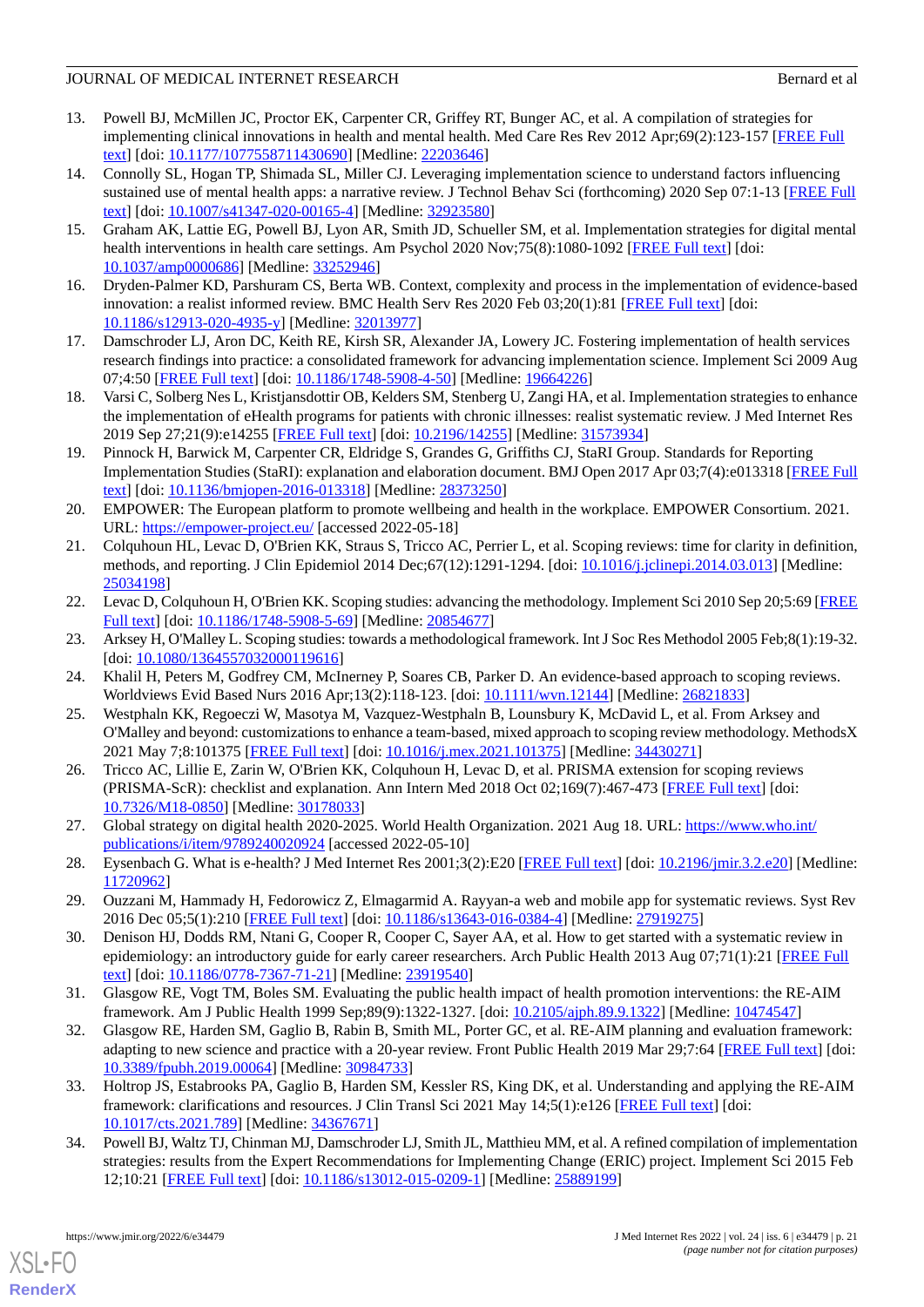- <span id="page-20-0"></span>13. Powell BJ, McMillen JC, Proctor EK, Carpenter CR, Griffey RT, Bunger AC, et al. A compilation of strategies for implementing clinical innovations in health and mental health. Med Care Res Rev 2012 Apr;69(2):123-157 [\[FREE Full](http://europepmc.org/abstract/MED/22203646) [text](http://europepmc.org/abstract/MED/22203646)] [doi: [10.1177/1077558711430690\]](http://dx.doi.org/10.1177/1077558711430690) [Medline: [22203646\]](http://www.ncbi.nlm.nih.gov/entrez/query.fcgi?cmd=Retrieve&db=PubMed&list_uids=22203646&dopt=Abstract)
- <span id="page-20-1"></span>14. Connolly SL, Hogan TP, Shimada SL, Miller CJ. Leveraging implementation science to understand factors influencing sustained use of mental health apps: a narrative review. J Technol Behav Sci (forthcoming) 2020 Sep 07:1-13 [\[FREE Full](http://europepmc.org/abstract/MED/32923580) [text](http://europepmc.org/abstract/MED/32923580)] [doi: [10.1007/s41347-020-00165-4\]](http://dx.doi.org/10.1007/s41347-020-00165-4) [Medline: [32923580\]](http://www.ncbi.nlm.nih.gov/entrez/query.fcgi?cmd=Retrieve&db=PubMed&list_uids=32923580&dopt=Abstract)
- <span id="page-20-3"></span><span id="page-20-2"></span>15. Graham AK, Lattie EG, Powell BJ, Lyon AR, Smith JD, Schueller SM, et al. Implementation strategies for digital mental health interventions in health care settings. Am Psychol 2020 Nov;75(8):1080-1092 [[FREE Full text](http://europepmc.org/abstract/MED/33252946)] [doi: [10.1037/amp0000686](http://dx.doi.org/10.1037/amp0000686)] [Medline: [33252946\]](http://www.ncbi.nlm.nih.gov/entrez/query.fcgi?cmd=Retrieve&db=PubMed&list_uids=33252946&dopt=Abstract)
- <span id="page-20-4"></span>16. Dryden-Palmer KD, Parshuram CS, Berta WB. Context, complexity and process in the implementation of evidence-based innovation: a realist informed review. BMC Health Serv Res 2020 Feb 03;20(1):81 [[FREE Full text\]](https://bmchealthservres.biomedcentral.com/articles/10.1186/s12913-020-4935-y) [doi: [10.1186/s12913-020-4935-y\]](http://dx.doi.org/10.1186/s12913-020-4935-y) [Medline: [32013977](http://www.ncbi.nlm.nih.gov/entrez/query.fcgi?cmd=Retrieve&db=PubMed&list_uids=32013977&dopt=Abstract)]
- <span id="page-20-5"></span>17. Damschroder LJ, Aron DC, Keith RE, Kirsh SR, Alexander JA, Lowery JC. Fostering implementation of health services research findings into practice: a consolidated framework for advancing implementation science. Implement Sci 2009 Aug 07;4:50 [[FREE Full text](https://implementationscience.biomedcentral.com/articles/10.1186/1748-5908-4-50)] [doi: [10.1186/1748-5908-4-50\]](http://dx.doi.org/10.1186/1748-5908-4-50) [Medline: [19664226\]](http://www.ncbi.nlm.nih.gov/entrez/query.fcgi?cmd=Retrieve&db=PubMed&list_uids=19664226&dopt=Abstract)
- <span id="page-20-6"></span>18. Varsi C, Solberg Nes L, Kristjansdottir OB, Kelders SM, Stenberg U, Zangi HA, et al. Implementation strategies to enhance the implementation of eHealth programs for patients with chronic illnesses: realist systematic review. J Med Internet Res 2019 Sep 27;21(9):e14255 [\[FREE Full text](https://www.jmir.org/2019/9/e14255/)] [doi: [10.2196/14255\]](http://dx.doi.org/10.2196/14255) [Medline: [31573934\]](http://www.ncbi.nlm.nih.gov/entrez/query.fcgi?cmd=Retrieve&db=PubMed&list_uids=31573934&dopt=Abstract)
- <span id="page-20-7"></span>19. Pinnock H, Barwick M, Carpenter CR, Eldridge S, Grandes G, Griffiths CJ, StaRI Group. Standards for Reporting Implementation Studies (StaRI): explanation and elaboration document. BMJ Open 2017 Apr 03;7(4):e013318 [\[FREE Full](https://bmjopen.bmj.com/lookup/pmidlookup?view=long&pmid=28373250) [text](https://bmjopen.bmj.com/lookup/pmidlookup?view=long&pmid=28373250)] [doi: [10.1136/bmjopen-2016-013318\]](http://dx.doi.org/10.1136/bmjopen-2016-013318) [Medline: [28373250](http://www.ncbi.nlm.nih.gov/entrez/query.fcgi?cmd=Retrieve&db=PubMed&list_uids=28373250&dopt=Abstract)]
- <span id="page-20-8"></span>20. EMPOWER: The European platform to promote wellbeing and health in the workplace. EMPOWER Consortium. 2021. URL: <https://empower-project.eu/> [accessed 2022-05-18]
- <span id="page-20-11"></span>21. Colquhoun HL, Levac D, O'Brien KK, Straus S, Tricco AC, Perrier L, et al. Scoping reviews: time for clarity in definition, methods, and reporting. J Clin Epidemiol 2014 Dec;67(12):1291-1294. [doi: [10.1016/j.jclinepi.2014.03.013\]](http://dx.doi.org/10.1016/j.jclinepi.2014.03.013) [Medline: [25034198](http://www.ncbi.nlm.nih.gov/entrez/query.fcgi?cmd=Retrieve&db=PubMed&list_uids=25034198&dopt=Abstract)]
- <span id="page-20-10"></span><span id="page-20-9"></span>22. Levac D, Colquhoun H, O'Brien KK. Scoping studies: advancing the methodology. Implement Sci 2010 Sep 20;5:69 [\[FREE](https://implementationscience.biomedcentral.com/articles/10.1186/1748-5908-5-69) [Full text\]](https://implementationscience.biomedcentral.com/articles/10.1186/1748-5908-5-69) [doi: [10.1186/1748-5908-5-69\]](http://dx.doi.org/10.1186/1748-5908-5-69) [Medline: [20854677](http://www.ncbi.nlm.nih.gov/entrez/query.fcgi?cmd=Retrieve&db=PubMed&list_uids=20854677&dopt=Abstract)]
- <span id="page-20-12"></span>23. Arksey H, O'Malley L. Scoping studies: towards a methodological framework. Int J Soc Res Methodol 2005 Feb;8(1):19-32. [doi: [10.1080/1364557032000119616](http://dx.doi.org/10.1080/1364557032000119616)]
- <span id="page-20-13"></span>24. Khalil H, Peters M, Godfrey CM, McInerney P, Soares CB, Parker D. An evidence-based approach to scoping reviews. Worldviews Evid Based Nurs 2016 Apr;13(2):118-123. [doi: [10.1111/wvn.12144](http://dx.doi.org/10.1111/wvn.12144)] [Medline: [26821833\]](http://www.ncbi.nlm.nih.gov/entrez/query.fcgi?cmd=Retrieve&db=PubMed&list_uids=26821833&dopt=Abstract)
- 25. Westphaln KK, Regoeczi W, Masotya M, Vazquez-Westphaln B, Lounsbury K, McDavid L, et al. From Arksey and O'Malley and beyond: customizations to enhance a team-based, mixed approach to scoping review methodology. MethodsX 2021 May 7;8:101375 [\[FREE Full text\]](https://linkinghub.elsevier.com/retrieve/pii/S2215-0161(21)00168-0) [doi: [10.1016/j.mex.2021.101375\]](http://dx.doi.org/10.1016/j.mex.2021.101375) [Medline: [34430271](http://www.ncbi.nlm.nih.gov/entrez/query.fcgi?cmd=Retrieve&db=PubMed&list_uids=34430271&dopt=Abstract)]
- <span id="page-20-15"></span><span id="page-20-14"></span>26. Tricco AC, Lillie E, Zarin W, O'Brien KK, Colquhoun H, Levac D, et al. PRISMA extension for scoping reviews (PRISMA-ScR): checklist and explanation. Ann Intern Med 2018 Oct 02;169(7):467-473 [[FREE Full text](https://www.acpjournals.org/doi/abs/10.7326/M18-0850?url_ver=Z39.88-2003&rfr_id=ori:rid:crossref.org&rfr_dat=cr_pub%3dpubmed)] [doi: [10.7326/M18-0850](http://dx.doi.org/10.7326/M18-0850)] [Medline: [30178033\]](http://www.ncbi.nlm.nih.gov/entrez/query.fcgi?cmd=Retrieve&db=PubMed&list_uids=30178033&dopt=Abstract)
- <span id="page-20-16"></span>27. Global strategy on digital health 2020-2025. World Health Organization. 2021 Aug 18. URL: [https://www.who.int/](https://www.who.int/publications/i/item/9789240020924) [publications/i/item/9789240020924](https://www.who.int/publications/i/item/9789240020924) [accessed 2022-05-10]
- <span id="page-20-17"></span>28. Eysenbach G. What is e-health? J Med Internet Res 2001;3(2):E20 [[FREE Full text\]](https://www.jmir.org/2001/2/e20/) [doi: [10.2196/jmir.3.2.e20\]](http://dx.doi.org/10.2196/jmir.3.2.e20) [Medline: [11720962](http://www.ncbi.nlm.nih.gov/entrez/query.fcgi?cmd=Retrieve&db=PubMed&list_uids=11720962&dopt=Abstract)]
- <span id="page-20-18"></span>29. Ouzzani M, Hammady H, Fedorowicz Z, Elmagarmid A. Rayyan-a web and mobile app for systematic reviews. Syst Rev 2016 Dec 05;5(1):210 [[FREE Full text](https://systematicreviewsjournal.biomedcentral.com/articles/10.1186/s13643-016-0384-4)] [doi: [10.1186/s13643-016-0384-4](http://dx.doi.org/10.1186/s13643-016-0384-4)] [Medline: [27919275](http://www.ncbi.nlm.nih.gov/entrez/query.fcgi?cmd=Retrieve&db=PubMed&list_uids=27919275&dopt=Abstract)]
- <span id="page-20-21"></span>30. Denison HJ, Dodds RM, Ntani G, Cooper R, Cooper C, Sayer AA, et al. How to get started with a systematic review in epidemiology: an introductory guide for early career researchers. Arch Public Health 2013 Aug 07;71(1):21 [[FREE Full](https://archpublichealth.biomedcentral.com/articles/10.1186/0778-7367-71-21) [text](https://archpublichealth.biomedcentral.com/articles/10.1186/0778-7367-71-21)] [doi: [10.1186/0778-7367-71-21\]](http://dx.doi.org/10.1186/0778-7367-71-21) [Medline: [23919540\]](http://www.ncbi.nlm.nih.gov/entrez/query.fcgi?cmd=Retrieve&db=PubMed&list_uids=23919540&dopt=Abstract)
- <span id="page-20-19"></span>31. Glasgow RE, Vogt TM, Boles SM. Evaluating the public health impact of health promotion interventions: the RE-AIM framework. Am J Public Health 1999 Sep;89(9):1322-1327. [doi: [10.2105/ajph.89.9.1322\]](http://dx.doi.org/10.2105/ajph.89.9.1322) [Medline: [10474547](http://www.ncbi.nlm.nih.gov/entrez/query.fcgi?cmd=Retrieve&db=PubMed&list_uids=10474547&dopt=Abstract)]
- <span id="page-20-20"></span>32. Glasgow RE, Harden SM, Gaglio B, Rabin B, Smith ML, Porter GC, et al. RE-AIM planning and evaluation framework: adapting to new science and practice with a 20-year review. Front Public Health 2019 Mar 29;7:64 [\[FREE Full text\]](https://doi.org/10.3389/fpubh.2019.00064) [doi: [10.3389/fpubh.2019.00064](http://dx.doi.org/10.3389/fpubh.2019.00064)] [Medline: [30984733\]](http://www.ncbi.nlm.nih.gov/entrez/query.fcgi?cmd=Retrieve&db=PubMed&list_uids=30984733&dopt=Abstract)
- 33. Holtrop JS, Estabrooks PA, Gaglio B, Harden SM, Kessler RS, King DK, et al. Understanding and applying the RE-AIM framework: clarifications and resources. J Clin Transl Sci 2021 May 14;5(1):e126 [[FREE Full text\]](http://europepmc.org/abstract/MED/34367671) [doi: [10.1017/cts.2021.789\]](http://dx.doi.org/10.1017/cts.2021.789) [Medline: [34367671\]](http://www.ncbi.nlm.nih.gov/entrez/query.fcgi?cmd=Retrieve&db=PubMed&list_uids=34367671&dopt=Abstract)
- 34. Powell BJ, Waltz TJ, Chinman MJ, Damschroder LJ, Smith JL, Matthieu MM, et al. A refined compilation of implementation strategies: results from the Expert Recommendations for Implementing Change (ERIC) project. Implement Sci 2015 Feb 12;10:21 [[FREE Full text](https://implementationscience.biomedcentral.com/articles/10.1186/s13012-015-0209-1)] [doi: [10.1186/s13012-015-0209-1\]](http://dx.doi.org/10.1186/s13012-015-0209-1) [Medline: [25889199\]](http://www.ncbi.nlm.nih.gov/entrez/query.fcgi?cmd=Retrieve&db=PubMed&list_uids=25889199&dopt=Abstract)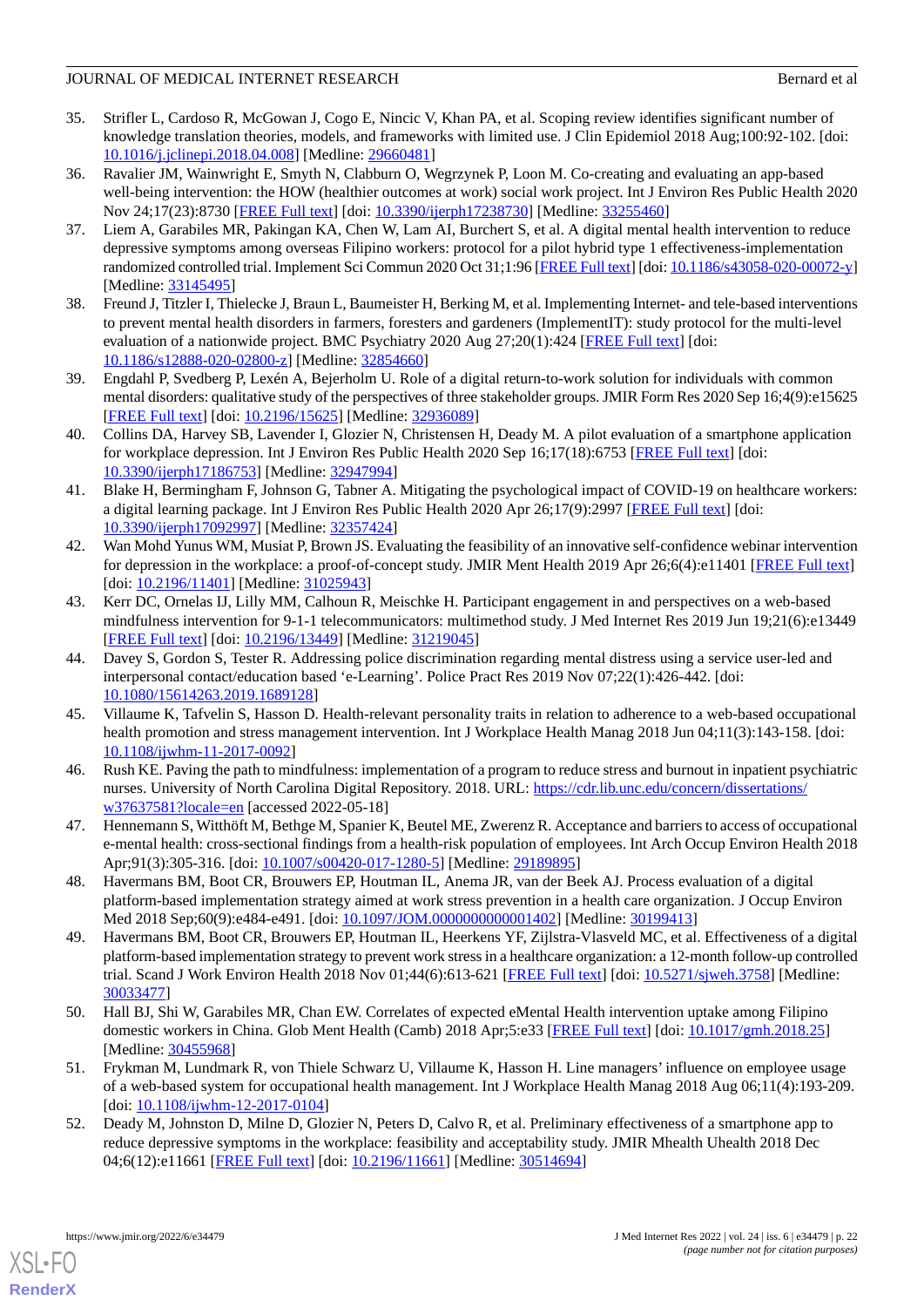- <span id="page-21-0"></span>35. Strifler L, Cardoso R, McGowan J, Cogo E, Nincic V, Khan PA, et al. Scoping review identifies significant number of knowledge translation theories, models, and frameworks with limited use. J Clin Epidemiol 2018 Aug;100:92-102. [doi: [10.1016/j.jclinepi.2018.04.008\]](http://dx.doi.org/10.1016/j.jclinepi.2018.04.008) [Medline: [29660481](http://www.ncbi.nlm.nih.gov/entrez/query.fcgi?cmd=Retrieve&db=PubMed&list_uids=29660481&dopt=Abstract)]
- <span id="page-21-1"></span>36. Ravalier JM, Wainwright E, Smyth N, Clabburn O, Wegrzynek P, Loon M. Co-creating and evaluating an app-based well-being intervention: the HOW (healthier outcomes at work) social work project. Int J Environ Res Public Health 2020 Nov 24;17(23):8730 [\[FREE Full text\]](https://www.mdpi.com/resolver?pii=ijerph17238730) [doi: [10.3390/ijerph17238730](http://dx.doi.org/10.3390/ijerph17238730)] [Medline: [33255460](http://www.ncbi.nlm.nih.gov/entrez/query.fcgi?cmd=Retrieve&db=PubMed&list_uids=33255460&dopt=Abstract)]
- <span id="page-21-2"></span>37. Liem A, Garabiles MR, Pakingan KA, Chen W, Lam AI, Burchert S, et al. A digital mental health intervention to reduce depressive symptoms among overseas Filipino workers: protocol for a pilot hybrid type 1 effectiveness-implementation randomized controlled trial. Implement Sci Commun 2020 Oct 31;1:96 [[FREE Full text](https://implementationsciencecomms.biomedcentral.com/articles/10.1186/s43058-020-00072-y)] [doi: [10.1186/s43058-020-00072-y\]](http://dx.doi.org/10.1186/s43058-020-00072-y) [Medline: [33145495](http://www.ncbi.nlm.nih.gov/entrez/query.fcgi?cmd=Retrieve&db=PubMed&list_uids=33145495&dopt=Abstract)]
- <span id="page-21-3"></span>38. Freund J, Titzler I, Thielecke J, Braun L, Baumeister H, Berking M, et al. Implementing Internet- and tele-based interventions to prevent mental health disorders in farmers, foresters and gardeners (ImplementIT): study protocol for the multi-level evaluation of a nationwide project. BMC Psychiatry 2020 Aug 27;20(1):424 [\[FREE Full text\]](https://bmcpsychiatry.biomedcentral.com/articles/10.1186/s12888-020-02800-z) [doi: [10.1186/s12888-020-02800-z](http://dx.doi.org/10.1186/s12888-020-02800-z)] [Medline: [32854660\]](http://www.ncbi.nlm.nih.gov/entrez/query.fcgi?cmd=Retrieve&db=PubMed&list_uids=32854660&dopt=Abstract)
- <span id="page-21-5"></span><span id="page-21-4"></span>39. Engdahl P, Svedberg P, Lexén A, Bejerholm U. Role of a digital return-to-work solution for individuals with common mental disorders: qualitative study of the perspectives of three stakeholder groups. JMIR Form Res 2020 Sep 16;4(9):e15625 [[FREE Full text](https://formative.jmir.org/2020/9/e15625/)] [doi: [10.2196/15625\]](http://dx.doi.org/10.2196/15625) [Medline: [32936089\]](http://www.ncbi.nlm.nih.gov/entrez/query.fcgi?cmd=Retrieve&db=PubMed&list_uids=32936089&dopt=Abstract)
- <span id="page-21-6"></span>40. Collins DA, Harvey SB, Lavender I, Glozier N, Christensen H, Deady M. A pilot evaluation of a smartphone application for workplace depression. Int J Environ Res Public Health 2020 Sep 16;17(18):6753 [[FREE Full text](https://www.mdpi.com/resolver?pii=ijerph17186753)] [doi: [10.3390/ijerph17186753](http://dx.doi.org/10.3390/ijerph17186753)] [Medline: [32947994\]](http://www.ncbi.nlm.nih.gov/entrez/query.fcgi?cmd=Retrieve&db=PubMed&list_uids=32947994&dopt=Abstract)
- <span id="page-21-7"></span>41. Blake H, Bermingham F, Johnson G, Tabner A. Mitigating the psychological impact of COVID-19 on healthcare workers: a digital learning package. Int J Environ Res Public Health 2020 Apr 26;17(9):2997 [\[FREE Full text\]](https://www.mdpi.com/resolver?pii=ijerph17092997) [doi: [10.3390/ijerph17092997](http://dx.doi.org/10.3390/ijerph17092997)] [Medline: [32357424\]](http://www.ncbi.nlm.nih.gov/entrez/query.fcgi?cmd=Retrieve&db=PubMed&list_uids=32357424&dopt=Abstract)
- <span id="page-21-8"></span>42. Wan Mohd Yunus WM, Musiat P, Brown JS. Evaluating the feasibility of an innovative self-confidence webinar intervention for depression in the workplace: a proof-of-concept study. JMIR Ment Health 2019 Apr 26;6(4):e11401 [\[FREE Full text\]](https://mental.jmir.org/2019/4/e11401/) [doi: [10.2196/11401](http://dx.doi.org/10.2196/11401)] [Medline: [31025943\]](http://www.ncbi.nlm.nih.gov/entrez/query.fcgi?cmd=Retrieve&db=PubMed&list_uids=31025943&dopt=Abstract)
- <span id="page-21-9"></span>43. Kerr DC, Ornelas IJ, Lilly MM, Calhoun R, Meischke H. Participant engagement in and perspectives on a web-based mindfulness intervention for 9-1-1 telecommunicators: multimethod study. J Med Internet Res 2019 Jun 19;21(6):e13449 [[FREE Full text](https://www.jmir.org/2019/6/e13449/)] [doi: [10.2196/13449\]](http://dx.doi.org/10.2196/13449) [Medline: [31219045\]](http://www.ncbi.nlm.nih.gov/entrez/query.fcgi?cmd=Retrieve&db=PubMed&list_uids=31219045&dopt=Abstract)
- <span id="page-21-10"></span>44. Davey S, Gordon S, Tester R. Addressing police discrimination regarding mental distress using a service user-led and interpersonal contact/education based 'e-Learning'. Police Pract Res 2019 Nov 07;22(1):426-442. [doi: [10.1080/15614263.2019.1689128\]](http://dx.doi.org/10.1080/15614263.2019.1689128)
- <span id="page-21-11"></span>45. Villaume K, Tafvelin S, Hasson D. Health-relevant personality traits in relation to adherence to a web-based occupational health promotion and stress management intervention. Int J Workplace Health Manag 2018 Jun 04;11(3):143-158. [doi: [10.1108/ijwhm-11-2017-0092](http://dx.doi.org/10.1108/ijwhm-11-2017-0092)]
- <span id="page-21-13"></span><span id="page-21-12"></span>46. Rush KE. Paving the path to mindfulness: implementation of a program to reduce stress and burnout in inpatient psychiatric nurses. University of North Carolina Digital Repository. 2018. URL: [https://cdr.lib.unc.edu/concern/dissertations/](https://cdr.lib.unc.edu/concern/dissertations/w37637581?locale=en) [w37637581?locale=en](https://cdr.lib.unc.edu/concern/dissertations/w37637581?locale=en) [accessed 2022-05-18]
- <span id="page-21-14"></span>47. Hennemann S, Witthöft M, Bethge M, Spanier K, Beutel ME, Zwerenz R. Acceptance and barriers to access of occupational e-mental health: cross-sectional findings from a health-risk population of employees. Int Arch Occup Environ Health 2018 Apr;91(3):305-316. [doi: [10.1007/s00420-017-1280-5](http://dx.doi.org/10.1007/s00420-017-1280-5)] [Medline: [29189895\]](http://www.ncbi.nlm.nih.gov/entrez/query.fcgi?cmd=Retrieve&db=PubMed&list_uids=29189895&dopt=Abstract)
- 48. Havermans BM, Boot CR, Brouwers EP, Houtman IL, Anema JR, van der Beek AJ. Process evaluation of a digital platform-based implementation strategy aimed at work stress prevention in a health care organization. J Occup Environ Med 2018 Sep;60(9):e484-e491. [doi: [10.1097/JOM.0000000000001402](http://dx.doi.org/10.1097/JOM.0000000000001402)] [Medline: [30199413](http://www.ncbi.nlm.nih.gov/entrez/query.fcgi?cmd=Retrieve&db=PubMed&list_uids=30199413&dopt=Abstract)]
- <span id="page-21-16"></span><span id="page-21-15"></span>49. Havermans BM, Boot CR, Brouwers EP, Houtman IL, Heerkens YF, Zijlstra-Vlasveld MC, et al. Effectiveness of a digital platform-based implementation strategy to prevent work stress in a healthcare organization: a 12-month follow-up controlled trial. Scand J Work Environ Health 2018 Nov 01;44(6):613-621 [\[FREE Full text\]](https://www.sjweh.fi/article/3758) [doi: [10.5271/sjweh.3758](http://dx.doi.org/10.5271/sjweh.3758)] [Medline: [30033477](http://www.ncbi.nlm.nih.gov/entrez/query.fcgi?cmd=Retrieve&db=PubMed&list_uids=30033477&dopt=Abstract)]
- <span id="page-21-17"></span>50. Hall BJ, Shi W, Garabiles MR, Chan EW. Correlates of expected eMental Health intervention uptake among Filipino domestic workers in China. Glob Ment Health (Camb) 2018 Apr;5:e33 [\[FREE Full text](http://europepmc.org/abstract/MED/30455968)] [doi: [10.1017/gmh.2018.25\]](http://dx.doi.org/10.1017/gmh.2018.25) [Medline: [30455968](http://www.ncbi.nlm.nih.gov/entrez/query.fcgi?cmd=Retrieve&db=PubMed&list_uids=30455968&dopt=Abstract)]
- 51. Frykman M, Lundmark R, von Thiele Schwarz U, Villaume K, Hasson H. Line managers' influence on employee usage of a web-based system for occupational health management. Int J Workplace Health Manag 2018 Aug 06;11(4):193-209. [doi: [10.1108/ijwhm-12-2017-0104\]](http://dx.doi.org/10.1108/ijwhm-12-2017-0104)
- 52. Deady M, Johnston D, Milne D, Glozier N, Peters D, Calvo R, et al. Preliminary effectiveness of a smartphone app to reduce depressive symptoms in the workplace: feasibility and acceptability study. JMIR Mhealth Uhealth 2018 Dec 04;6(12):e11661 [\[FREE Full text](https://mhealth.jmir.org/2018/12/e11661/)] [doi: [10.2196/11661\]](http://dx.doi.org/10.2196/11661) [Medline: [30514694\]](http://www.ncbi.nlm.nih.gov/entrez/query.fcgi?cmd=Retrieve&db=PubMed&list_uids=30514694&dopt=Abstract)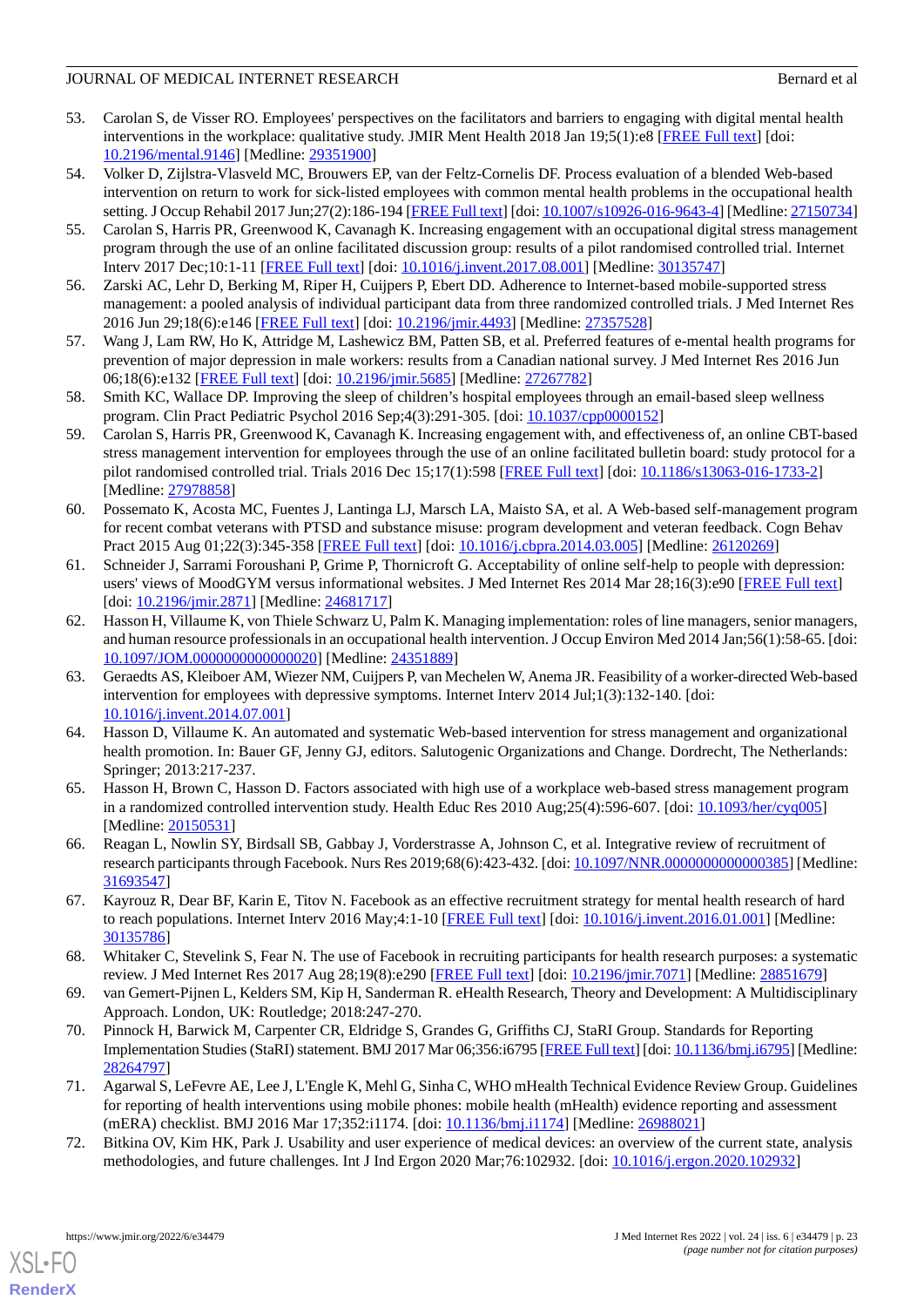- <span id="page-22-0"></span>53. Carolan S, de Visser RO. Employees' perspectives on the facilitators and barriers to engaging with digital mental health interventions in the workplace: qualitative study. JMIR Ment Health 2018 Jan 19;5(1):e8 [\[FREE Full text\]](https://mental.jmir.org/2018/1/e8/) [doi: [10.2196/mental.9146\]](http://dx.doi.org/10.2196/mental.9146) [Medline: [29351900](http://www.ncbi.nlm.nih.gov/entrez/query.fcgi?cmd=Retrieve&db=PubMed&list_uids=29351900&dopt=Abstract)]
- <span id="page-22-1"></span>54. Volker D, Zijlstra-Vlasveld MC, Brouwers EP, van der Feltz-Cornelis DF. Process evaluation of a blended Web-based intervention on return to work for sick-listed employees with common mental health problems in the occupational health setting. J Occup Rehabil 2017 Jun;27(2):186-194 [\[FREE Full text\]](http://europepmc.org/abstract/MED/27150734) [doi: [10.1007/s10926-016-9643-4](http://dx.doi.org/10.1007/s10926-016-9643-4)] [Medline: [27150734\]](http://www.ncbi.nlm.nih.gov/entrez/query.fcgi?cmd=Retrieve&db=PubMed&list_uids=27150734&dopt=Abstract)
- <span id="page-22-2"></span>55. Carolan S, Harris PR, Greenwood K, Cavanagh K. Increasing engagement with an occupational digital stress management program through the use of an online facilitated discussion group: results of a pilot randomised controlled trial. Internet Interv 2017 Dec;10:1-11 [\[FREE Full text\]](https://linkinghub.elsevier.com/retrieve/pii/S2214-7829(17)30033-7) [doi: [10.1016/j.invent.2017.08.001](http://dx.doi.org/10.1016/j.invent.2017.08.001)] [Medline: [30135747](http://www.ncbi.nlm.nih.gov/entrez/query.fcgi?cmd=Retrieve&db=PubMed&list_uids=30135747&dopt=Abstract)]
- <span id="page-22-4"></span><span id="page-22-3"></span>56. Zarski AC, Lehr D, Berking M, Riper H, Cuijpers P, Ebert DD. Adherence to Internet-based mobile-supported stress management: a pooled analysis of individual participant data from three randomized controlled trials. J Med Internet Res 2016 Jun 29;18(6):e146 [[FREE Full text](https://www.jmir.org/2016/6/e146/)] [doi: [10.2196/jmir.4493](http://dx.doi.org/10.2196/jmir.4493)] [Medline: [27357528](http://www.ncbi.nlm.nih.gov/entrez/query.fcgi?cmd=Retrieve&db=PubMed&list_uids=27357528&dopt=Abstract)]
- <span id="page-22-5"></span>57. Wang J, Lam RW, Ho K, Attridge M, Lashewicz BM, Patten SB, et al. Preferred features of e-mental health programs for prevention of major depression in male workers: results from a Canadian national survey. J Med Internet Res 2016 Jun 06;18(6):e132 [\[FREE Full text](https://www.jmir.org/2016/6/e132/)] [doi: [10.2196/jmir.5685](http://dx.doi.org/10.2196/jmir.5685)] [Medline: [27267782](http://www.ncbi.nlm.nih.gov/entrez/query.fcgi?cmd=Retrieve&db=PubMed&list_uids=27267782&dopt=Abstract)]
- <span id="page-22-6"></span>58. Smith KC, Wallace DP. Improving the sleep of children's hospital employees through an email-based sleep wellness program. Clin Pract Pediatric Psychol 2016 Sep;4(3):291-305. [doi: [10.1037/cpp0000152\]](http://dx.doi.org/10.1037/cpp0000152)
- <span id="page-22-7"></span>59. Carolan S, Harris PR, Greenwood K, Cavanagh K. Increasing engagement with, and effectiveness of, an online CBT-based stress management intervention for employees through the use of an online facilitated bulletin board: study protocol for a pilot randomised controlled trial. Trials 2016 Dec 15;17(1):598 [\[FREE Full text\]](https://trialsjournal.biomedcentral.com/articles/10.1186/s13063-016-1733-2) [doi: [10.1186/s13063-016-1733-2](http://dx.doi.org/10.1186/s13063-016-1733-2)] [Medline: [27978858](http://www.ncbi.nlm.nih.gov/entrez/query.fcgi?cmd=Retrieve&db=PubMed&list_uids=27978858&dopt=Abstract)]
- <span id="page-22-8"></span>60. Possemato K, Acosta MC, Fuentes J, Lantinga LJ, Marsch LA, Maisto SA, et al. A Web-based self-management program for recent combat veterans with PTSD and substance misuse: program development and veteran feedback. Cogn Behav Pract 2015 Aug 01;22(3):345-358 [\[FREE Full text\]](http://europepmc.org/abstract/MED/26120269) [doi: [10.1016/j.cbpra.2014.03.005](http://dx.doi.org/10.1016/j.cbpra.2014.03.005)] [Medline: [26120269\]](http://www.ncbi.nlm.nih.gov/entrez/query.fcgi?cmd=Retrieve&db=PubMed&list_uids=26120269&dopt=Abstract)
- <span id="page-22-9"></span>61. Schneider J, Sarrami Foroushani P, Grime P, Thornicroft G. Acceptability of online self-help to people with depression: users' views of MoodGYM versus informational websites. J Med Internet Res 2014 Mar 28;16(3):e90 [\[FREE Full text\]](https://www.jmir.org/2014/3/e90/) [doi: [10.2196/jmir.2871\]](http://dx.doi.org/10.2196/jmir.2871) [Medline: [24681717\]](http://www.ncbi.nlm.nih.gov/entrez/query.fcgi?cmd=Retrieve&db=PubMed&list_uids=24681717&dopt=Abstract)
- <span id="page-22-10"></span>62. Hasson H, Villaume K, von Thiele Schwarz U, Palm K. Managing implementation: roles of line managers, senior managers, and human resource professionals in an occupational health intervention. J Occup Environ Med 2014 Jan;56(1):58-65. [doi: [10.1097/JOM.0000000000000020](http://dx.doi.org/10.1097/JOM.0000000000000020)] [Medline: [24351889](http://www.ncbi.nlm.nih.gov/entrez/query.fcgi?cmd=Retrieve&db=PubMed&list_uids=24351889&dopt=Abstract)]
- <span id="page-22-11"></span>63. Geraedts AS, Kleiboer AM, Wiezer NM, Cuijpers P, van Mechelen W, Anema JR. Feasibility of a worker-directed Web-based intervention for employees with depressive symptoms. Internet Interv 2014 Jul;1(3):132-140. [doi: [10.1016/j.invent.2014.07.001](http://dx.doi.org/10.1016/j.invent.2014.07.001)]
- <span id="page-22-12"></span>64. Hasson D, Villaume K. An automated and systematic Web-based intervention for stress management and organizational health promotion. In: Bauer GF, Jenny GJ, editors. Salutogenic Organizations and Change. Dordrecht, The Netherlands: Springer; 2013:217-237.
- <span id="page-22-14"></span><span id="page-22-13"></span>65. Hasson H, Brown C, Hasson D. Factors associated with high use of a workplace web-based stress management program in a randomized controlled intervention study. Health Educ Res 2010 Aug;25(4):596-607. [doi: [10.1093/her/cyq005\]](http://dx.doi.org/10.1093/her/cyq005) [Medline: [20150531](http://www.ncbi.nlm.nih.gov/entrez/query.fcgi?cmd=Retrieve&db=PubMed&list_uids=20150531&dopt=Abstract)]
- <span id="page-22-15"></span>66. Reagan L, Nowlin SY, Birdsall SB, Gabbay J, Vorderstrasse A, Johnson C, et al. Integrative review of recruitment of research participants through Facebook. Nurs Res 2019;68(6):423-432. [doi: [10.1097/NNR.0000000000000385](http://dx.doi.org/10.1097/NNR.0000000000000385)] [Medline: [31693547](http://www.ncbi.nlm.nih.gov/entrez/query.fcgi?cmd=Retrieve&db=PubMed&list_uids=31693547&dopt=Abstract)]
- <span id="page-22-17"></span><span id="page-22-16"></span>67. Kayrouz R, Dear BF, Karin E, Titov N. Facebook as an effective recruitment strategy for mental health research of hard to reach populations. Internet Interv 2016 May;4:1-10 [\[FREE Full text\]](https://linkinghub.elsevier.com/retrieve/pii/S2214-7829(16)00002-6) [doi: [10.1016/j.invent.2016.01.001](http://dx.doi.org/10.1016/j.invent.2016.01.001)] [Medline: [30135786](http://www.ncbi.nlm.nih.gov/entrez/query.fcgi?cmd=Retrieve&db=PubMed&list_uids=30135786&dopt=Abstract)]
- 68. Whitaker C, Stevelink S, Fear N. The use of Facebook in recruiting participants for health research purposes: a systematic review. J Med Internet Res 2017 Aug 28;19(8):e290 [[FREE Full text](https://www.jmir.org/2017/8/e290/)] [doi: [10.2196/jmir.7071](http://dx.doi.org/10.2196/jmir.7071)] [Medline: [28851679\]](http://www.ncbi.nlm.nih.gov/entrez/query.fcgi?cmd=Retrieve&db=PubMed&list_uids=28851679&dopt=Abstract)
- <span id="page-22-18"></span>69. van Gemert-Pijnen L, Kelders SM, Kip H, Sanderman R. eHealth Research, Theory and Development: A Multidisciplinary Approach. London, UK: Routledge; 2018:247-270.
- <span id="page-22-19"></span>70. Pinnock H, Barwick M, Carpenter CR, Eldridge S, Grandes G, Griffiths CJ, StaRI Group. Standards for Reporting Implementation Studies (StaRI) statement. BMJ 2017 Mar 06;356:i6795 [\[FREE Full text](http://www.bmj.com/lookup/pmidlookup?view=long&pmid=28264797)] [doi: [10.1136/bmj.i6795](http://dx.doi.org/10.1136/bmj.i6795)] [Medline: [28264797](http://www.ncbi.nlm.nih.gov/entrez/query.fcgi?cmd=Retrieve&db=PubMed&list_uids=28264797&dopt=Abstract)]
- 71. Agarwal S, LeFevre AE, Lee J, L'Engle K, Mehl G, Sinha C, WHO mHealth Technical Evidence Review Group. Guidelines for reporting of health interventions using mobile phones: mobile health (mHealth) evidence reporting and assessment (mERA) checklist. BMJ 2016 Mar 17;352:i1174. [doi: [10.1136/bmj.i1174\]](http://dx.doi.org/10.1136/bmj.i1174) [Medline: [26988021](http://www.ncbi.nlm.nih.gov/entrez/query.fcgi?cmd=Retrieve&db=PubMed&list_uids=26988021&dopt=Abstract)]
- 72. Bitkina OV, Kim HK, Park J. Usability and user experience of medical devices: an overview of the current state, analysis methodologies, and future challenges. Int J Ind Ergon 2020 Mar;76:102932. [doi: [10.1016/j.ergon.2020.102932\]](http://dx.doi.org/10.1016/j.ergon.2020.102932)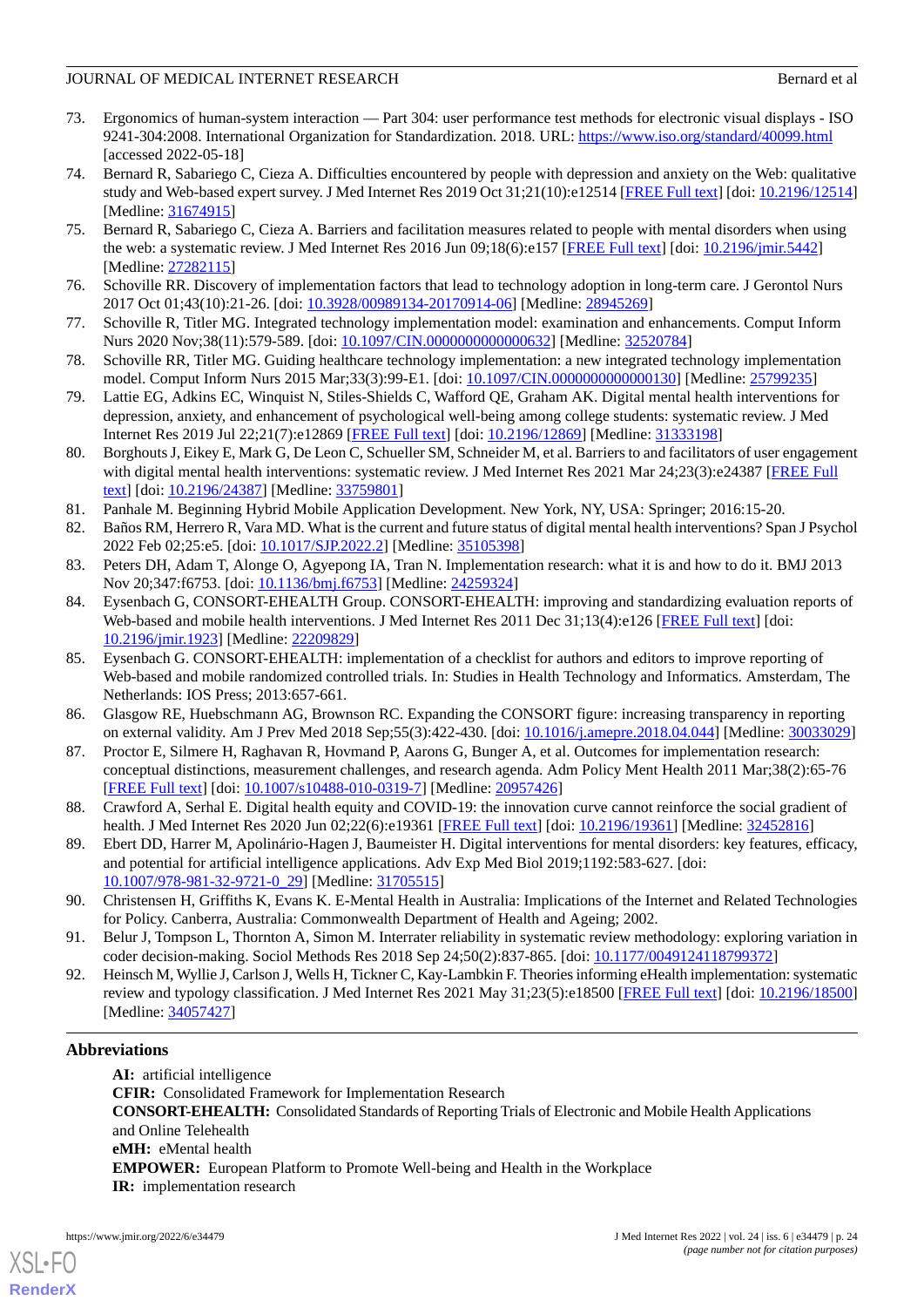# JOURNAL OF MEDICAL INTERNET RESEARCH BERNAL AND THE SERIES OF A BERNARD BERNARD BERNARD BERNARD BERNARD BERNARD BERNARD BERNARD BERNARD BERNARD BERNARD BERNARD BERNARD BERNARD BERNARD BERNARD BERNARD BERNARD BERNARD BERNAR

- <span id="page-23-0"></span>73. Ergonomics of human-system interaction — Part 304: user performance test methods for electronic visual displays - ISO 9241-304:2008. International Organization for Standardization. 2018. URL: <https://www.iso.org/standard/40099.html> [accessed 2022-05-18]
- <span id="page-23-1"></span>74. Bernard R, Sabariego C, Cieza A. Difficulties encountered by people with depression and anxiety on the Web: qualitative study and Web-based expert survey. J Med Internet Res 2019 Oct 31;21(10):e12514 [\[FREE Full text\]](https://www.jmir.org/2019/10/e12514/) [doi: [10.2196/12514](http://dx.doi.org/10.2196/12514)] [Medline: [31674915](http://www.ncbi.nlm.nih.gov/entrez/query.fcgi?cmd=Retrieve&db=PubMed&list_uids=31674915&dopt=Abstract)]
- <span id="page-23-3"></span><span id="page-23-2"></span>75. Bernard R, Sabariego C, Cieza A. Barriers and facilitation measures related to people with mental disorders when using the web: a systematic review. J Med Internet Res 2016 Jun 09;18(6):e157 [[FREE Full text](https://www.jmir.org/2016/6/e157/)] [doi: [10.2196/jmir.5442](http://dx.doi.org/10.2196/jmir.5442)] [Medline: [27282115](http://www.ncbi.nlm.nih.gov/entrez/query.fcgi?cmd=Retrieve&db=PubMed&list_uids=27282115&dopt=Abstract)]
- 76. Schoville RR. Discovery of implementation factors that lead to technology adoption in long-term care. J Gerontol Nurs 2017 Oct 01;43(10):21-26. [doi: [10.3928/00989134-20170914-06\]](http://dx.doi.org/10.3928/00989134-20170914-06) [Medline: [28945269\]](http://www.ncbi.nlm.nih.gov/entrez/query.fcgi?cmd=Retrieve&db=PubMed&list_uids=28945269&dopt=Abstract)
- <span id="page-23-4"></span>77. Schoville R, Titler MG. Integrated technology implementation model: examination and enhancements. Comput Inform Nurs 2020 Nov;38(11):579-589. [doi: [10.1097/CIN.0000000000000632\]](http://dx.doi.org/10.1097/CIN.0000000000000632) [Medline: [32520784\]](http://www.ncbi.nlm.nih.gov/entrez/query.fcgi?cmd=Retrieve&db=PubMed&list_uids=32520784&dopt=Abstract)
- <span id="page-23-5"></span>78. Schoville RR, Titler MG. Guiding healthcare technology implementation: a new integrated technology implementation model. Comput Inform Nurs 2015 Mar;33(3):99-E1. [doi: [10.1097/CIN.0000000000000130\]](http://dx.doi.org/10.1097/CIN.0000000000000130) [Medline: [25799235](http://www.ncbi.nlm.nih.gov/entrez/query.fcgi?cmd=Retrieve&db=PubMed&list_uids=25799235&dopt=Abstract)]
- <span id="page-23-6"></span>79. Lattie EG, Adkins EC, Winquist N, Stiles-Shields C, Wafford QE, Graham AK. Digital mental health interventions for depression, anxiety, and enhancement of psychological well-being among college students: systematic review. J Med Internet Res 2019 Jul 22;21(7):e12869 [[FREE Full text](https://www.jmir.org/2019/7/e12869/)] [doi: [10.2196/12869\]](http://dx.doi.org/10.2196/12869) [Medline: [31333198](http://www.ncbi.nlm.nih.gov/entrez/query.fcgi?cmd=Retrieve&db=PubMed&list_uids=31333198&dopt=Abstract)]
- <span id="page-23-8"></span><span id="page-23-7"></span>80. Borghouts J, Eikey E, Mark G, De Leon C, Schueller SM, Schneider M, et al. Barriers to and facilitators of user engagement with digital mental health interventions: systematic review. J Med Internet Res 2021 Mar 24;23(3):e24387 [\[FREE Full](https://www.jmir.org/2021/3/e24387/) [text](https://www.jmir.org/2021/3/e24387/)] [doi: [10.2196/24387\]](http://dx.doi.org/10.2196/24387) [Medline: [33759801\]](http://www.ncbi.nlm.nih.gov/entrez/query.fcgi?cmd=Retrieve&db=PubMed&list_uids=33759801&dopt=Abstract)
- <span id="page-23-9"></span>81. Panhale M. Beginning Hybrid Mobile Application Development. New York, NY, USA: Springer; 2016:15-20.
- <span id="page-23-10"></span>82. Baños RM, Herrero R, Vara MD. What is the current and future status of digital mental health interventions? Span J Psychol 2022 Feb 02;25:e5. [doi: [10.1017/SJP.2022.2](http://dx.doi.org/10.1017/SJP.2022.2)] [Medline: [35105398\]](http://www.ncbi.nlm.nih.gov/entrez/query.fcgi?cmd=Retrieve&db=PubMed&list_uids=35105398&dopt=Abstract)
- 83. Peters DH, Adam T, Alonge O, Agyepong IA, Tran N. Implementation research: what it is and how to do it. BMJ 2013 Nov 20;347:f6753. [doi: [10.1136/bmj.f6753](http://dx.doi.org/10.1136/bmj.f6753)] [Medline: [24259324\]](http://www.ncbi.nlm.nih.gov/entrez/query.fcgi?cmd=Retrieve&db=PubMed&list_uids=24259324&dopt=Abstract)
- 84. Eysenbach G, CONSORT-EHEALTH Group. CONSORT-EHEALTH: improving and standardizing evaluation reports of Web-based and mobile health interventions. J Med Internet Res 2011 Dec 31;13(4):e126 [\[FREE Full text\]](https://www.jmir.org/2011/4/e126/) [doi: [10.2196/jmir.1923](http://dx.doi.org/10.2196/jmir.1923)] [Medline: [22209829](http://www.ncbi.nlm.nih.gov/entrez/query.fcgi?cmd=Retrieve&db=PubMed&list_uids=22209829&dopt=Abstract)]
- <span id="page-23-12"></span><span id="page-23-11"></span>85. Eysenbach G. CONSORT-EHEALTH: implementation of a checklist for authors and editors to improve reporting of Web-based and mobile randomized controlled trials. In: Studies in Health Technology and Informatics. Amsterdam, The Netherlands: IOS Press; 2013:657-661.
- <span id="page-23-13"></span>86. Glasgow RE, Huebschmann AG, Brownson RC. Expanding the CONSORT figure: increasing transparency in reporting on external validity. Am J Prev Med 2018 Sep;55(3):422-430. [doi: [10.1016/j.amepre.2018.04.044](http://dx.doi.org/10.1016/j.amepre.2018.04.044)] [Medline: [30033029](http://www.ncbi.nlm.nih.gov/entrez/query.fcgi?cmd=Retrieve&db=PubMed&list_uids=30033029&dopt=Abstract)]
- <span id="page-23-14"></span>87. Proctor E, Silmere H, Raghavan R, Hovmand P, Aarons G, Bunger A, et al. Outcomes for implementation research: conceptual distinctions, measurement challenges, and research agenda. Adm Policy Ment Health 2011 Mar;38(2):65-76 [[FREE Full text](http://europepmc.org/abstract/MED/20957426)] [doi: [10.1007/s10488-010-0319-7\]](http://dx.doi.org/10.1007/s10488-010-0319-7) [Medline: [20957426](http://www.ncbi.nlm.nih.gov/entrez/query.fcgi?cmd=Retrieve&db=PubMed&list_uids=20957426&dopt=Abstract)]
- <span id="page-23-15"></span>88. Crawford A, Serhal E. Digital health equity and COVID-19: the innovation curve cannot reinforce the social gradient of health. J Med Internet Res 2020 Jun 02;22(6):e19361 [[FREE Full text](https://www.jmir.org/2020/6/e19361/)] [doi: [10.2196/19361\]](http://dx.doi.org/10.2196/19361) [Medline: [32452816](http://www.ncbi.nlm.nih.gov/entrez/query.fcgi?cmd=Retrieve&db=PubMed&list_uids=32452816&dopt=Abstract)]
- <span id="page-23-16"></span>89. Ebert DD, Harrer M, Apolinário-Hagen J, Baumeister H. Digital interventions for mental disorders: key features, efficacy, and potential for artificial intelligence applications. Adv Exp Med Biol 2019;1192:583-627. [doi: [10.1007/978-981-32-9721-0\\_29](http://dx.doi.org/10.1007/978-981-32-9721-0_29)] [Medline: [31705515\]](http://www.ncbi.nlm.nih.gov/entrez/query.fcgi?cmd=Retrieve&db=PubMed&list_uids=31705515&dopt=Abstract)
- <span id="page-23-17"></span>90. Christensen H, Griffiths K, Evans K. E-Mental Health in Australia: Implications of the Internet and Related Technologies for Policy. Canberra, Australia: Commonwealth Department of Health and Ageing; 2002.
- 91. Belur J, Tompson L, Thornton A, Simon M. Interrater reliability in systematic review methodology: exploring variation in coder decision-making. Sociol Methods Res 2018 Sep 24;50(2):837-865. [doi: [10.1177/0049124118799372](http://dx.doi.org/10.1177/0049124118799372)]
- 92. Heinsch M, Wyllie J, Carlson J, Wells H, Tickner C, Kay-Lambkin F. Theories informing eHealth implementation: systematic review and typology classification. J Med Internet Res 2021 May 31;23(5):e18500 [[FREE Full text](https://www.jmir.org/2021/5/e18500/)] [doi: [10.2196/18500](http://dx.doi.org/10.2196/18500)] [Medline: [34057427](http://www.ncbi.nlm.nih.gov/entrez/query.fcgi?cmd=Retrieve&db=PubMed&list_uids=34057427&dopt=Abstract)]

# **Abbreviations**

**AI:** artificial intelligence **CFIR:** Consolidated Framework for Implementation Research **CONSORT-EHEALTH:** Consolidated Standards of Reporting Trials of Electronic and Mobile Health Applications and Online Telehealth **eMH:** eMental health **EMPOWER:** European Platform to Promote Well-being and Health in the Workplace **IR:** implementation research